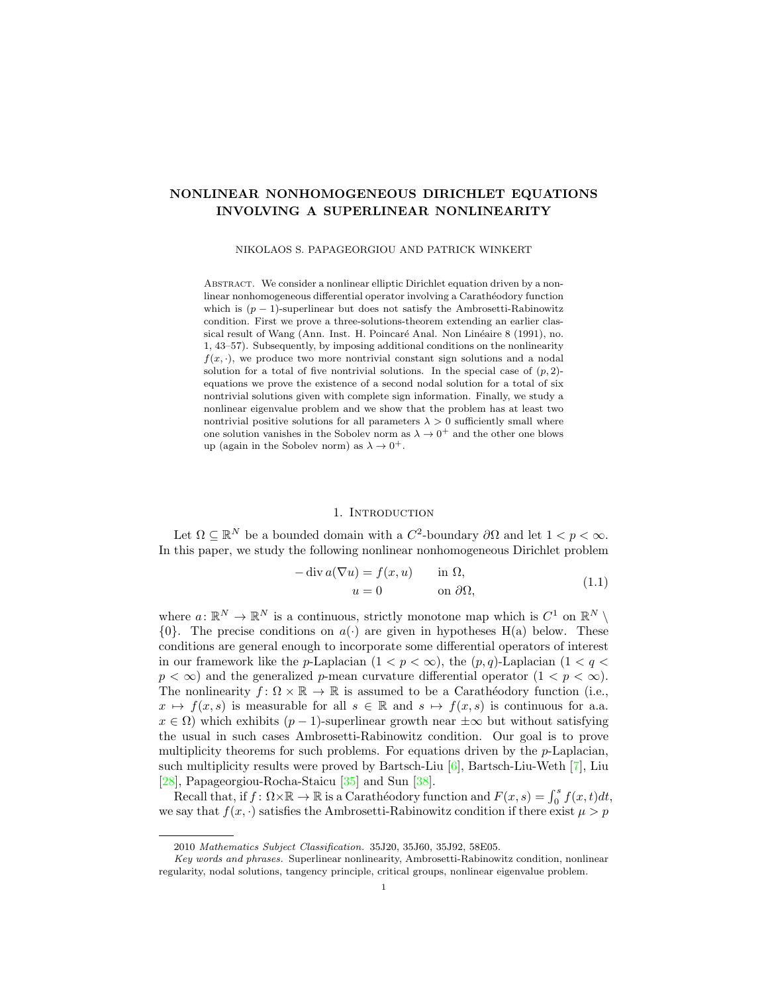# NONLINEAR NONHOMOGENEOUS DIRICHLET EQUATIONS INVOLVING A SUPERLINEAR NONLINEARITY

#### NIKOLAOS S. PAPAGEORGIOU AND PATRICK WINKERT

ABSTRACT. We consider a nonlinear elliptic Dirichlet equation driven by a nonlinear nonhomogeneous differential operator involving a Carathéodory function which is  $(p-1)$ -superlinear but does not satisfy the Ambrosetti-Rabinowitz condition. First we prove a three-solutions-theorem extending an earlier classical result of Wang (Ann. Inst. H. Poincaré Anal. Non Linéaire 8 (1991), no. 1, 43–57). Subsequently, by imposing additional conditions on the nonlinearity  $f(x, \cdot)$ , we produce two more nontrivial constant sign solutions and a nodal solution for a total of five nontrivial solutions. In the special case of  $(p, 2)$ equations we prove the existence of a second nodal solution for a total of six nontrivial solutions given with complete sign information. Finally, we study a nonlinear eigenvalue problem and we show that the problem has at least two nontrivial positive solutions for all parameters  $\lambda > 0$  sufficiently small where one solution vanishes in the Sobolev norm as  $\lambda \to 0^+$  and the other one blows up (again in the Sobolev norm) as  $\lambda \to 0^+$ .

## 1. INTRODUCTION

Let  $\Omega \subseteq \mathbb{R}^N$  be a bounded domain with a  $C^2$ -boundary  $\partial\Omega$  and let  $1 < p < \infty$ . In this paper, we study the following nonlinear nonhomogeneous Dirichlet problem

<span id="page-0-0"></span>
$$
-\operatorname{div} a(\nabla u) = f(x, u) \quad \text{in } \Omega,
$$
  
\n
$$
u = 0 \quad \text{on } \partial\Omega,
$$
\n(1.1)

where  $a: \mathbb{R}^N \to \mathbb{R}^N$  is a continuous, strictly monotone map which is  $C^1$  on  $\mathbb{R}^N \setminus$  $\{0\}$ . The precise conditions on  $a(\cdot)$  are given in hypotheses H(a) below. These conditions are general enough to incorporate some differential operators of interest in our framework like the p-Laplacian  $(1 < p < \infty)$ , the  $(p, q)$ -Laplacian  $(1 < q <$  $p < \infty$ ) and the generalized p-mean curvature differential operator  $(1 < p < \infty)$ . The nonlinearity  $f: \Omega \times \mathbb{R} \to \mathbb{R}$  is assumed to be a Carathéodory function (i.e.,  $x \mapsto f(x, s)$  is measurable for all  $s \in \mathbb{R}$  and  $s \mapsto f(x, s)$  is continuous for a.a.  $x \in \Omega$ ) which exhibits  $(p-1)$ -superlinear growth near  $\pm \infty$  but without satisfying the usual in such cases Ambrosetti-Rabinowitz condition. Our goal is to prove multiplicity theorems for such problems. For equations driven by the  $p$ -Laplacian, such multiplicity results were proved by Bartsch-Liu [\[6\]](#page-41-0), Bartsch-Liu-Weth [\[7\]](#page-41-1), Liu [\[28\]](#page-42-0), Papageorgiou-Rocha-Staicu [\[35\]](#page-42-1) and Sun [\[38\]](#page-42-2).

Recall that, if  $f: \Omega \times \mathbb{R} \to \mathbb{R}$  is a Carathéodory function and  $F(x, s) = \int_0^s f(x, t) dt$ , we say that  $f(x, \cdot)$  satisfies the Ambrosetti-Rabinowitz condition if there exist  $\mu > p$ 

<sup>2010</sup> Mathematics Subject Classification. 35J20, 35J60, 35J92, 58E05.

Key words and phrases. Superlinear nonlinearity, Ambrosetti-Rabinowitz condition, nonlinear regularity, nodal solutions, tangency principle, critical groups, nonlinear eigenvalue problem.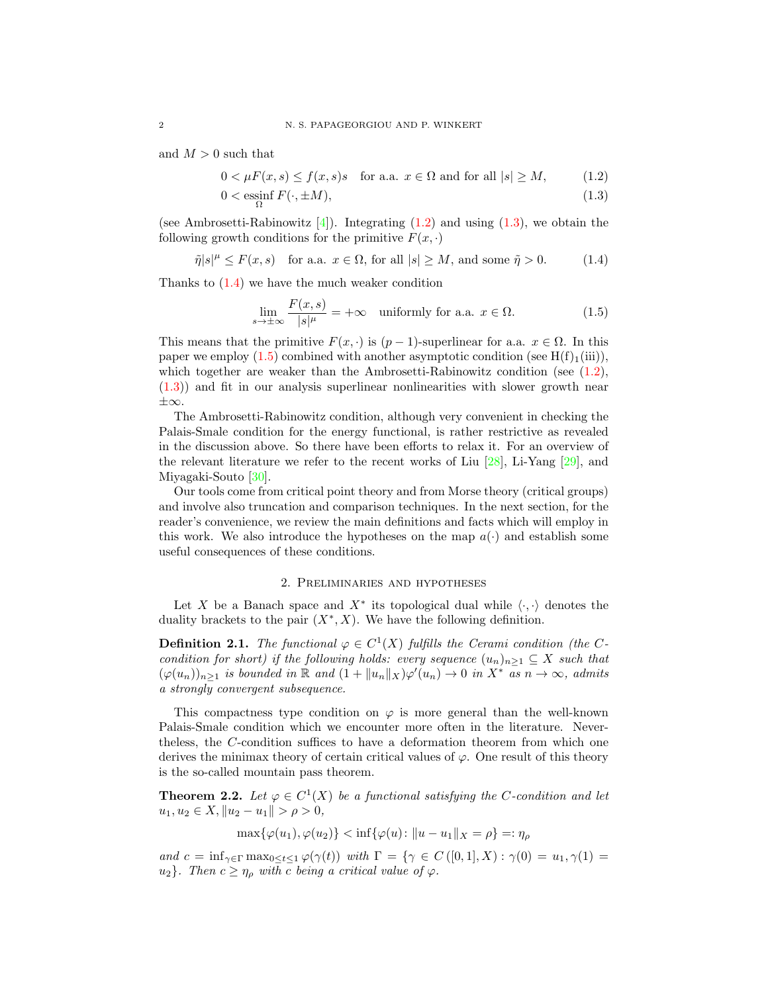and  $M > 0$  such that

$$
0 < \mu(x, s) \le f(x, s)s \quad \text{for a.a. } x \in \Omega \text{ and for all } |s| \ge M,\tag{1.2}
$$

$$
0 < \operatorname{essinf}_{\Omega} F(\cdot, \pm M),\tag{1.3}
$$

(see Ambrosetti-Rabinowitz [\[4\]](#page-41-2)). Integrating  $(1.2)$  and using  $(1.3)$ , we obtain the following growth conditions for the primitive  $F(x, \cdot)$ 

$$
\tilde{\eta}|s|^{\mu} \le F(x,s) \quad \text{for a.a. } x \in \Omega \text{, for all } |s| \ge M \text{, and some } \tilde{\eta} > 0. \tag{1.4}
$$

Thanks to  $(1.4)$  we have the much weaker condition

<span id="page-1-3"></span><span id="page-1-2"></span><span id="page-1-1"></span><span id="page-1-0"></span>
$$
\lim_{s \to \pm \infty} \frac{F(x, s)}{|s|^{\mu}} = +\infty \quad \text{uniformly for a.a. } x \in \Omega. \tag{1.5}
$$

This means that the primitive  $F(x, \cdot)$  is  $(p-1)$ -superlinear for a.a.  $x \in \Omega$ . In this paper we employ [\(1.5\)](#page-1-3) combined with another asymptotic condition (see  $H(f)<sub>1</sub>(iii)$ ), which together are weaker than the Ambrosetti-Rabinowitz condition (see  $(1.2)$ , [\(1.3\)](#page-1-1)) and fit in our analysis superlinear nonlinearities with slower growth near ±∞.

The Ambrosetti-Rabinowitz condition, although very convenient in checking the Palais-Smale condition for the energy functional, is rather restrictive as revealed in the discussion above. So there have been efforts to relax it. For an overview of the relevant literature we refer to the recent works of Liu  $[28]$ , Li-Yang  $[29]$ , and Miyagaki-Souto [\[30\]](#page-42-4).

Our tools come from critical point theory and from Morse theory (critical groups) and involve also truncation and comparison techniques. In the next section, for the reader's convenience, we review the main definitions and facts which will employ in this work. We also introduce the hypotheses on the map  $a(\cdot)$  and establish some useful consequences of these conditions.

## 2. Preliminaries and hypotheses

<span id="page-1-5"></span>Let X be a Banach space and  $X^*$  its topological dual while  $\langle \cdot, \cdot \rangle$  denotes the duality brackets to the pair  $(X^*, X)$ . We have the following definition.

**Definition 2.1.** The functional  $\varphi \in C^1(X)$  fulfills the Cerami condition (the Ccondition for short) if the following holds: every sequence  $(u_n)_{n\geq 1}\subseteq X$  such that  $(\varphi(u_n))_{n\geq 1}$  is bounded in  $\mathbb R$  and  $(1+\|u_n\|_X)\varphi'(u_n)\to 0$  in  $X^*$  as  $n\to\infty$ , admits a strongly convergent subsequence.

This compactness type condition on  $\varphi$  is more general than the well-known Palais-Smale condition which we encounter more often in the literature. Nevertheless, the C-condition suffices to have a deformation theorem from which one derives the minimax theory of certain critical values of  $\varphi$ . One result of this theory is the so-called mountain pass theorem.

<span id="page-1-4"></span>**Theorem 2.2.** Let  $\varphi \in C^1(X)$  be a functional satisfying the C-condition and let  $u_1, u_2 \in X, \|u_2 - u_1\| > \rho > 0,$ 

 $\max{\{\varphi(u_1), \varphi(u_2)\}} < \inf{\{\varphi(u): \|u - u_1\|_X = \rho\}} =: \eta_\rho$ 

and  $c = \inf_{\gamma \in \Gamma} \max_{0 \le t \le 1} \varphi(\gamma(t))$  with  $\Gamma = \{ \gamma \in C([0,1], X) : \gamma(0) = u_1, \gamma(1) =$  $u_2$ . Then  $c \geq \eta_\rho$  with c being a critical value of  $\varphi$ .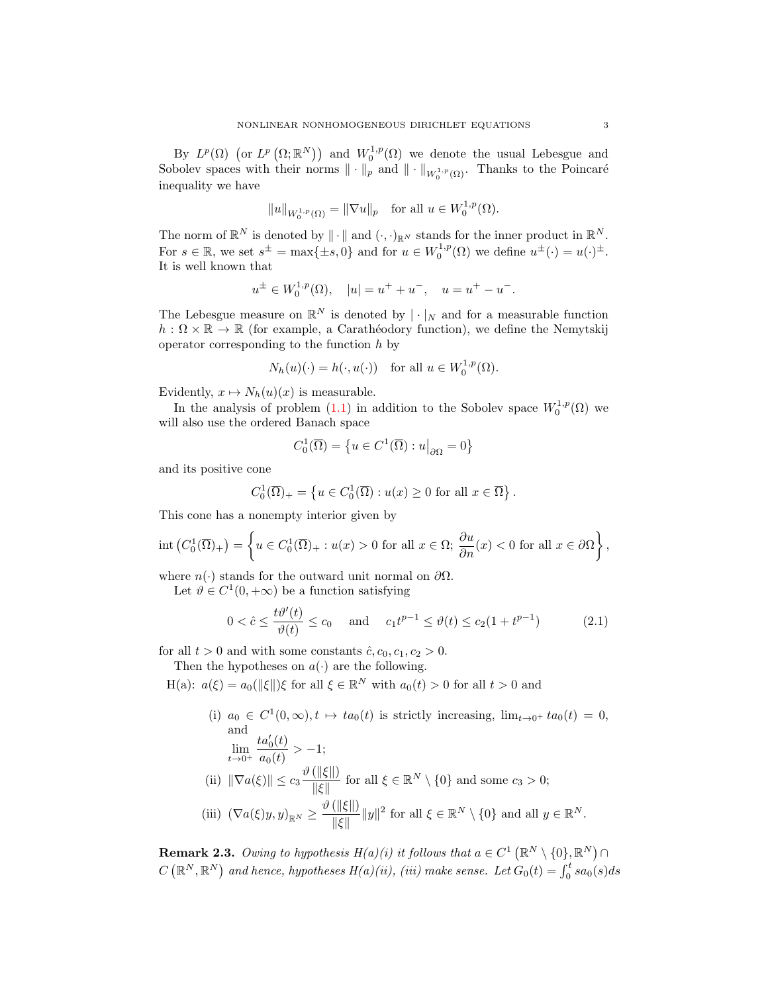By  $L^p(\Omega)$  (or  $L^p(\Omega;\mathbb{R}^N)$ ) and  $W_0^{1,p}(\Omega)$  we denote the usual Lebesgue and Sobolev spaces with their norms  $\|\cdot\|_p$  and  $\|\cdot\|_{W_0^{1,p}(\Omega)}$ . Thanks to the Poincaré inequality we have

$$
||u||_{W_0^{1,p}(\Omega)} = ||\nabla u||_p \text{ for all } u \in W_0^{1,p}(\Omega).
$$

The norm of  $\mathbb{R}^N$  is denoted by  $\|\cdot\|$  and  $(\cdot, \cdot)_{\mathbb{R}^N}$  stands for the inner product in  $\mathbb{R}^N$ . For  $s \in \mathbb{R}$ , we set  $s^{\pm} = \max\{\pm s, 0\}$  and for  $u \in W_0^{1,p}(\Omega)$  we define  $u^{\pm}(\cdot) = u(\cdot)^{\pm}$ . It is well known that

$$
u^{\pm} \in W_0^{1,p}(\Omega), \quad |u| = u^+ + u^-, \quad u = u^+ - u^-.
$$

The Lebesgue measure on  $\mathbb{R}^N$  is denoted by  $|\cdot|_N$  and for a measurable function  $h: \Omega \times \mathbb{R} \to \mathbb{R}$  (for example, a Carathéodory function), we define the Nemytskij operator corresponding to the function  $h$  by

$$
N_h(u)(\cdot) = h(\cdot, u(\cdot)) \quad \text{for all } u \in W_0^{1,p}(\Omega).
$$

Evidently,  $x \mapsto N_h(u)(x)$  is measurable.

In the analysis of problem [\(1.1\)](#page-0-0) in addition to the Sobolev space  $W_0^{1,p}(\Omega)$  we will also use the ordered Banach space

$$
C_0^1(\overline{\Omega}) = \left\{ u \in C^1(\overline{\Omega}) : u \big|_{\partial \Omega} = 0 \right\}
$$

and its positive cone

$$
C_0^1(\overline{\Omega})_+ = \left\{ u \in C_0^1(\overline{\Omega}) : u(x) \ge 0 \text{ for all } x \in \overline{\Omega} \right\}.
$$

This cone has a nonempty interior given by

$$
\operatorname{int}\left(C_0^1(\overline{\Omega})_+\right) = \left\{ u \in C_0^1(\overline{\Omega})_+ : u(x) > 0 \text{ for all } x \in \Omega; \frac{\partial u}{\partial n}(x) < 0 \text{ for all } x \in \partial\Omega \right\},\
$$

where  $n(\cdot)$  stands for the outward unit normal on  $\partial\Omega$ .

Let  $\vartheta \in C^1(0, +\infty)$  be a function satisfying

$$
0 < \hat{c} \le \frac{t\vartheta'(t)}{\vartheta(t)} \le c_0 \quad \text{and} \quad c_1 t^{p-1} \le \vartheta(t) \le c_2 (1 + t^{p-1}) \tag{2.1}
$$

for all  $t > 0$  and with some constants  $\hat{c}$ ,  $c_0$ ,  $c_1$ ,  $c_2 > 0$ .

Then the hypotheses on  $a(\cdot)$  are the following.

H(a):  $a(\xi) = a_0(||\xi||)\xi$  for all  $\xi \in \mathbb{R}^N$  with  $a_0(t) > 0$  for all  $t > 0$  and

(i)  $a_0 \in C^1(0,\infty), t \mapsto ta_0(t)$  is strictly increasing,  $\lim_{t\to 0^+} ta_0(t) = 0$ , and  $\lim_{t\to 0^+}$  $ta'_0(t)$  $\frac{\partial a_0(t)}{\partial a_0(t)} > -1;$ (ii)  $\|\nabla a(\xi)\| \leq c_3 \frac{\vartheta(\|\xi\|)}{\|\xi\|}$  $\frac{(\|\mathcal{S}\|)}{\|\xi\|}$  for all  $\xi \in \mathbb{R}^N \setminus \{0\}$  and some  $c_3 > 0$ ; (iii)  $(\nabla a(\xi)y, y)_{\mathbb{R}^N} \geq \frac{\vartheta(\|\xi\|)}{\|\xi\|}$  $\frac{(\|\xi\|)}{\|\xi\|} \|y\|^2$  for all  $\xi \in \mathbb{R}^N \setminus \{0\}$  and all  $y \in \mathbb{R}^N$ .

**Remark 2.3.** Owing to hypothesis  $H(a)(i)$  it follows that  $a \in C^1(\mathbb{R}^N \setminus \{0\}, \mathbb{R}^N) \cap$  $C\left(\mathbb{R}^N,\mathbb{R}^N\right)$  and hence, hypotheses  $H(a)(ii)$ ,  $(iii)$  make sense. Let  $G_0(t)=\int_0^t sa_0(s)ds$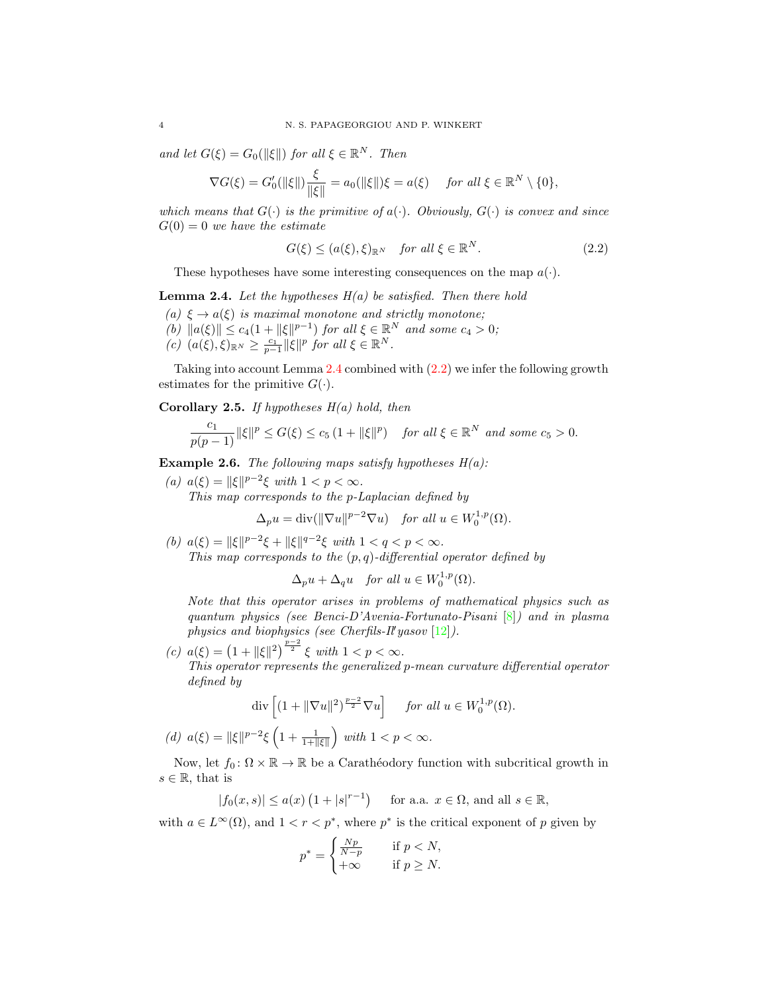and let  $G(\xi) = G_0(\|\xi\|)$  for all  $\xi \in \mathbb{R}^N$ . Then

$$
\nabla G(\xi) = G_0'(\|\xi\|) \frac{\xi}{\|\xi\|} = a_0(\|\xi\|) \xi = a(\xi) \quad \text{for all } \xi \in \mathbb{R}^N \setminus \{0\},
$$

which means that  $G(\cdot)$  is the primitive of  $a(\cdot)$ . Obviously,  $G(\cdot)$  is convex and since  $G(0) = 0$  we have the estimate

<span id="page-3-1"></span>
$$
G(\xi) \le (a(\xi), \xi)_{\mathbb{R}^N} \quad \text{for all } \xi \in \mathbb{R}^N. \tag{2.2}
$$

These hypotheses have some interesting consequences on the map  $a(\cdot)$ .

<span id="page-3-0"></span>**Lemma 2.4.** Let the hypotheses  $H(a)$  be satisfied. Then there hold

- (a)  $\xi \to a(\xi)$  is maximal monotone and strictly monotone;
- (b)  $||a(\xi)|| \leq c_4(1 + ||\xi||^{p-1})$  for all  $\xi \in \mathbb{R}^N$  and some  $c_4 > 0$ ;
- $(c)$   $(a(\xi), \xi)_{\mathbb{R}^N} \geq \frac{c_1}{p-1} ||\xi||^p$  for all  $\xi \in \mathbb{R}^N$ .

Taking into account Lemma [2.4](#page-3-0) combined with [\(2.2\)](#page-3-1) we infer the following growth estimates for the primitive  $G(\cdot)$ .

## <span id="page-3-3"></span>Corollary 2.5. If hypotheses  $H(a)$  hold, then

$$
\frac{c_1}{p(p-1)}\|\xi\|^p \le G(\xi) \le c_5\left(1 + \|\xi\|^p\right) \quad \text{for all } \xi \in \mathbb{R}^N \text{ and some } c_5 > 0.
$$

<span id="page-3-2"></span>**Example 2.6.** The following maps satisfy hypotheses  $H(a)$ :

(a)  $a(\xi) = ||\xi||^{p-2}\xi$  with  $1 < p < \infty$ . This map corresponds to the p-Laplacian defined by

$$
\Delta_p u = \text{div}(\|\nabla u\|^{p-2} \nabla u) \quad \text{for all } u \in W_0^{1,p}(\Omega).
$$

(b)  $a(\xi) = ||\xi||^{p-2}\xi + ||\xi||^{q-2}\xi$  with  $1 < q < p < \infty$ . This map corresponds to the  $(p, q)$ -differential operator defined by

$$
\Delta_p u + \Delta_q u \quad \text{for all } u \in W_0^{1,p}(\Omega).
$$

Note that this operator arises in problems of mathematical physics such as quantum physics (see Benci-D'Avenia-Fortunato-Pisani  $[8]$ ) and in plasma physics and biophysics (see Cherfils-Il'yasov  $[12]$ ).

(c)  $a(\xi) = (1 + ||\xi||^2)^{\frac{p-2}{2}} \xi$  with  $1 < p < \infty$ . This operator represents the generalized p-mean curvature differential operator defined by

$$
\operatorname{div}\left[(1+\|\nabla u\|^2)^{\frac{p-2}{2}}\nabla u\right] \quad \text{ for all } u \in W_0^{1,p}(\Omega).
$$
  
(*d*)  $a(\xi) = \|\xi\|^{p-2}\xi\left(1 + \frac{1}{1+\|\xi\|}\right)$  with  $1 < p < \infty$ .

Now, let  $f_0: \Omega \times \mathbb{R} \to \mathbb{R}$  be a Carathéodory function with subcritical growth in  $s \in \mathbb{R}$ , that is

$$
|f_0(x,s)| \le a(x) \left(1+|s|^{r-1}\right) \quad \text{ for a.a. } x \in \Omega \text{, and all } s \in \mathbb{R},
$$

with  $a \in L^{\infty}(\Omega)$ , and  $1 < r < p^*$ , where  $p^*$  is the critical exponent of p given by

$$
p^* = \begin{cases} \frac{Np}{N-p} & \text{if } p < N, \\ +\infty & \text{if } p \ge N. \end{cases}
$$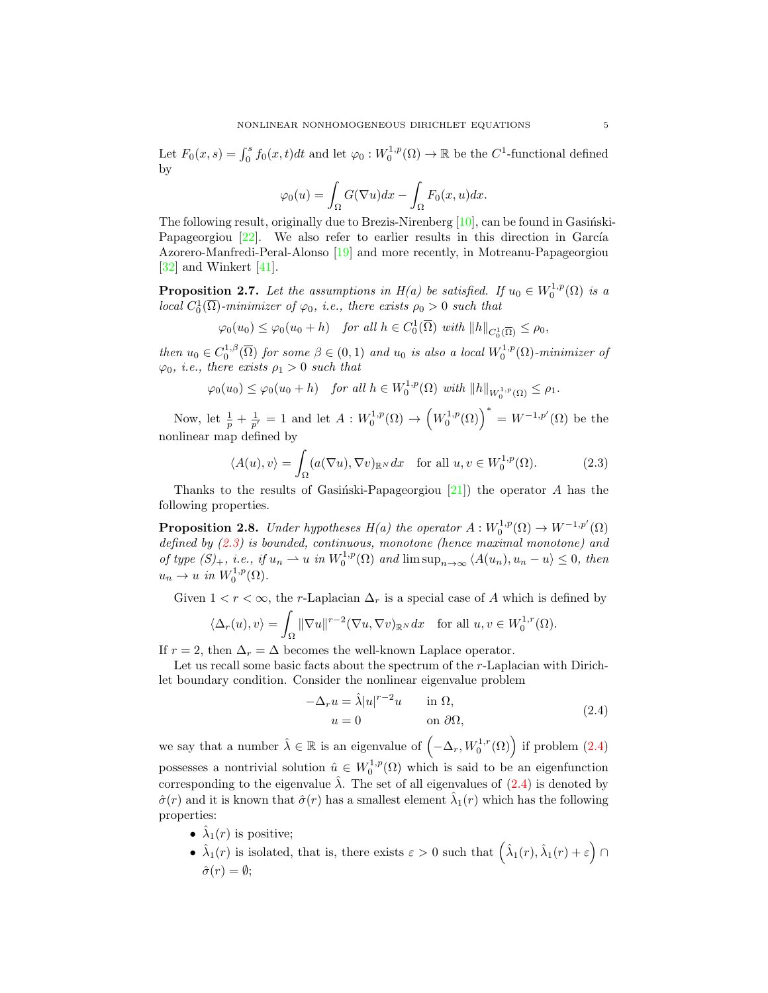Let  $F_0(x, s) = \int_0^s f_0(x, t)dt$  and let  $\varphi_0: W_0^{1, p}(\Omega) \to \mathbb{R}$  be the  $C^1$ -functional defined by

$$
\varphi_0(u) = \int_{\Omega} G(\nabla u) dx - \int_{\Omega} F_0(x, u) dx.
$$

The following result, originally due to Brezis-Nirenberg  $[10]$ , can be found in Gasinski-Papageorgiou  $[22]$ . We also refer to earlier results in this direction in García Azorero-Manfredi-Peral-Alonso [\[19\]](#page-41-6) and more recently, in Motreanu-Papageorgiou [\[32\]](#page-42-6) and Winkert [\[41\]](#page-42-7).

<span id="page-4-3"></span>**Proposition 2.7.** Let the assumptions in  $H(a)$  be satisfied. If  $u_0 \in W_0^{1,p}(\Omega)$  is a local  $C_0^1(\overline{\Omega})$ -minimizer of  $\varphi_0$ , i.e., there exists  $\rho_0 > 0$  such that

$$
\varphi_0(u_0) \leq \varphi_0(u_0 + h) \quad \text{for all } h \in C_0^1(\overline{\Omega}) \text{ with } ||h||_{C_0^1(\overline{\Omega})} \leq \rho_0,
$$

then  $u_0 \in C_0^{1,\beta}(\overline{\Omega})$  for some  $\beta \in (0,1)$  and  $u_0$  is also a local  $W_0^{1,p}(\Omega)$ -minimizer of  $\varphi_0$ , *i.e.*, there exists  $\rho_1 > 0$  such that

$$
\varphi_0(u_0) \leq \varphi_0(u_0 + h) \quad \text{for all } h \in W_0^{1,p}(\Omega) \text{ with } ||h||_{W_0^{1,p}(\Omega)} \leq \rho_1.
$$

Now, let  $\frac{1}{p} + \frac{1}{p'} = 1$  and let  $A: W_0^{1,p}(\Omega) \to (W_0^{1,p}(\Omega))^{*} = W^{-1,p'}(\Omega)$  be the nonlinear map defined by

<span id="page-4-0"></span>
$$
\langle A(u), v \rangle = \int_{\Omega} (a(\nabla u), \nabla v)_{\mathbb{R}^N} dx \quad \text{for all } u, v \in W_0^{1, p}(\Omega). \tag{2.3}
$$

Thanks to the results of Gasinski-Papageorgiou [\[21\]](#page-42-8)) the operator A has the following properties.

<span id="page-4-2"></span>**Proposition 2.8.** Under hypotheses  $H(a)$  the operator  $A: W_0^{1,p}(\Omega) \to W^{-1,p'}(\Omega)$ defined by [\(2.3\)](#page-4-0) is bounded, continuous, monotone (hence maximal monotone) and of type  $(S)_+$ , i.e., if  $u_n \rightharpoonup u$  in  $W_0^{1,p}(\Omega)$  and  $\limsup_{n\to\infty} \langle A(u_n), u_n - u \rangle \leq 0$ , then  $u_n \to u$  in  $W_0^{1,p}(\Omega)$ .

Given  $1 < r < \infty$ , the r-Laplacian  $\Delta_r$  is a special case of A which is defined by

$$
\langle \Delta_r(u), v \rangle = \int_{\Omega} \|\nabla u\|^{r-2} (\nabla u, \nabla v)_{\mathbb{R}^N} dx \quad \text{for all } u, v \in W_0^{1,r}(\Omega).
$$

If  $r = 2$ , then  $\Delta_r = \Delta$  becomes the well-known Laplace operator.

Let us recall some basic facts about the spectrum of the r-Laplacian with Dirichlet boundary condition. Consider the nonlinear eigenvalue problem

<span id="page-4-1"></span>
$$
-\Delta_r u = \hat{\lambda}|u|^{r-2}u \quad \text{in } \Omega,
$$
  
\n
$$
u = 0 \quad \text{on } \partial\Omega,
$$
\n(2.4)

we say that a number  $\hat{\lambda} \in \mathbb{R}$  is an eigenvalue of  $(-\Delta_r, W_0^{1,r}(\Omega))$  if problem  $(2.4)$ possesses a nontrivial solution  $\hat{u} \in W_0^{1,p}(\Omega)$  which is said to be an eigenfunction corresponding to the eigenvalue  $\hat{\lambda}$ . The set of all eigenvalues of  $(2.4)$  is denoted by  $\hat{\sigma}(r)$  and it is known that  $\hat{\sigma}(r)$  has a smallest element  $\hat{\lambda}_1(r)$  which has the following properties:

- $\hat{\lambda}_1(r)$  is positive;
- $\hat{\lambda}_1(r)$  is isolated, that is, there exists  $\varepsilon > 0$  such that  $(\hat{\lambda}_1(r), \hat{\lambda}_1(r) + \varepsilon)$  $\hat{\sigma}(r) = \emptyset$ ;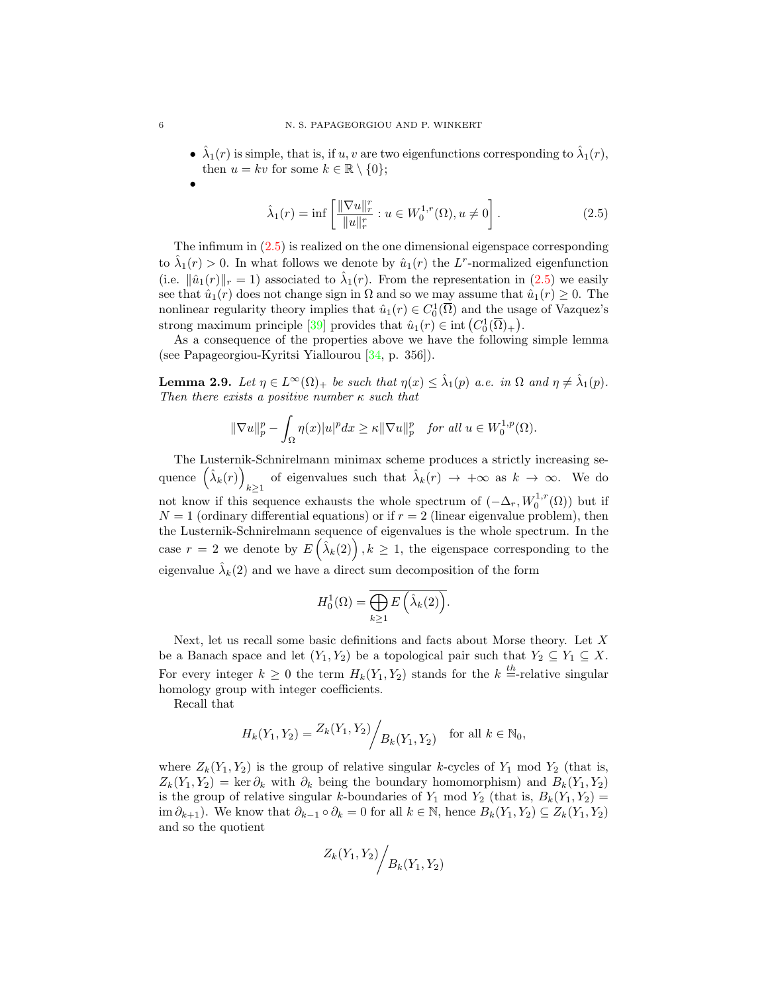•  $\hat{\lambda}_1(r)$  is simple, that is, if u, v are two eigenfunctions corresponding to  $\hat{\lambda}_1(r)$ , then  $u = kv$  for some  $k \in \mathbb{R} \setminus \{0\};$ 

<span id="page-5-0"></span>
$$
\hat{\lambda}_1(r) = \inf \left[ \frac{\|\nabla u\|_r^r}{\|u\|_r^r} : u \in W_0^{1,r}(\Omega), u \neq 0 \right].
$$
\n(2.5)

The infimum in [\(2.5\)](#page-5-0) is realized on the one dimensional eigenspace corresponding to  $\hat{\lambda}_1(r) > 0$ . In what follows we denote by  $\hat{u}_1(r)$  the L<sup>r</sup>-normalized eigenfunction (i.e.  $\|\hat{u}_1(r)\|_r = 1$ ) associated to  $\hat{\lambda}_1(r)$ . From the representation in [\(2.5\)](#page-5-0) we easily see that  $\hat{u}_1(r)$  does not change sign in  $\Omega$  and so we may assume that  $\hat{u}_1(r) \geq 0$ . The nonlinear regularity theory implies that  $\hat{u}_1(r) \in C_0^1(\overline{\Omega})$  and the usage of Vazquez's strong maximum principle [\[39\]](#page-42-9) provides that  $\hat{u}_1(r) \in \text{int}(C_0^1(\overline{\Omega})_+)$ .

As a consequence of the properties above we have the following simple lemma (see Papageorgiou-Kyritsi Yiallourou [\[34,](#page-42-10) p. 356]).

<span id="page-5-1"></span>**Lemma 2.9.** Let  $\eta \in L^{\infty}(\Omega)_{+}$  be such that  $\eta(x) \leq \hat{\lambda}_{1}(p)$  a.e. in  $\Omega$  and  $\eta \neq \hat{\lambda}_{1}(p)$ . Then there exists a positive number  $\kappa$  such that

$$
\|\nabla u\|_p^p - \int_{\Omega} \eta(x)|u|^p dx \ge \kappa \|\nabla u\|_p^p \quad \text{for all } u \in W_0^{1,p}(\Omega).
$$

The Lusternik-Schnirelmann minimax scheme produces a strictly increasing sequence  $(\hat{\lambda}_k(r))$ of eigenvalues such that  $\hat{\lambda}_k(r) \to +\infty$  as  $k \to \infty$ . We do not know if this sequence exhausts the whole spectrum of  $(-\Delta_r, W_0^{1,r}(\Omega))$  but if  $N = 1$  (ordinary differential equations) or if  $r = 2$  (linear eigenvalue problem), then the Lusternik-Schnirelmann sequence of eigenvalues is the whole spectrum. In the case  $r = 2$  we denote by  $E\left(\hat{\lambda}_k(2)\right), k \geq 1$ , the eigenspace corresponding to the eigenvalue  $\hat{\lambda}_k(2)$  and we have a direct sum decomposition of the form

$$
H_0^1(\Omega) = \overline{\bigoplus_{k \ge 1} E\left(\hat{\lambda}_k(2)\right)}.
$$

Next, let us recall some basic definitions and facts about Morse theory. Let  $X$ be a Banach space and let  $(Y_1, Y_2)$  be a topological pair such that  $Y_2 \subseteq Y_1 \subseteq X$ . For every integer  $k \geq 0$  the term  $H_k(Y_1, Y_2)$  stands for the  $k =$ -relative singular homology group with integer coefficients.

Recall that

$$
H_k(Y_1, Y_2) = \frac{Z_k(Y_1, Y_2)}{Z_k(Y_1, Y_2)}
$$
 for all  $k \in \mathbb{N}_0$ ,

where  $Z_k(Y_1, Y_2)$  is the group of relative singular k-cycles of  $Y_1$  mod  $Y_2$  (that is,  $Z_k(Y_1, Y_2) = \ker \partial_k$  with  $\partial_k$  being the boundary homomorphism) and  $B_k(Y_1, Y_2)$ is the group of relative singular k-boundaries of  $Y_1$  mod  $Y_2$  (that is,  $B_k(Y_1, Y_2)$  = im  $\partial_{k+1}$ ). We know that  $\partial_{k-1} \circ \partial_k = 0$  for all  $k \in \mathbb{N}$ , hence  $B_k(Y_1, Y_2) \subseteq Z_k(Y_1, Y_2)$ and so the quotient

$$
Z_k(Y_1, Y_2) / B_k(Y_1, Y_2)
$$

•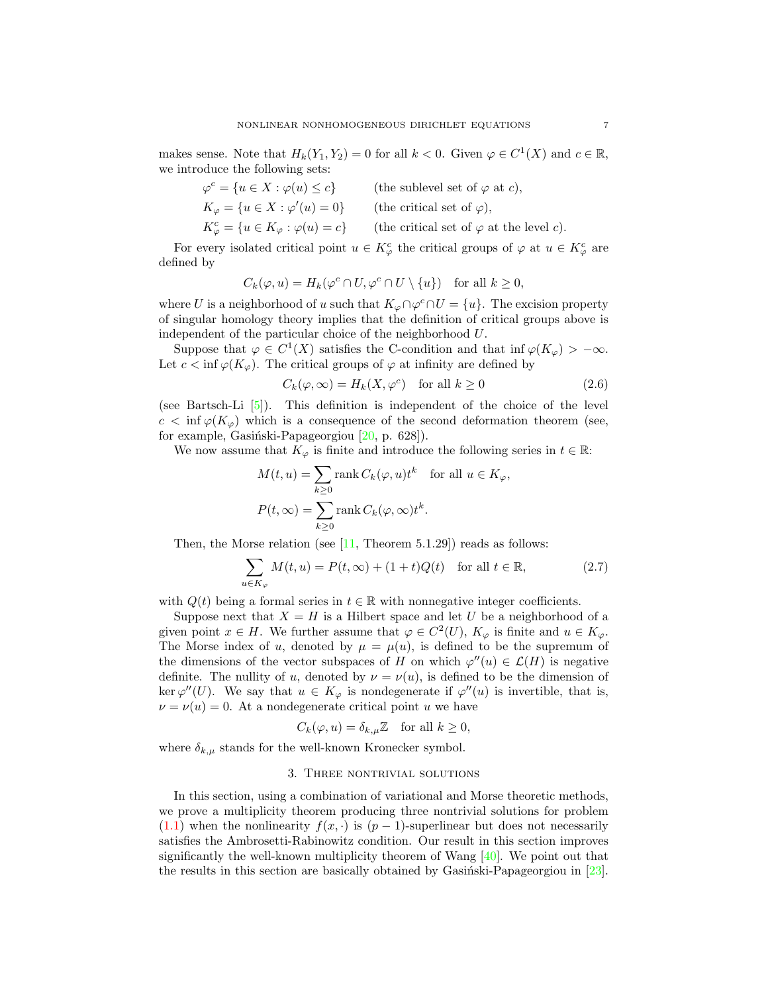makes sense. Note that  $H_k(Y_1, Y_2) = 0$  for all  $k < 0$ . Given  $\varphi \in C^1(X)$  and  $c \in \mathbb{R}$ , we introduce the following sets:

| $\varphi^c = \{u \in X : \varphi(u) \leq c\}$              | (the sublevel set of $\varphi$ at c),           |
|------------------------------------------------------------|-------------------------------------------------|
| $K_{\varphi} = \{u \in X : \varphi'(u) = 0\}$              | (the critical set of $\varphi$ ),               |
| $K_{\varphi}^{c} = \{u \in K_{\varphi} : \varphi(u) = c\}$ | (the critical set of $\varphi$ at the level c). |

For every isolated critical point  $u \in K^c_\varphi$  the critical groups of  $\varphi$  at  $u \in K^c_\varphi$  are defined by

$$
C_k(\varphi, u) = H_k(\varphi^c \cap U, \varphi^c \cap U \setminus \{u\}) \quad \text{for all } k \ge 0,
$$

where U is a neighborhood of u such that  $K_{\varphi} \cap \varphi^c \cap U = \{u\}$ . The excision property of singular homology theory implies that the definition of critical groups above is independent of the particular choice of the neighborhood U.

Suppose that  $\varphi \in C^1(X)$  satisfies the C-condition and that inf  $\varphi(K_{\varphi}) > -\infty$ . Let  $c < \inf \varphi(K_{\varphi})$ . The critical groups of  $\varphi$  at infinity are defined by

<span id="page-6-0"></span>
$$
C_k(\varphi,\infty) = H_k(X,\varphi^c) \quad \text{for all } k \ge 0 \tag{2.6}
$$

(see Bartsch-Li [\[5\]](#page-41-7)). This definition is independent of the choice of the level  $c < \inf \varphi(K_{\varphi})$  which is a consequence of the second deformation theorem (see, for example, Gasiński-Papageorgiou  $[20, p. 628]$ .

We now assume that  $K_{\varphi}$  is finite and introduce the following series in  $t \in \mathbb{R}$ :

$$
M(t, u) = \sum_{k \ge 0} \text{rank } C_k(\varphi, u)t^k \quad \text{for all } u \in K_{\varphi},
$$
  

$$
P(t, \infty) = \sum_{k \ge 0} \text{rank } C_k(\varphi, \infty)t^k.
$$

Then, the Morse relation (see  $[11,$  Theorem 5.1.29]) reads as follows:

$$
\sum_{u \in K_{\varphi}} M(t, u) = P(t, \infty) + (1 + t)Q(t) \quad \text{for all } t \in \mathbb{R},\tag{2.7}
$$

with  $Q(t)$  being a formal series in  $t \in \mathbb{R}$  with nonnegative integer coefficients.

Suppose next that  $X = H$  is a Hilbert space and let U be a neighborhood of a given point  $x \in H$ . We further assume that  $\varphi \in C^2(U)$ ,  $K_{\varphi}$  is finite and  $u \in K_{\varphi}$ . The Morse index of u, denoted by  $\mu = \mu(u)$ , is defined to be the supremum of the dimensions of the vector subspaces of H on which  $\varphi''(u) \in \mathcal{L}(H)$  is negative definite. The nullity of u, denoted by  $\nu = \nu(u)$ , is defined to be the dimension of ker  $\varphi''(U)$ . We say that  $u \in K_{\varphi}$  is nondegenerate if  $\varphi''(u)$  is invertible, that is,  $\nu = \nu(u) = 0$ . At a nondegenerate critical point u we have

<span id="page-6-1"></span>
$$
C_k(\varphi, u) = \delta_{k,\mu} \mathbb{Z} \quad \text{for all } k \ge 0,
$$

where  $\delta_{k,\mu}$  stands for the well-known Kronecker symbol.

#### 3. Three nontrivial solutions

In this section, using a combination of variational and Morse theoretic methods, we prove a multiplicity theorem producing three nontrivial solutions for problem [\(1.1\)](#page-0-0) when the nonlinearity  $f(x, \cdot)$  is  $(p-1)$ -superlinear but does not necessarily satisfies the Ambrosetti-Rabinowitz condition. Our result in this section improves significantly the well-known multiplicity theorem of Wang  $[40]$ . We point out that the results in this section are basically obtained by Gasingsiski-Papageorgiou in  $[23]$ .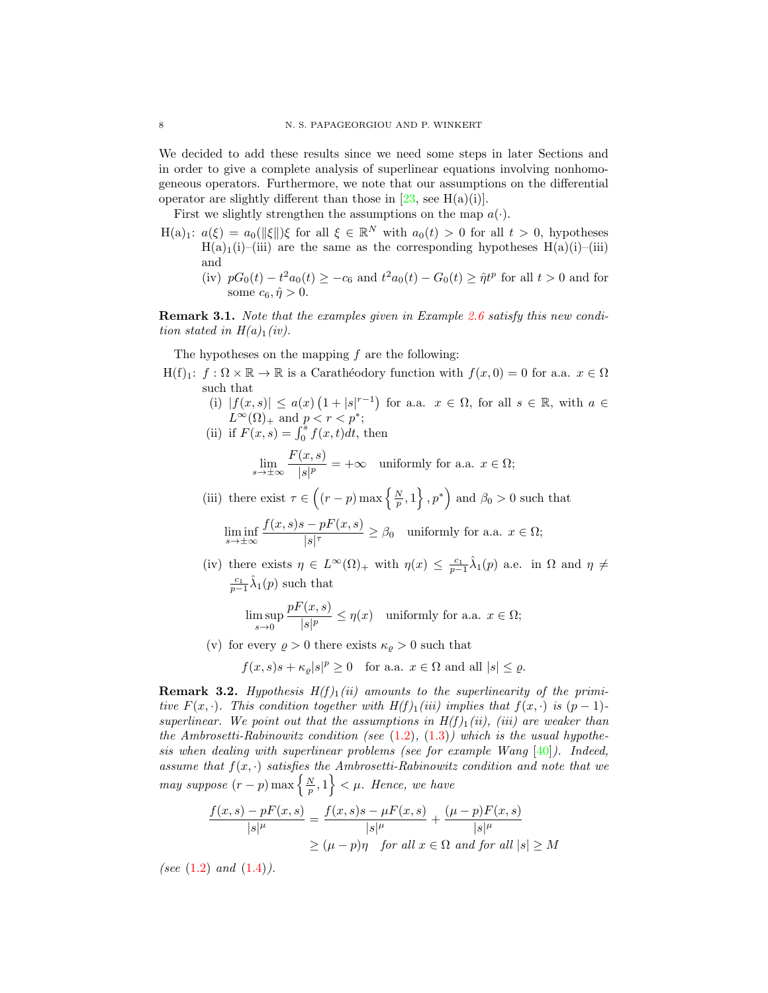We decided to add these results since we need some steps in later Sections and in order to give a complete analysis of superlinear equations involving nonhomogeneous operators. Furthermore, we note that our assumptions on the differential operator are slightly different than those in  $[23, \text{ see } H(a)(i)].$ 

First we slightly strengthen the assumptions on the map  $a(\cdot)$ .

- H(a)<sub>1</sub>:  $a(\xi) = a_0(\|\xi\|) \xi$  for all  $\xi \in \mathbb{R}^N$  with  $a_0(t) > 0$  for all  $t > 0$ , hypotheses  $H(a)_1(i)$ –(iii) are the same as the corresponding hypotheses  $H(a)(i)$ –(iii) and
	- (iv)  $pG_0(t) t^2 a_0(t) \ge -c_6$  and  $t^2 a_0(t) G_0(t) \ge \hat{\eta} t^p$  for all  $t > 0$  and for some  $c_6$ ,  $\hat{\eta} > 0$ .

Remark 3.1. Note that the examples given in Example [2.6](#page-3-2) satisfy this new condition stated in  $H(a)_1(iv)$ .

The hypotheses on the mapping  $f$  are the following:

 $H(f)_1: f: \Omega \times \mathbb{R} \to \mathbb{R}$  is a Caratheodory function with  $f(x, 0) = 0$  for a.a.  $x \in \Omega$ such that

(i)  $|f(x,s)| \le a(x) (1+|s|^{r-1})$  for a.a.  $x \in \Omega$ , for all  $s \in \mathbb{R}$ , with  $a \in \mathbb{R}$  $L^{\infty}(\Omega)_+$  and  $p < r < p^*$ ;

(ii) if 
$$
F(x, s) = \int_0^s f(x, t) dt
$$
, then

$$
\lim_{s \to \pm \infty} \frac{F(x, s)}{|s|^p} = +\infty \quad \text{uniformly for a.a. } x \in \Omega;
$$

(iii) there exist  $\tau \in \left( (r-p) \max \left\{ \frac{N}{p}, 1 \right\}, p^* \right)$  and  $\beta_0 > 0$  such that

$$
\liminf_{s \to \pm \infty} \frac{f(x,s)s - pF(x,s)}{|s|^\tau} \ge \beta_0 \quad \text{uniformly for a.a. } x \in \Omega;
$$

(iv) there exists  $\eta \in L^{\infty}(\Omega)$  with  $\eta(x) \leq \frac{c_1}{p-1}\hat{\lambda}_1(p)$  a.e. in  $\Omega$  and  $\eta \neq$  $\frac{c_1}{p-1}\hat{\lambda}_1(p)$  such that

$$
\limsup_{s\to 0}\frac{pF(x,s)}{|s|^p}\leq \eta(x)\quad \text{uniformly for a.a. }x\in\Omega;
$$

(v) for every  $\rho > 0$  there exists  $\kappa_{\varrho} > 0$  such that

$$
f(x, s)s + \kappa_{\varrho}|s|^p \ge 0
$$
 for a.a.  $x \in \Omega$  and all  $|s| \le \varrho$ .

**Remark 3.2.** Hypothesis  $H(f)$ <sub>1</sub>(ii) amounts to the superlinearity of the primitive  $F(x, \cdot)$ . This condition together with  $H(f)_1(iii)$  implies that  $f(x, \cdot)$  is  $(p-1)$ superlinear. We point out that the assumptions in  $H(f)_1(ii)$ , (iii) are weaker than the Ambrosetti-Rabinowitz condition (see  $(1.2)$ ,  $(1.3)$ ) which is the usual hypothesis when dealing with superlinear problems (see for example Wang  $[40]$ ). Indeed, assume that  $f(x, \cdot)$  satisfies the Ambrosetti-Rabinowitz condition and note that we may suppose  $(r-p)$  max  $\left\{\frac{N}{p},1\right\}<\mu$ . Hence, we have

$$
\frac{f(x,s) - pF(x,s)}{|s|^{\mu}} = \frac{f(x,s)s - \mu F(x,s)}{|s|^{\mu}} + \frac{(\mu - p)F(x,s)}{|s|^{\mu}}
$$

$$
\geq (\mu - p)\eta \quad \text{for all } x \in \Omega \text{ and for all } |s| \geq M
$$

(see  $(1.2)$  and  $(1.4)$ ).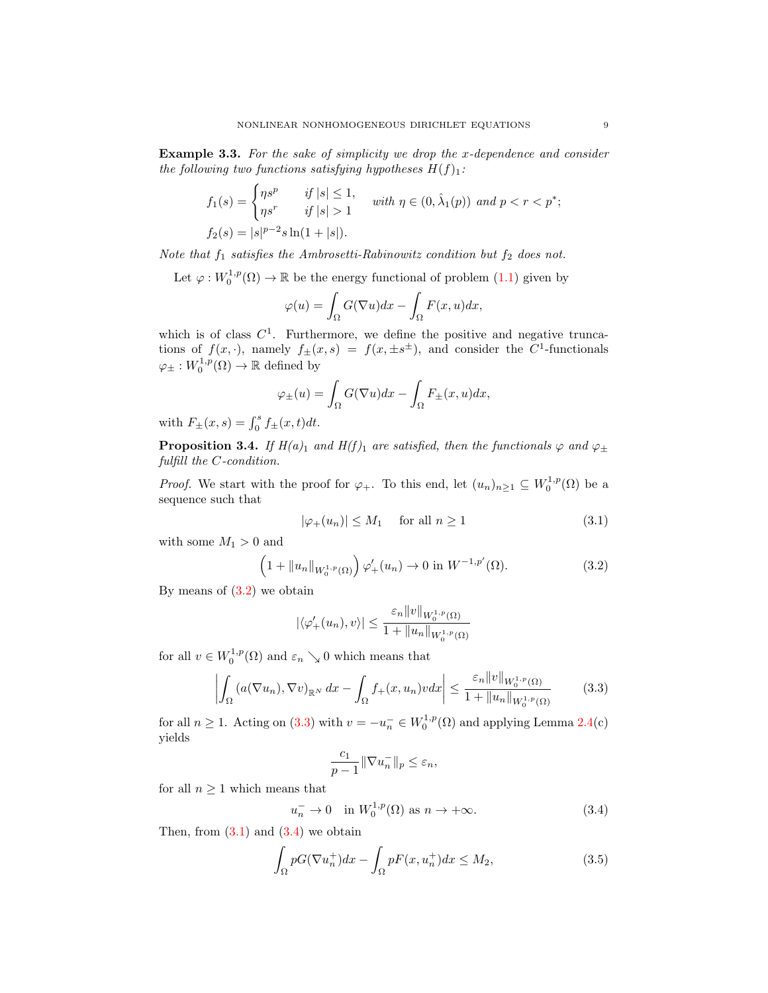**Example 3.3.** For the sake of simplicity we drop the x-dependence and consider the following two functions satisfying hypotheses  $H(f)_1$ :

$$
f_1(s) = \begin{cases} \eta s^p & \text{if } |s| \le 1, \\ \eta s^r & \text{if } |s| > 1 \end{cases} \text{ with } \eta \in (0, \hat{\lambda}_1(p)) \text{ and } p < r < p^*;
$$
  

$$
f_2(s) = |s|^{p-2} s \ln(1+|s|).
$$

Note that  $f_1$  satisfies the Ambrosetti-Rabinowitz condition but  $f_2$  does not.

Let  $\varphi: W_0^{1,p}(\Omega) \to \mathbb{R}$  be the energy functional of problem  $(1.1)$  given by

$$
\varphi(u) = \int_{\Omega} G(\nabla u) dx - \int_{\Omega} F(x, u) dx,
$$

which is of class  $C<sup>1</sup>$ . Furthermore, we define the positive and negative truncations of  $f(x, \cdot)$ , namely  $f_{\pm}(x, s) = f(x, \pm s^{\pm})$ , and consider the C<sup>1</sup>-functionals  $\varphi_{\pm}: W_0^{1,p}(\Omega) \to \mathbb{R}$  defined by

$$
\varphi_{\pm}(u) = \int_{\Omega} G(\nabla u) dx - \int_{\Omega} F_{\pm}(x, u) dx,
$$

with  $F_{\pm}(x, s) = \int_0^s f_{\pm}(x, t) dt$ .

<span id="page-8-5"></span>**Proposition 3.4.** If  $H(a)_1$  and  $H(f)_1$  are satisfied, then the functionals  $\varphi$  and  $\varphi_{\pm}$ fulfill the C-condition.

*Proof.* We start with the proof for  $\varphi_+$ . To this end, let  $(u_n)_{n\geq 1} \subseteq W_0^{1,p}(\Omega)$  be a sequence such that

<span id="page-8-2"></span><span id="page-8-0"></span>
$$
|\varphi_+(u_n)| \le M_1 \quad \text{ for all } n \ge 1 \tag{3.1}
$$

with some  $M_1 > 0$  and

$$
\left(1 + \|u_n\|_{W_0^{1,p}(\Omega)}\right)\varphi'_+(u_n) \to 0 \text{ in } W^{-1,p'}(\Omega). \tag{3.2}
$$

By means of  $(3.2)$  we obtain

$$
|\langle \varphi'_{+}(u_{n}), v \rangle| \leq \frac{\varepsilon_{n} ||v||_{W_{0}^{1,p}(\Omega)}}{1 + ||u_{n}||_{W_{0}^{1,p}(\Omega)}}
$$

for all  $v \in W_0^{1,p}(\Omega)$  and  $\varepsilon_n \searrow 0$  which means that

$$
\left| \int_{\Omega} \left( a(\nabla u_n), \nabla v \right)_{\mathbb{R}^N} dx - \int_{\Omega} f_+(x, u_n) v dx \right| \leq \frac{\varepsilon_n \|v\|_{W_0^{1, p}(\Omega)}}{1 + \|u_n\|_{W_0^{1, p}(\Omega)}} \tag{3.3}
$$

for all  $n \ge 1$ . Acting on [\(3.3\)](#page-8-1) with  $v = -u_n^- \in W_0^{1,p}(\Omega)$  and applying Lemma [2.4\(](#page-3-0)c) yields

<span id="page-8-4"></span><span id="page-8-3"></span><span id="page-8-1"></span>
$$
\frac{c_1}{p-1} \|\nabla u_n^-\|_p \le \varepsilon_n,
$$

for all  $n \geq 1$  which means that

$$
u_n^- \to 0 \quad \text{in } W_0^{1,p}(\Omega) \text{ as } n \to +\infty. \tag{3.4}
$$

Then, from  $(3.1)$  and  $(3.4)$  we obtain

$$
\int_{\Omega} pG(\nabla u_n^+)dx - \int_{\Omega} pF(x, u_n^+)dx \le M_2,
$$
\n(3.5)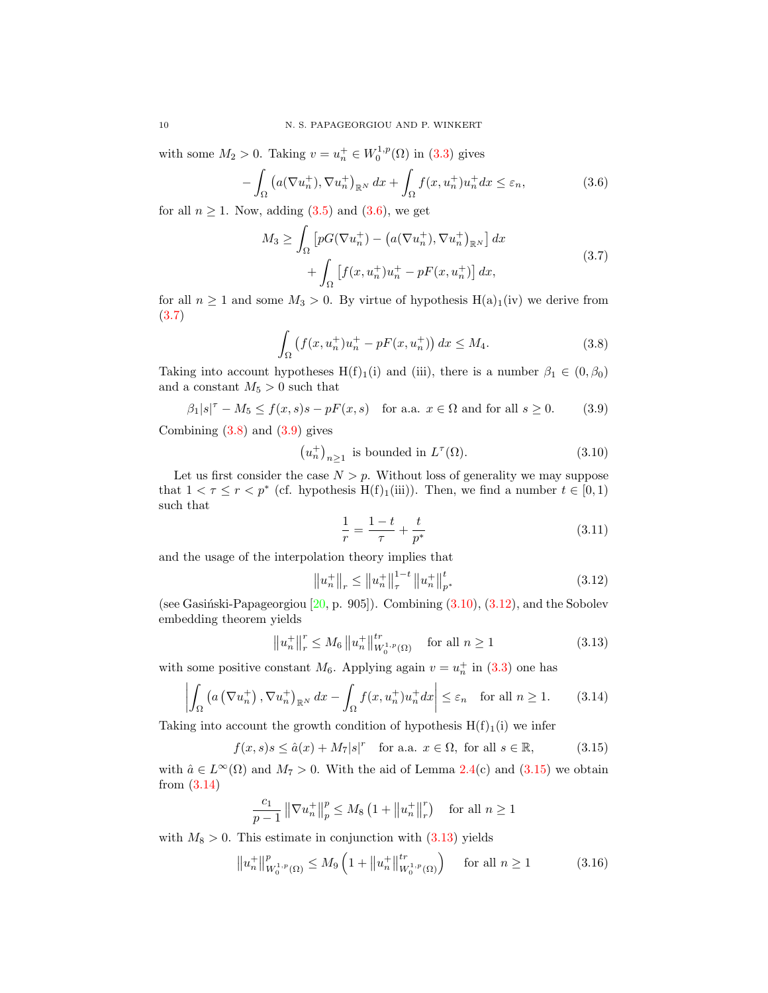with some  $M_2 > 0$ . Taking  $v = u_n^+ \in W_0^{1,p}(\Omega)$  in [\(3.3\)](#page-8-1) gives

$$
-\int_{\Omega} \left( a(\nabla u_n^+), \nabla u_n^+ \right)_{\mathbb{R}^N} dx + \int_{\Omega} f(x, u_n^+) u_n^+ dx \le \varepsilon_n,
$$
\n(3.6)

for all  $n \geq 1$ . Now, adding  $(3.5)$  and  $(3.6)$ , we get

<span id="page-9-0"></span>
$$
M_3 \ge \int_{\Omega} \left[ pG(\nabla u_n^+) - \left( a(\nabla u_n^+), \nabla u_n^+ \right)_{\mathbb{R}^N} \right] dx
$$
  
+ 
$$
\int_{\Omega} \left[ f(x, u_n^+) u_n^+ - pF(x, u_n^+) \right] dx,
$$
 (3.7)

for all  $n \ge 1$  and some  $M_3 > 0$ . By virtue of hypothesis  $H(a)_1(iv)$  we derive from [\(3.7\)](#page-9-1)

<span id="page-9-1"></span>
$$
\int_{\Omega} \left( f(x, u_n^+) u_n^+ - pF(x, u_n^+) \right) dx \le M_4. \tag{3.8}
$$

Taking into account hypotheses H(f)<sub>1</sub>(i) and (iii), there is a number  $\beta_1 \in (0, \beta_0)$ and a constant  $M_5 > 0$  such that

$$
\beta_1|s|^\tau - M_5 \le f(x,s)s - pF(x,s) \quad \text{for a.a. } x \in \Omega \text{ and for all } s \ge 0. \tag{3.9}
$$

Combining  $(3.8)$  and  $(3.9)$  gives

$$
(u_n^+)_{n\geq 1} \text{ is bounded in } L^\tau(\Omega). \tag{3.10}
$$

Let us first consider the case  $N > p$ . Without loss of generality we may suppose that  $1 < \tau \leq r < p^*$  (cf. hypothesis H(f)<sub>1</sub>(iii)). Then, we find a number  $t \in [0,1)$ such that

<span id="page-9-9"></span><span id="page-9-8"></span><span id="page-9-5"></span><span id="page-9-4"></span><span id="page-9-3"></span><span id="page-9-2"></span>
$$
\frac{1}{r} = \frac{1-t}{\tau} + \frac{t}{p^*}
$$
\n(3.11)

and the usage of the interpolation theory implies that

<span id="page-9-7"></span><span id="page-9-6"></span>
$$
\left\|u_{n}^{+}\right\|_{r} \leq \left\|u_{n}^{+}\right\|_{\tau}^{1-t} \left\|u_{n}^{+}\right\|_{p^{*}}^{t}
$$
\n(3.12)

(see Gasinski-Papageorgiou  $[20, p. 905]$ ). Combining  $(3.10), (3.12)$  $(3.10), (3.12)$ , and the Sobolev embedding theorem yields

$$
\left\|u_{n}^{+}\right\|_{r}^{r} \le M_{6} \left\|u_{n}^{+}\right\|_{W_{0}^{1,p}\left(\Omega\right)}^{tr} \quad \text{for all } n \ge 1 \tag{3.13}
$$

with some positive constant  $M_6$ . Applying again  $v = u_n^+$  in [\(3.3\)](#page-8-1) one has

$$
\left| \int_{\Omega} \left( a \left( \nabla u_n^+ \right), \nabla u_n^+ \right)_{\mathbb{R}^N} dx - \int_{\Omega} f(x, u_n^+) u_n^+ dx \right| \le \varepsilon_n \quad \text{for all } n \ge 1. \tag{3.14}
$$

Taking into account the growth condition of hypothesis  $H(f)_{1}(i)$  we infer

$$
f(x,s)s \le \hat{a}(x) + M_7|s|^r \quad \text{for a.a. } x \in \Omega, \text{ for all } s \in \mathbb{R}, \tag{3.15}
$$

with  $\hat{a} \in L^{\infty}(\Omega)$  and  $M_7 > 0$ . With the aid of Lemma [2.4\(](#page-3-0)c) and [\(3.15\)](#page-9-6) we obtain from [\(3.14\)](#page-9-7)

<span id="page-9-10"></span>
$$
\frac{c_1}{p-1} \left\| \nabla u_n^+ \right\|_p^p \le M_8 \left( 1 + \left\| u_n^+ \right\|_r^r \right) \quad \text{for all } n \ge 1
$$

with  $M_8 > 0$ . This estimate in conjunction with  $(3.13)$  yields

$$
||u_n^+||_{W_0^{1,p}(\Omega)}^p \le M_9 \left(1 + ||u_n^+||_{W_0^{1,p}(\Omega)}^{tr}\right) \quad \text{for all } n \ge 1 \tag{3.16}
$$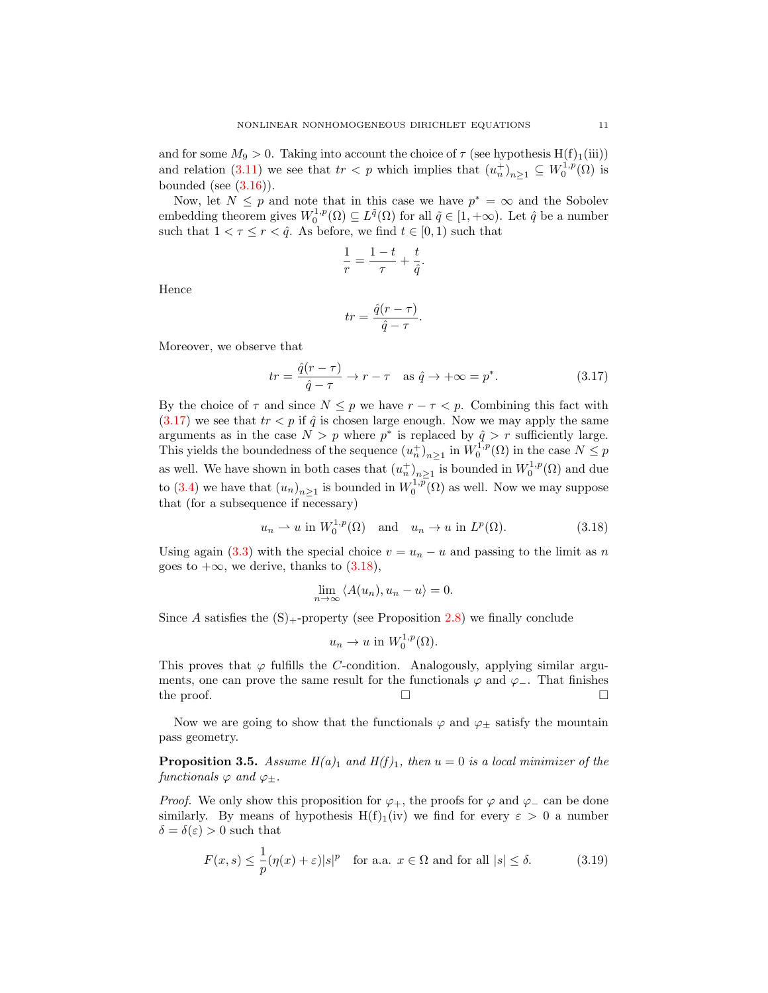and for some  $M_9 > 0$ . Taking into account the choice of  $\tau$  (see hypothesis H(f)<sub>1</sub>(iii)) and relation [\(3.11\)](#page-9-9) we see that  $tr < p$  which implies that  $(u_n^+)_{n \geq 1} \subseteq W_0^{1,p}(\Omega)$  is bounded (see  $(3.16)$ ).

Now, let  $N \leq p$  and note that in this case we have  $p^* = \infty$  and the Sobolev embedding theorem gives  $W_0^{1,p}(\Omega) \subseteq L^{\tilde{q}}(\Omega)$  for all  $\tilde{q} \in [1, +\infty)$ . Let  $\hat{q}$  be a number such that  $1 < \tau \le r < \hat{q}$ . As before, we find  $t \in [0, 1)$  such that

$$
\frac{1}{r} = \frac{1-t}{\tau} + \frac{t}{\hat{q}}
$$

Hence

$$
tr = \frac{\hat{q}(r-\tau)}{\hat{q}-\tau}.
$$

Moreover, we observe that

$$
tr = \frac{\hat{q}(r-\tau)}{\hat{q}-\tau} \to r-\tau \quad \text{as } \hat{q} \to +\infty = p^*.
$$
 (3.17)

<span id="page-10-0"></span>.

By the choice of  $\tau$  and since  $N \leq p$  we have  $r - \tau < p$ . Combining this fact with  $(3.17)$  we see that  $tr < p$  if  $\hat{q}$  is chosen large enough. Now we may apply the same arguments as in the case  $N > p$  where  $p^*$  is replaced by  $\hat{q} > r$  sufficiently large. This yields the boundedness of the sequence  $(u_n^+)_{n\geq 1}$  in  $W_0^{1,p}(\Omega)$  in the case  $N\leq p$ as well. We have shown in both cases that  $(u_n^+)_{n\geq 1}$  is bounded in  $W_0^{1,p}(\Omega)$  and due to [\(3.4\)](#page-8-3) we have that  $(u_n)_{n\geq 1}$  is bounded in  $W_0^{1,p}(\Omega)$  as well. Now we may suppose that (for a subsequence if necessary)

$$
u_n \rightharpoonup u \text{ in } W_0^{1,p}(\Omega) \quad \text{and} \quad u_n \to u \text{ in } L^p(\Omega). \tag{3.18}
$$

Using again [\(3.3\)](#page-8-1) with the special choice  $v = u_n - u$  and passing to the limit as n goes to  $+\infty$ , we derive, thanks to  $(3.18)$ ,

<span id="page-10-1"></span>
$$
\lim_{n \to \infty} \langle A(u_n), u_n - u \rangle = 0.
$$

Since A satisfies the  $(S)$ <sub>+</sub>-property (see Proposition [2.8\)](#page-4-2) we finally conclude

<span id="page-10-2"></span>
$$
u_n \to u \text{ in } W_0^{1,p}(\Omega).
$$

This proves that  $\varphi$  fulfills the C-condition. Analogously, applying similar arguments, one can prove the same result for the functionals  $\varphi$  and  $\varphi$ -. That finishes the proof.  $\Box$ 

Now we are going to show that the functionals  $\varphi$  and  $\varphi_{\pm}$  satisfy the mountain pass geometry.

<span id="page-10-3"></span>**Proposition 3.5.** Assume  $H(a)_1$  and  $H(f)_1$ , then  $u = 0$  is a local minimizer of the functionals  $\varphi$  and  $\varphi_{\pm}$ .

*Proof.* We only show this proposition for  $\varphi_+$ , the proofs for  $\varphi$  and  $\varphi_-$  can be done similarly. By means of hypothesis H(f)<sub>1</sub>(iv) we find for every  $\varepsilon > 0$  a number  $\delta = \delta(\varepsilon) > 0$  such that

$$
F(x,s) \le \frac{1}{p} (\eta(x) + \varepsilon) |s|^p \quad \text{for a.a. } x \in \Omega \text{ and for all } |s| \le \delta. \tag{3.19}
$$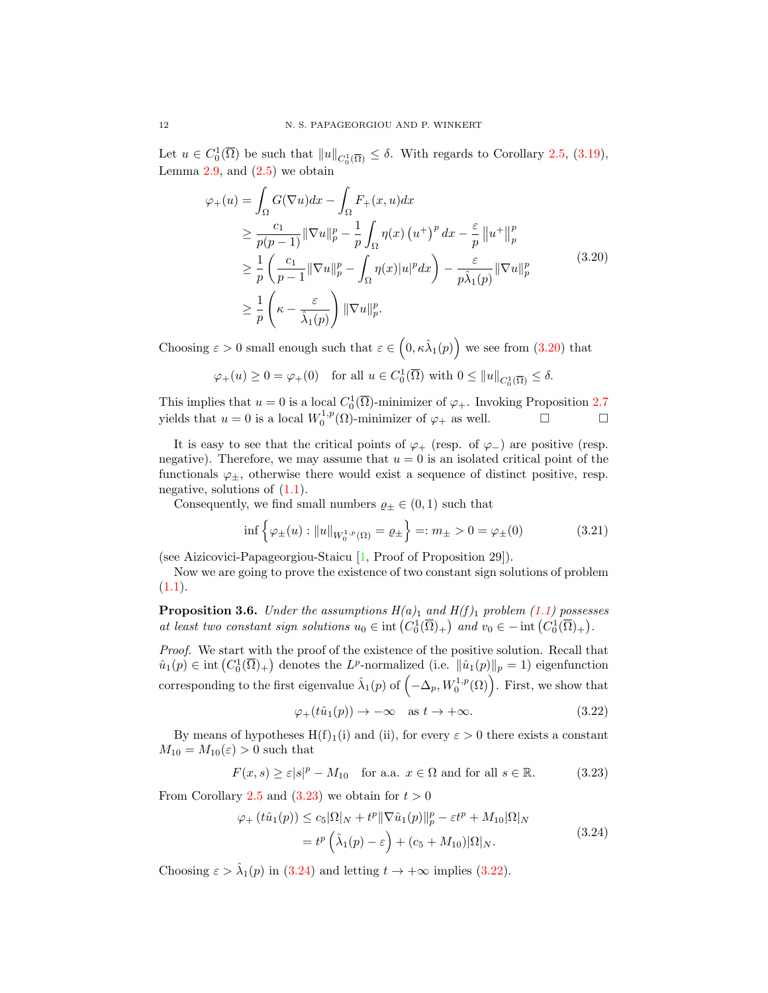Let  $u \in C_0^1(\overline{\Omega})$  be such that  $||u||_{C_0^1(\overline{\Omega})} \leq \delta$ . With regards to Corollary [2.5,](#page-3-3) [\(3.19\)](#page-10-2), Lemma  $2.9$ , and  $(2.5)$  we obtain

<span id="page-11-0"></span>
$$
\varphi_{+}(u) = \int_{\Omega} G(\nabla u) dx - \int_{\Omega} F_{+}(x, u) dx
$$
  
\n
$$
\geq \frac{c_{1}}{p(p-1)} ||\nabla u||_{p}^{p} - \frac{1}{p} \int_{\Omega} \eta(x) (u^{+})^{p} dx - \frac{\varepsilon}{p} ||u^{+}||_{p}^{p}
$$
  
\n
$$
\geq \frac{1}{p} \left( \frac{c_{1}}{p-1} ||\nabla u||_{p}^{p} - \int_{\Omega} \eta(x) |u|^{p} dx \right) - \frac{\varepsilon}{p \hat{\lambda}_{1}(p)} ||\nabla u||_{p}^{p}
$$
  
\n
$$
\geq \frac{1}{p} \left( \kappa - \frac{\varepsilon}{\hat{\lambda}_{1}(p)} \right) ||\nabla u||_{p}^{p}.
$$
\n(3.20)

Choosing  $\varepsilon > 0$  small enough such that  $\varepsilon \in (0, \kappa \hat{\lambda}_1(p))$  we see from [\(3.20\)](#page-11-0) that

$$
\varphi_+(u) \ge 0 = \varphi_+(0) \quad \text{for all } u \in C_0^1(\overline{\Omega}) \text{ with } 0 \le ||u||_{C_0^1(\overline{\Omega})} \le \delta.
$$

This implies that  $u = 0$  is a local  $C_0^1(\overline{\Omega})$ -minimizer of  $\varphi_+$ . Invoking Proposition [2.7](#page-4-3) yields that  $u = 0$  is a local  $W_0^{1,p}(\Omega)$ -minimizer of  $\varphi_+$  as well.  $\Box$ 

It is easy to see that the critical points of  $\varphi_+$  (resp. of  $\varphi_-$ ) are positive (resp. negative). Therefore, we may assume that  $u = 0$  is an isolated critical point of the functionals  $\varphi_{\pm}$ , otherwise there would exist a sequence of distinct positive, resp. negative, solutions of  $(1.1)$ .

Consequently, we find small numbers  $\varrho_{\pm} \in (0,1)$  such that

$$
\inf \left\{ \varphi_{\pm}(u) : \|u\|_{W_0^{1,p}(\Omega)} = \varrho_{\pm} \right\} =: m_{\pm} > 0 = \varphi_{\pm}(0) \tag{3.21}
$$

(see Aizicovici-Papageorgiou-Staicu [\[1,](#page-41-9) Proof of Proposition 29]).

Now we are going to prove the existence of two constant sign solutions of problem  $(1.1).$  $(1.1).$ 

<span id="page-11-5"></span>**Proposition 3.6.** Under the assumptions  $H(a)$ <sub>1</sub> and  $H(f)$ <sub>1</sub> problem [\(1.1\)](#page-0-0) possesses at least two constant sign solutions  $u_0 \in \text{int}\left(C_0^1(\overline{\Omega})_+\right)$  and  $v_0 \in -\text{int}\left(C_0^1(\overline{\Omega})_+\right)$ .

Proof. We start with the proof of the existence of the positive solution. Recall that  $\hat{u}_1(p) \in \text{int}\left(C_0^1(\overline{\Omega})_+\right)$  denotes the L<sup>p</sup>-normalized (i.e.  $\|\hat{u}_1(p)\|_p = 1$ ) eigenfunction corresponding to the first eigenvalue  $\hat{\lambda}_1(p)$  of  $(-\Delta_p, W_0^{1,p}(\Omega))$ . First, we show that

<span id="page-11-4"></span><span id="page-11-3"></span><span id="page-11-2"></span><span id="page-11-1"></span>
$$
\varphi_+(t\hat{u}_1(p)) \to -\infty \quad \text{as } t \to +\infty. \tag{3.22}
$$

By means of hypotheses  $H(f)_1(i)$  and (ii), for every  $\varepsilon > 0$  there exists a constant  $M_{10} = M_{10}(\varepsilon) > 0$  such that

$$
F(x,s) \ge \varepsilon |s|^p - M_{10} \quad \text{for a.a. } x \in \Omega \text{ and for all } s \in \mathbb{R}.\tag{3.23}
$$

From Corollary [2.5](#page-3-3) and  $(3.23)$  we obtain for  $t > 0$ 

$$
\varphi_{+}\left(t\hat{u}_{1}(p)\right) \leq c_{5}|\Omega|_{N} + t^{p} \|\nabla \hat{u}_{1}(p)\|_{p}^{p} - \varepsilon t^{p} + M_{10}|\Omega|_{N}
$$

$$
= t^{p} \left(\hat{\lambda}_{1}(p) - \varepsilon\right) + (c_{5} + M_{10})|\Omega|_{N}.
$$
(3.24)

Choosing  $\varepsilon > \hat{\lambda}_1(p)$  in [\(3.24\)](#page-11-2) and letting  $t \to +\infty$  implies [\(3.22\)](#page-11-3).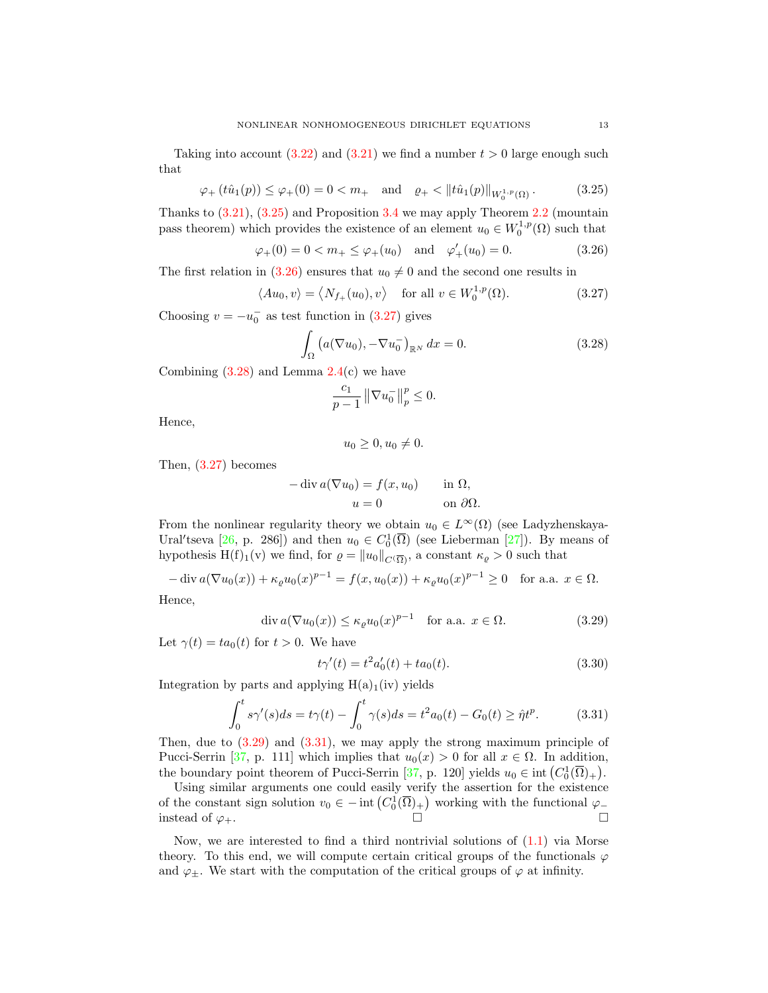Taking into account  $(3.22)$  and  $(3.21)$  we find a number  $t > 0$  large enough such that

$$
\varphi_+(t\hat{u}_1(p)) \le \varphi_+(0) = 0 < m_+ \quad \text{and} \quad \varrho_+ < \|t\hat{u}_1(p)\|_{W_0^{1,p}(\Omega)}\,. \tag{3.25}
$$

Thanks to [\(3.21\)](#page-11-4), [\(3.25\)](#page-12-0) and Proposition [3.4](#page-8-5) we may apply Theorem [2.2](#page-1-4) (mountain pass theorem) which provides the existence of an element  $u_0 \in W_0^{1,p}(\Omega)$  such that

$$
\varphi_{+}(0) = 0 < m_{+} \leq \varphi_{+}(u_{0}) \quad \text{and} \quad \varphi'_{+}(u_{0}) = 0.
$$
\n
$$
(3.26)
$$

The first relation in [\(3.26\)](#page-12-1) ensures that  $u_0 \neq 0$  and the second one results in

 $\langle Au_0, v \rangle = \langle N_{f_+}(u_0), v \rangle$  for all  $v \in W_0^{1,p}$  $(3.27)$ 

Choosing  $v = -u_0^-$  as test function in [\(3.27\)](#page-12-2) gives

<span id="page-12-0"></span>
$$
\int_{\Omega} \left( a(\nabla u_0), -\nabla u_0^-\right)_{\mathbb{R}^N} dx = 0.
$$
\n(3.28)

Combining  $(3.28)$  and Lemma  $2.4(c)$  $2.4(c)$  we have

<span id="page-12-3"></span><span id="page-12-2"></span><span id="page-12-1"></span>
$$
\frac{c_1}{p-1} \left\| \nabla u_0^- \right\|_p^p \le 0.
$$

Hence,

$$
u_0 \ge 0, u_0 \ne 0.
$$

Then, [\(3.27\)](#page-12-2) becomes

$$
-\operatorname{div} a(\nabla u_0) = f(x, u_0) \quad \text{in } \Omega,
$$
  

$$
u = 0 \quad \text{on } \partial\Omega.
$$

From the nonlinear regularity theory we obtain  $u_0 \in L^{\infty}(\Omega)$  (see Ladyzhenskaya-Ural'tseva [\[26,](#page-42-14) p. 286]) and then  $u_0 \in C_0^1(\overline{\Omega})$  (see Lieberman [\[27\]](#page-42-15)). By means of hypothesis H(f)<sub>1</sub>(v) we find, for  $\varrho = ||u_0||_{C(\overline{\Omega})}$ , a constant  $\kappa_{\varrho} > 0$  such that

 $-\text{div } a(\nabla u_0(x)) + \kappa_\varrho u_0(x)^{p-1} = f(x, u_0(x)) + \kappa_\varrho u_0(x)^{p-1} \geq 0 \text{ for a.a. } x \in \Omega.$ 

Hence,

$$
\operatorname{div} a(\nabla u_0(x)) \le \kappa_\varrho u_0(x)^{p-1} \quad \text{for a.a. } x \in \Omega. \tag{3.29}
$$

Let  $\gamma(t) = ta_0(t)$  for  $t > 0$ . We have

<span id="page-12-5"></span><span id="page-12-4"></span>
$$
t\gamma'(t) = t^2 a'_0(t) + t a_0(t). \tag{3.30}
$$

Integration by parts and applying  $H(a)_1(iv)$  yields

$$
\int_0^t s\gamma'(s)ds = t\gamma(t) - \int_0^t \gamma(s)ds = t^2 a_0(t) - G_0(t) \ge \hat{\eta}t^p.
$$
 (3.31)

Then, due to  $(3.29)$  and  $(3.31)$ , we may apply the strong maximum principle of Pucci-Serrin [\[37,](#page-42-16) p. 111] which implies that  $u_0(x) > 0$  for all  $x \in \Omega$ . In addition, the boundary point theorem of Pucci-Serrin [\[37,](#page-42-16) p. 120] yields  $u_0 \in \text{int}(C_0^1(\overline{\Omega})_+)$ .

Using similar arguments one could easily verify the assertion for the existence of the constant sign solution  $v_0 \in - \text{int} (C_0^1(\overline{\Omega})_+)$  working with the functional  $\varphi_$ instead of  $\varphi_+$ .

Now, we are interested to find a third nontrivial solutions of  $(1.1)$  via Morse theory. To this end, we will compute certain critical groups of the functionals  $\varphi$ and  $\varphi_{\pm}$ . We start with the computation of the critical groups of  $\varphi$  at infinity.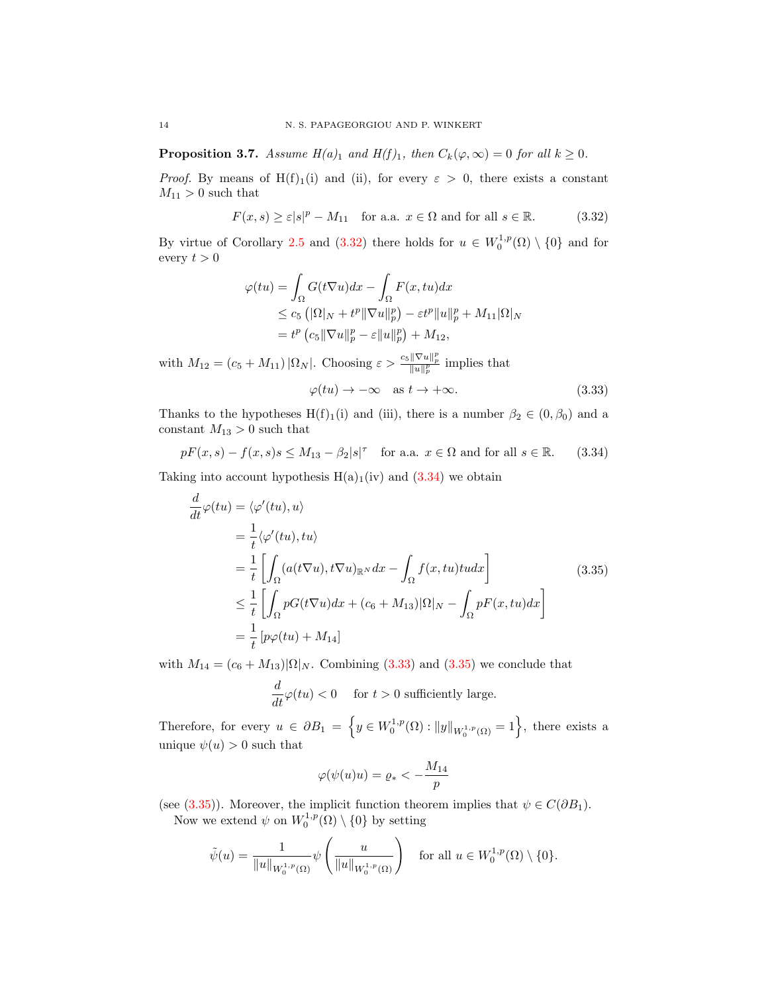<span id="page-13-4"></span>**Proposition 3.7.** Assume  $H(a)_1$  and  $H(f)_1$ , then  $C_k(\varphi,\infty) = 0$  for all  $k \geq 0$ .

*Proof.* By means of H(f)<sub>1</sub>(i) and (ii), for every  $\varepsilon > 0$ , there exists a constant  $M_{11} > 0$  such that

$$
F(x,s) \ge \varepsilon |s|^p - M_{11} \quad \text{for a.a. } x \in \Omega \text{ and for all } s \in \mathbb{R}.\tag{3.32}
$$

By virtue of Corollary [2.5](#page-3-3) and [\(3.32\)](#page-13-0) there holds for  $u \in W_0^{1,p}(\Omega) \setminus \{0\}$  and for every  $t > 0$ 

$$
\varphi(tu) = \int_{\Omega} G(t\nabla u)dx - \int_{\Omega} F(x, tu)dx
$$
  
\n
$$
\leq c_5 \left( |\Omega|_N + t^p \|\nabla u\|_p^p \right) - \varepsilon t^p \|u\|_p^p + M_{11} |\Omega|_N
$$
  
\n
$$
= t^p \left( c_5 \|\nabla u\|_p^p - \varepsilon \|u\|_p^p \right) + M_{12},
$$

with  $M_{12} = (c_5 + M_{11}) |\Omega_N|$ . Choosing  $\varepsilon > \frac{c_5 ||\nabla u||_p^p}{||u||_p^p}$  implies that

<span id="page-13-3"></span><span id="page-13-2"></span><span id="page-13-1"></span><span id="page-13-0"></span>
$$
\varphi(tu) \to -\infty \quad \text{as } t \to +\infty. \tag{3.33}
$$

Thanks to the hypotheses H(f)<sub>1</sub>(i) and (iii), there is a number  $\beta_2 \in (0, \beta_0)$  and a constant  $M_{13} > 0$  such that

 $pF(x, s) - f(x, s)s \leq M_{13} - \beta_2|s|^\tau$  for a.a.  $x \in \Omega$  and for all  $s \in \mathbb{R}$ . (3.34)

Taking into account hypothesis  $H(a)_1(iv)$  and  $(3.34)$  we obtain

$$
\frac{d}{dt}\varphi(tu) = \langle \varphi'(tu), u \rangle \n= \frac{1}{t} \langle \varphi'(tu), tu \rangle \n= \frac{1}{t} \left[ \int_{\Omega} (a(t\nabla u), t\nabla u)_{\mathbb{R}^N} dx - \int_{\Omega} f(x, tu) t u dx \right] \n\leq \frac{1}{t} \left[ \int_{\Omega} pG(t\nabla u) dx + (c_6 + M_{13}) |\Omega|_N - \int_{\Omega} pF(x, tu) dx \right] \n= \frac{1}{t} [p\varphi(tu) + M_{14}]
$$
\n(3.35)

with  $M_{14} = (c_6 + M_{13})|\Omega|_N$ . Combining [\(3.33\)](#page-13-2) and [\(3.35\)](#page-13-3) we conclude that

$$
\frac{d}{dt}\varphi(tu)<0\quad\text{ for }t>0\text{ sufficiently large}.
$$

Therefore, for every  $u \in \partial B_1 = \left\{ y \in W_0^{1,p}(\Omega) : ||y||_{W_0^{1,p}(\Omega)} = 1 \right\}$ , there exists a unique  $\psi(u) > 0$  such that

$$
\varphi(\psi(u)u) = \varrho_* < -\frac{M_{14}}{p}
$$

(see [\(3.35\)](#page-13-3)). Moreover, the implicit function theorem implies that  $\psi \in C(\partial B_1)$ . Now we extend  $\psi$  on  $W_0^{1,p}(\Omega) \setminus \{0\}$  by setting

$$
\tilde{\psi}(u) = \frac{1}{\|u\|_{W_0^{1,p}(\Omega)}} \psi\left(\frac{u}{\|u\|_{W_0^{1,p}(\Omega)}}\right) \text{ for all } u \in W_0^{1,p}(\Omega) \setminus \{0\}.
$$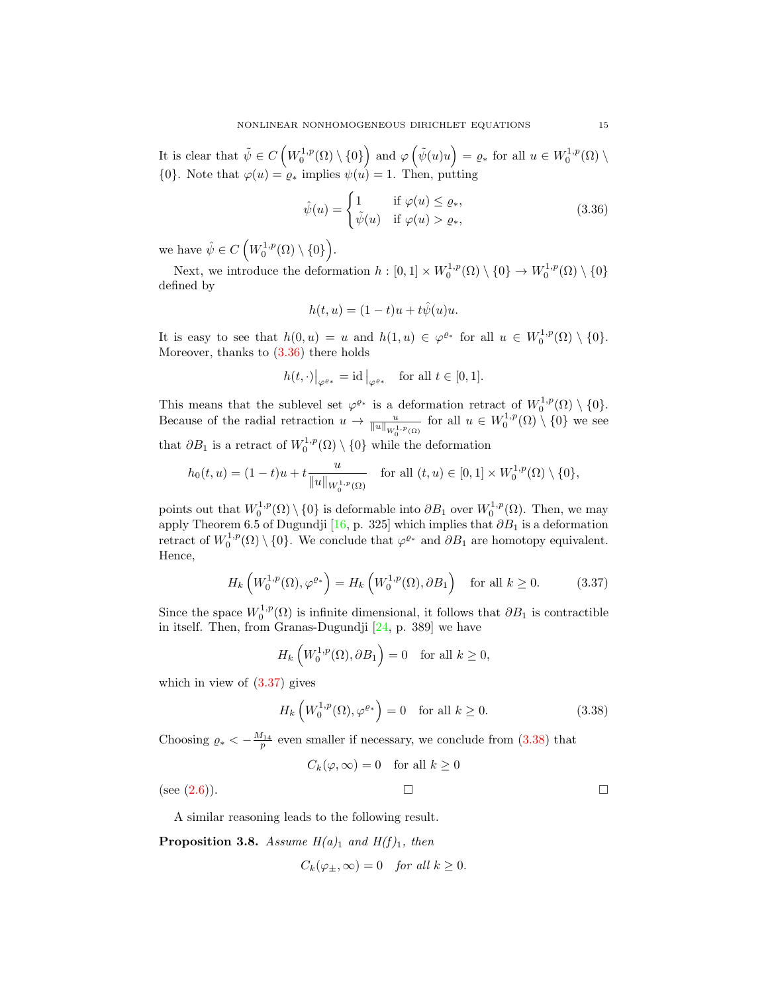It is clear that  $\tilde{\psi} \in C\left(W_0^{1,p}(\Omega) \setminus \{0\}\right)$  and  $\varphi\left(\tilde{\psi}(u)u\right) = \varrho_*$  for all  $u \in W_0^{1,p}(\Omega) \setminus$ {0}. Note that  $\varphi(u) = \varrho_*$  implies  $\psi(u) = 1$ . Then, putting

<span id="page-14-0"></span>
$$
\hat{\psi}(u) = \begin{cases}\n1 & \text{if } \varphi(u) \le \varrho_*, \\
\tilde{\psi}(u) & \text{if } \varphi(u) > \varrho_*,\n\end{cases}
$$
\n(3.36)

we have  $\hat{\psi} \in C\left(W_0^{1,p}(\Omega) \setminus \{0\}\right)$ .

Next, we introduce the deformation  $h: [0,1] \times W_0^{1,p}(\Omega) \setminus \{0\} \to W_0^{1,p}(\Omega) \setminus \{0\}$ defined by

$$
h(t, u) = (1 - t)u + t\hat{\psi}(u)u.
$$

It is easy to see that  $h(0, u) = u$  and  $h(1, u) \in \varphi^{\varrho_*}$  for all  $u \in W_0^{1, p}(\Omega) \setminus \{0\}.$ Moreover, thanks to  $(3.36)$  there holds

$$
h(t, \cdot)|_{\varphi^{\varrho_*}} = id|_{\varphi^{\varrho_*}} \quad \text{for all } t \in [0, 1].
$$

This means that the sublevel set  $\varphi^{\varrho_*}$  is a deformation retract of  $W_0^{1,p}(\Omega) \setminus \{0\}.$ Because of the radial retraction  $u \to \frac{u}{\|u\|_{W_0^{1,p}(\Omega)}}$  for all  $u \in W_0^{1,p}(\Omega) \setminus \{0\}$  we see that  $\partial B_1$  is a retract of  $W_0^{1,p}(\Omega) \setminus \{0\}$  while the deformation

$$
h_0(t, u) = (1 - t)u + t \frac{u}{\|u\|_{W_0^{1, p}(\Omega)}} \quad \text{for all } (t, u) \in [0, 1] \times W_0^{1, p}(\Omega) \setminus \{0\},\
$$

points out that  $W_0^{1,p}(\Omega) \setminus \{0\}$  is deformable into  $\partial B_1$  over  $W_0^{1,p}(\Omega)$ . Then, we may apply Theorem 6.5 of Dugundji [\[16,](#page-41-10) p. 325] which implies that  $\partial B_1$  is a deformation retract of  $W_0^{1,p}(\Omega) \setminus \{0\}$ . We conclude that  $\varphi^{\varrho_*}$  and  $\partial B_1$  are homotopy equivalent. Hence,

$$
H_k\left(W_0^{1,p}(\Omega),\varphi^{\varrho*}\right) = H_k\left(W_0^{1,p}(\Omega),\partial B_1\right) \quad \text{for all } k \ge 0. \tag{3.37}
$$

Since the space  $W_0^{1,p}(\Omega)$  is infinite dimensional, it follows that  $\partial B_1$  is contractible in itself. Then, from Granas-Dugundji [\[24,](#page-42-17) p. 389] we have

<span id="page-14-1"></span>
$$
H_k\left(W_0^{1,p}(\Omega),\partial B_1\right) = 0 \quad \text{for all } k \ge 0,
$$

which in view of [\(3.37\)](#page-14-1) gives

<span id="page-14-2"></span>
$$
H_k\left(W_0^{1,p}(\Omega),\varphi^{\varrho_*}\right) = 0 \quad \text{for all } k \ge 0. \tag{3.38}
$$

Choosing  $\rho_* < -\frac{M_{14}}{p}$  even smaller if necessary, we conclude from [\(3.38\)](#page-14-2) that

$$
C_k(\varphi, \infty) = 0 \quad \text{for all } k \ge 0
$$
  
(see (2.6)).

A similar reasoning leads to the following result.

<span id="page-14-3"></span>**Proposition 3.8.** Assume  $H(a)_1$  and  $H(f)_1$ , then

$$
C_k(\varphi_{\pm}, \infty) = 0 \quad \text{for all } k \ge 0.
$$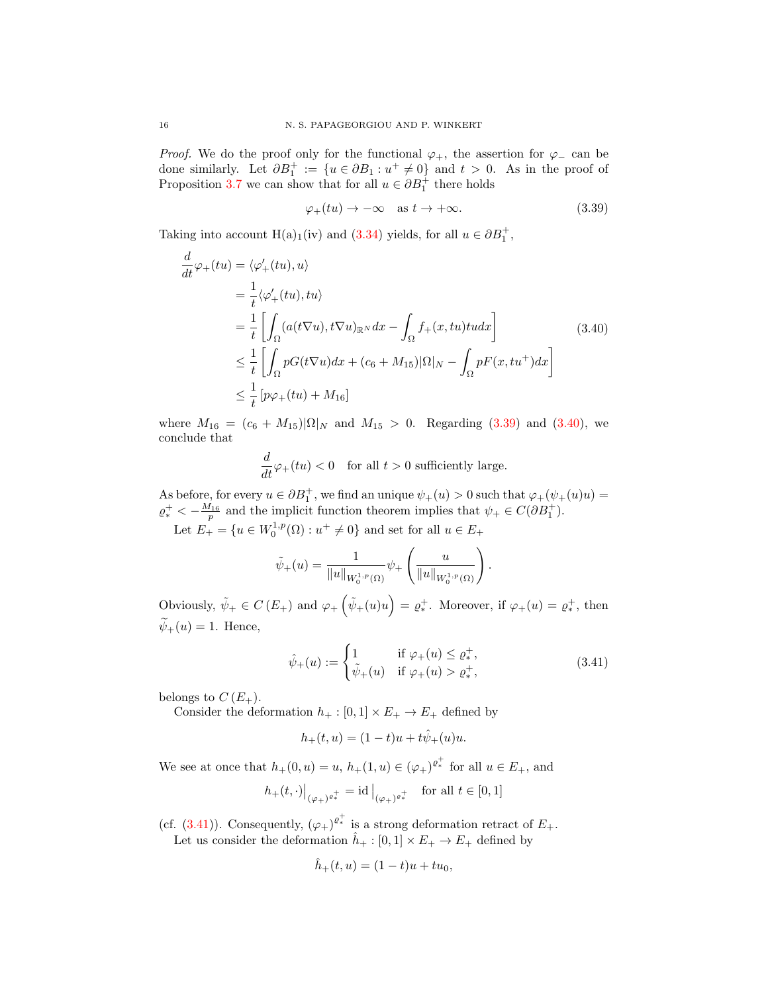*Proof.* We do the proof only for the functional  $\varphi_+$ , the assertion for  $\varphi_-$  can be done similarly. Let  $\partial B_1^+ := \{u \in \partial B_1 : u^+ \neq 0\}$  and  $t > 0$ . As in the proof of Proposition [3.7](#page-13-4) we can show that for all  $u \in \partial B_1^+$  there holds

<span id="page-15-1"></span><span id="page-15-0"></span>
$$
\varphi_{+}(tu) \to -\infty \quad \text{as } t \to +\infty. \tag{3.39}
$$

Taking into account H(a)<sub>1</sub>(iv) and [\(3.34\)](#page-13-1) yields, for all  $u \in \partial B_1^+$ ,

$$
\frac{d}{dt}\varphi_{+}(tu) = \langle \varphi'_{+}(tu), u \rangle \n= \frac{1}{t} \langle \varphi'_{+}(tu), tu \rangle \n= \frac{1}{t} \left[ \int_{\Omega} (a(t\nabla u), t\nabla u)_{\mathbb{R}^{N}} dx - \int_{\Omega} f_{+}(x, tu) t u dx \right] \qquad (3.40) \n\leq \frac{1}{t} \left[ \int_{\Omega} pG(t\nabla u) dx + (c_{6} + M_{15}) |\Omega|_{N} - \int_{\Omega} pF(x, tu^{+}) dx \right] \n\leq \frac{1}{t} \left[ p\varphi_{+}(tu) + M_{16} \right]
$$

where  $M_{16} = (c_6 + M_{15})|\Omega|_N$  and  $M_{15} > 0$ . Regarding [\(3.39\)](#page-15-0) and [\(3.40\)](#page-15-1), we conclude that

$$
\frac{d}{dt}\varphi_+(tu) < 0 \quad \text{for all } t > 0 \text{ sufficiently large.}
$$

As before, for every  $u \in \partial B_1^+$ , we find an unique  $\psi_+(u) > 0$  such that  $\varphi_+(\psi_+(u)u) =$  $\rho_*^+ < -\frac{M_{16}}{p}$  and the implicit function theorem implies that  $\psi_+ \in C(\partial B_1^+)$ .

Let  $E_{+} = \{u \in W_0^{1,p}(\Omega) : u^{+} \neq 0\}$  and set for all  $u \in E_{+}$ 

$$
\tilde{\psi}_{+}(u) = \frac{1}{\|u\|_{W_{0}^{1,p}(\Omega)}} \psi_{+}\left(\frac{u}{\|u\|_{W_{0}^{1,p}(\Omega)}}\right).
$$

Obviously,  $\tilde{\psi}_+ \in C(E_+)$  and  $\varphi_+\left(\tilde{\psi}_+(u)u\right) = \varrho_*^+$ . Moreover, if  $\varphi_+(u) = \varrho_*^+$ , then  $\widetilde{\psi}_+(u) = 1$ . Hence,

$$
\hat{\psi}_{+}(u) := \begin{cases} 1 & \text{if } \varphi_{+}(u) \leq \varrho_{*}^{+}, \\ \tilde{\psi}_{+}(u) & \text{if } \varphi_{+}(u) > \varrho_{*}^{+}, \end{cases}
$$
\n(3.41)

belongs to  $C(E_+).$ 

Consider the deformation  $h_+ : [0,1] \times E_+ \to E_+$  defined by

<span id="page-15-2"></span>
$$
h_{+}(t, u) = (1-t)u + t\hat{\psi}_{+}(u)u.
$$

We see at once that  $h_+(0, u) = u$ ,  $h_+(1, u) \in (\varphi_+)^{e^+_*}$  for all  $u \in E_+$ , and

$$
h_+(t,\cdot)\big|_{(\varphi_+)^{\varrho_*^+}} = \mathrm{id}\big|_{(\varphi_+)^{\varrho_*^+}} \quad \text{for all } t \in [0,1]
$$

(cf. [\(3.41\)](#page-15-2)). Consequently,  $(\varphi_+)^{e^+_*}$  is a strong deformation retract of  $E_+$ . Let us consider the deformation  $\hat{h}_+ : [0,1] \times E_+ \to E_+$  defined by

$$
\hat{h}_+(t, u) = (1 - t)u + tu_0,
$$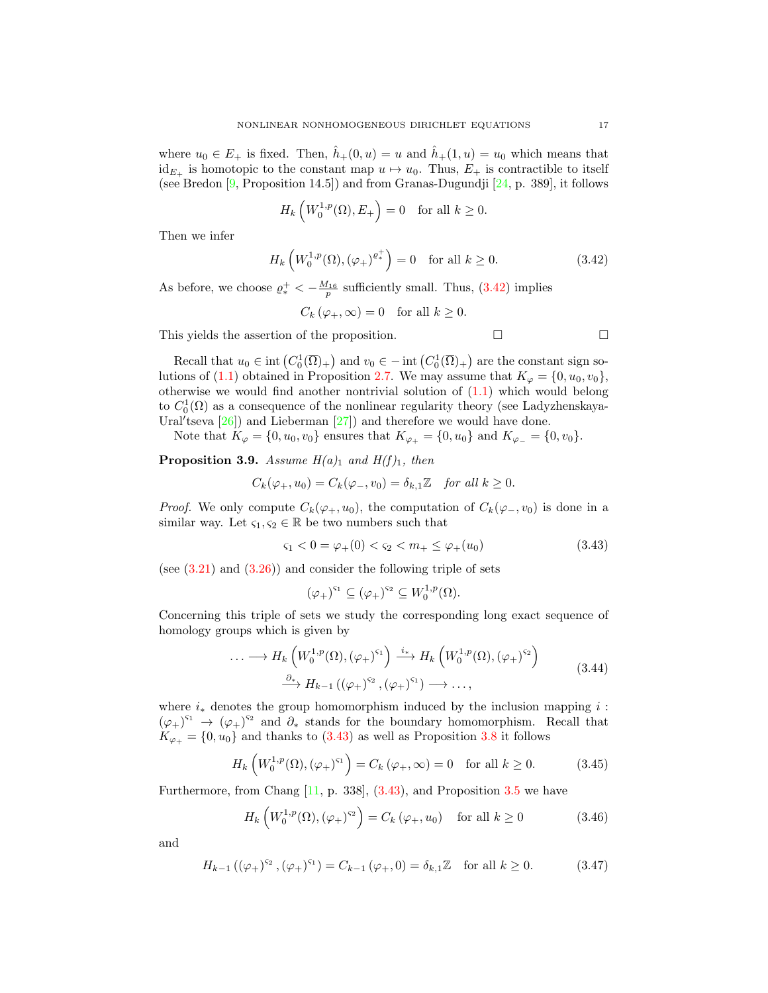where  $u_0 \in E_+$  is fixed. Then,  $\hat{h}_+(0, u) = u$  and  $\hat{h}_+(1, u) = u_0$  which means that  $id_{E_+}$  is homotopic to the constant map  $u \mapsto u_0$ . Thus,  $E_+$  is contractible to itself (see Bredon [\[9,](#page-41-11) Proposition 14.5]) and from Granas-Dugundji [\[24,](#page-42-17) p. 389], it follows

$$
H_k\left(W_0^{1,p}(\Omega), E_+\right) = 0 \quad \text{for all } k \ge 0.
$$

Then we infer

$$
H_k\left(W_0^{1,p}(\Omega), \left(\varphi_+\right)^{\varrho_*^+}\right) = 0 \quad \text{for all } k \ge 0. \tag{3.42}
$$

As before, we choose  $\rho_*^+ < -\frac{M_{16}}{p}$  sufficiently small. Thus, [\(3.42\)](#page-16-0) implies

<span id="page-16-0"></span>
$$
C_k(\varphi_+, \infty) = 0 \quad \text{for all } k \ge 0.
$$

This yields the assertion of the proposition.  $\Box$ 

Recall that 
$$
u_0 \in \text{int}(C_0^1(\overline{\Omega})_+)
$$
 and  $v_0 \in -\text{int}(C_0^1(\overline{\Omega})_+)$  are the constant sign solutions of (1.1) obtained in Proposition 2.7. We may assume that  $K_{\varphi} = \{0, u_0, v_0\}$ , otherwise we would find another nontrivial solution of (1.1) which would belong to  $C_0^1(\Omega)$  as a consequence of the nonlinear regularity theory (see Ladyzhenskaya-  
Ural'tseva [26]) and Lieberman [27]) and therefore we would have done.

Note that  $K_{\varphi} = \{0, u_0, v_0\}$  ensures that  $K_{\varphi_+} = \{0, u_0\}$  and  $K_{\varphi_-} = \{0, v_0\}.$ 

<span id="page-16-5"></span>**Proposition 3.9.** Assume  $H(a)_1$  and  $H(f)_1$ , then

$$
C_k(\varphi_+, u_0) = C_k(\varphi_-, v_0) = \delta_{k,1} \mathbb{Z} \quad \text{for all } k \ge 0.
$$

*Proof.* We only compute  $C_k(\varphi_+, u_0)$ , the computation of  $C_k(\varphi_-, v_0)$  is done in a similar way. Let  $\varsigma_1, \varsigma_2 \in \mathbb{R}$  be two numbers such that

$$
\varsigma_1 < 0 = \varphi_+(0) < \varsigma_2 < m_+ \leq \varphi_+(u_0) \tag{3.43}
$$

(see  $(3.21)$ ) and  $(3.26)$ ) and consider the following triple of sets

<span id="page-16-4"></span><span id="page-16-2"></span><span id="page-16-1"></span>
$$
(\varphi_+)^{\varsigma_1}\subseteq (\varphi_+)^{\varsigma_2}\subseteq W^{1,p}_0(\Omega).
$$

Concerning this triple of sets we study the corresponding long exact sequence of homology groups which is given by

$$
\cdots \longrightarrow H_k\left(W_0^{1,p}(\Omega), (\varphi_+)^{s_1}\right) \xrightarrow{i_*} H_k\left(W_0^{1,p}(\Omega), (\varphi_+)^{s_2}\right)
$$
  

$$
\xrightarrow{\partial_*} H_{k-1}\left((\varphi_+)^{s_2}, (\varphi_+)^{s_1}\right) \longrightarrow \cdots,
$$
 (3.44)

where  $i_{\ast}$  denotes the group homomorphism induced by the inclusion mapping i:  $(\varphi_+)^{s_1} \to (\varphi_+)^{s_2}$  and  $\partial_*$  stands for the boundary homomorphism. Recall that  $K_{\varphi_+} = \{0, u_0\}$  and thanks to [\(3.43\)](#page-16-1) as well as Proposition [3.8](#page-14-3) it follows

$$
H_k\left(W_0^{1,p}(\Omega), (\varphi_+)^{\varsigma_1}\right) = C_k\left(\varphi_+, \infty\right) = 0 \quad \text{for all } k \ge 0. \tag{3.45}
$$

Furthermore, from Chang [\[11,](#page-41-8) p. 338], [\(3.43\)](#page-16-1), and Proposition [3.5](#page-10-3) we have

<span id="page-16-3"></span>
$$
H_k\left(W_0^{1,p}(\Omega),\left(\varphi_+\right)^{s_2}\right) = C_k\left(\varphi_+,u_0\right) \quad \text{for all } k \ge 0 \tag{3.46}
$$

and

$$
H_{k-1}((\varphi_+)^{s_2}, (\varphi_+)^{s_1}) = C_{k-1}(\varphi_+, 0) = \delta_{k,1}\mathbb{Z} \text{ for all } k \ge 0.
$$
 (3.47)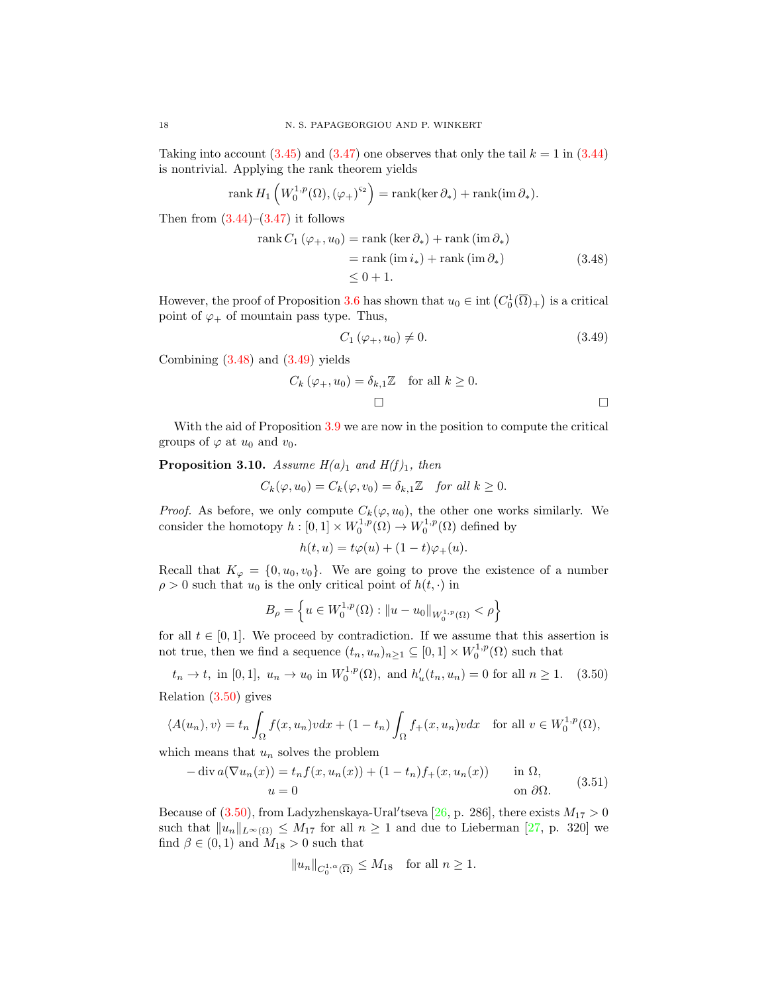Taking into account  $(3.45)$  and  $(3.47)$  one observes that only the tail  $k = 1$  in  $(3.44)$ is nontrivial. Applying the rank theorem yields

rank 
$$
H_1\left(W_0^{1,p}(\Omega), (\varphi_+)^{s_2}\right) = \text{rank}(\ker \partial_*) + \text{rank}(\text{im }\partial_*)
$$
.

Then from  $(3.44)$ – $(3.47)$  it follows

$$
\operatorname{rank} C_1 (\varphi_+, u_0) = \operatorname{rank} (\ker \partial_*) + \operatorname{rank} (\operatorname{im} \partial_*)
$$
  
=  $\operatorname{rank} (\operatorname{im} i_*) + \operatorname{rank} (\operatorname{im} \partial_*)$   
 $\leq 0 + 1.$  (3.48)

However, the proof of Proposition [3.6](#page-11-5) has shown that  $u_0 \in \text{int}\left( C_0^1(\overline{\Omega})_+\right)$  is a critical point of  $\varphi_+$  of mountain pass type. Thus,

<span id="page-17-1"></span><span id="page-17-0"></span>
$$
C_1 \left( \varphi_+, u_0 \right) \neq 0. \tag{3.49}
$$

Combining [\(3.48\)](#page-17-0) and [\(3.49\)](#page-17-1) yields

$$
C_k(\varphi_+, u_0) = \delta_{k,1} \mathbb{Z} \quad \text{for all } k \ge 0.
$$

With the aid of Proposition [3.9](#page-16-5) we are now in the position to compute the critical groups of  $\varphi$  at  $u_0$  and  $v_0$ .

<span id="page-17-4"></span>**Proposition 3.10.** Assume  $H(a)_1$  and  $H(f)_1$ , then

$$
C_k(\varphi, u_0) = C_k(\varphi, v_0) = \delta_{k,1} \mathbb{Z} \quad \text{for all } k \ge 0.
$$

*Proof.* As before, we only compute  $C_k(\varphi, u_0)$ , the other one works similarly. We consider the homotopy  $h: [0,1] \times W_0^{1,p}(\Omega) \to W_0^{1,p}(\Omega)$  defined by

<span id="page-17-2"></span>
$$
h(t, u) = t\varphi(u) + (1 - t)\varphi_+(u).
$$

Recall that  $K_{\varphi} = \{0, u_0, v_0\}$ . We are going to prove the existence of a number  $\rho > 0$  such that  $u_0$  is the only critical point of  $h(t, \cdot)$  in

$$
B_{\rho} = \left\{ u \in W_0^{1,p}(\Omega) : \|u - u_0\|_{W_0^{1,p}(\Omega)} < \rho \right\}
$$

for all  $t \in [0, 1]$ . We proceed by contradiction. If we assume that this assertion is not true, then we find a sequence  $(t_n, u_n)_{n \geq 1} \subseteq [0, 1] \times W_0^{1, p}(\Omega)$  such that

$$
t_n \to t
$$
, in [0, 1],  $u_n \to u_0$  in  $W_0^{1,p}(\Omega)$ , and  $h'_u(t_n, u_n) = 0$  for all  $n \ge 1$ . (3.50)

Relation [\(3.50\)](#page-17-2) gives

$$
\langle A(u_n), v \rangle = t_n \int_{\Omega} f(x, u_n) v dx + (1 - t_n) \int_{\Omega} f_+(x, u_n) v dx \quad \text{for all } v \in W_0^{1, p}(\Omega),
$$

which means that  $u_n$  solves the problem

<span id="page-17-3"></span>
$$
-\operatorname{div} a(\nabla u_n(x)) = t_n f(x, u_n(x)) + (1 - t_n) f_+(x, u_n(x)) \quad \text{in } \Omega,
$$
  
\n
$$
u = 0 \quad \text{on } \partial\Omega.
$$
 (3.51)

Because of  $(3.50)$ , from Ladyzhenskaya-Ural'tseva [\[26,](#page-42-14) p. 286], there exists  $M_{17} > 0$ such that  $||u_n||_{L^{\infty}(\Omega)} \leq M_{17}$  for all  $n \geq 1$  and due to Lieberman [\[27,](#page-42-15) p. 320] we find  $\beta \in (0,1)$  and  $M_{18} > 0$  such that

$$
||u_n||_{C_0^{1,\alpha}(\overline{\Omega})} \le M_{18} \quad \text{for all } n \ge 1.
$$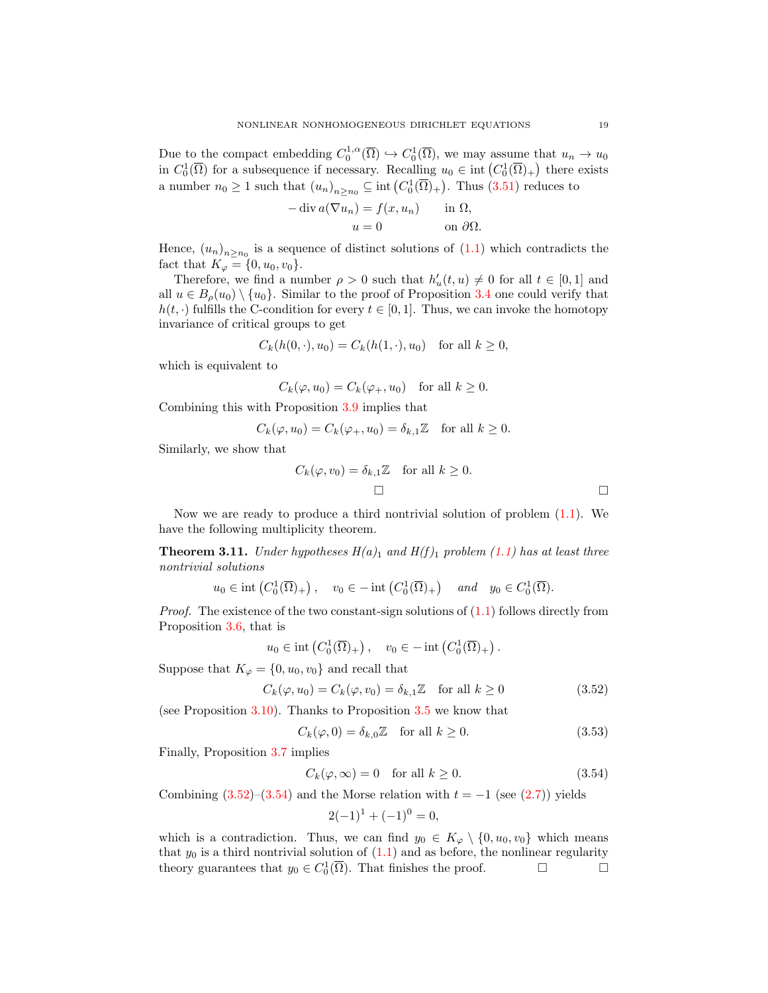Due to the compact embedding  $C_0^{1,\alpha}(\overline{\Omega}) \hookrightarrow C_0^1(\overline{\Omega})$ , we may assume that  $u_n \to u_0$ in  $C_0^1(\overline{\Omega})$  for a subsequence if necessary. Recalling  $u_0 \in \text{int}(C_0^1(\overline{\Omega})_+)$  there exists a number  $n_0 \geq 1$  such that  $(u_n)_{n \geq n_0} \subseteq \text{int}(C_0^1(\overline{\Omega})_+)$ . Thus  $(3.51)$  reduces to

$$
-\operatorname{div} a(\nabla u_n) = f(x, u_n) \quad \text{in } \Omega,
$$

$$
u = 0 \quad \text{on } \partial\Omega.
$$

Hence,  $(u_n)_{n \ge n_0}$  is a sequence of distinct solutions of  $(1.1)$  which contradicts the fact that  $K_{\varphi} = \{0, u_0, v_0\}.$ 

Therefore, we find a number  $\rho > 0$  such that  $h'_u(t, u) \neq 0$  for all  $t \in [0, 1]$  and all  $u \in B<sub>o</sub>(u<sub>0</sub>) \setminus \{u<sub>0</sub>\}.$  Similar to the proof of Proposition [3.4](#page-8-5) one could verify that  $h(t, \cdot)$  fulfills the C-condition for every  $t \in [0, 1]$ . Thus, we can invoke the homotopy invariance of critical groups to get

$$
C_k(h(0, \cdot), u_0) = C_k(h(1, \cdot), u_0)
$$
 for all  $k \ge 0$ ,

which is equivalent to

$$
C_k(\varphi, u_0) = C_k(\varphi_+, u_0) \quad \text{for all } k \ge 0.
$$

Combining this with Proposition [3.9](#page-16-5) implies that

$$
C_k(\varphi, u_0) = C_k(\varphi_+, u_0) = \delta_{k,1} \mathbb{Z} \quad \text{for all } k \ge 0.
$$

Similarly, we show that

$$
C_k(\varphi, v_0) = \delta_{k,1} \mathbb{Z} \quad \text{for all } k \ge 0.
$$

Now we are ready to produce a third nontrivial solution of problem  $(1.1)$ . We have the following multiplicity theorem.

<span id="page-18-2"></span>**Theorem 3.11.** Under hypotheses  $H(a)$ <sub>1</sub> and  $H(f)$ <sub>1</sub> problem [\(1.1\)](#page-0-0) has at least three nontrivial solutions

$$
u_0 \in \text{int}\left(C_0^1(\overline{\Omega})_+\right), \quad v_0 \in -\text{int}\left(C_0^1(\overline{\Omega})_+\right) \quad \text{and} \quad y_0 \in C_0^1(\overline{\Omega}).
$$

*Proof.* The existence of the two constant-sign solutions of  $(1.1)$  follows directly from Proposition [3.6,](#page-11-5) that is

$$
u_0 \in \text{int}\left(C_0^1(\overline{\Omega})_+\right), \quad v_0 \in -\text{int}\left(C_0^1(\overline{\Omega})_+\right).
$$

Suppose that  $K_{\varphi} = \{0, u_0, v_0\}$  and recall that

$$
C_k(\varphi, u_0) = C_k(\varphi, v_0) = \delta_{k,1} \mathbb{Z} \quad \text{for all } k \ge 0
$$
 (3.52)

(see Proposition [3.10\)](#page-17-4). Thanks to Proposition [3.5](#page-10-3) we know that

<span id="page-18-0"></span>
$$
C_k(\varphi, 0) = \delta_{k,0} \mathbb{Z} \quad \text{for all } k \ge 0.
$$
 (3.53)

Finally, Proposition [3.7](#page-13-4) implies

$$
C_k(\varphi,\infty) = 0 \quad \text{for all } k \ge 0. \tag{3.54}
$$

Combining  $(3.52)$ – $(3.54)$  and the Morse relation with  $t = -1$  (see  $(2.7)$ ) yields

<span id="page-18-1"></span>
$$
2(-1)^{1} + (-1)^{0} = 0,
$$

which is a contradiction. Thus, we can find  $y_0 \in K_{\varphi} \setminus \{0, u_0, v_0\}$  which means that  $y_0$  is a third nontrivial solution of  $(1.1)$  and as before, the nonlinear regularity theory guarantees that  $y_0 \in C_0^1(\overline{\Omega})$ . That finishes the proof.  $\Box$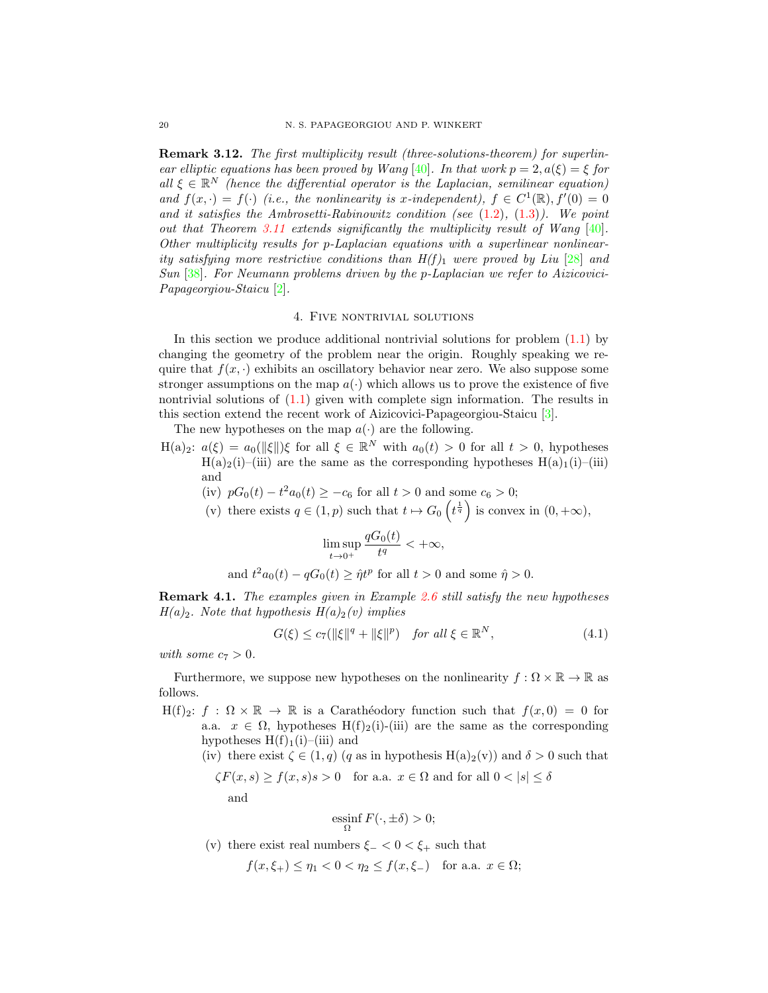Remark 3.12. The first multiplicity result (three-solutions-theorem) for superlin-ear elliptic equations has been proved by Wang [\[40\]](#page-42-12). In that work  $p = 2, a(\xi) = \xi$  for all  $\xi \in \mathbb{R}^N$  (hence the differential operator is the Laplacian, semilinear equation) and  $f(x, \cdot) = f(\cdot)$  (i.e., the nonlinearity is x-independent),  $f \in C^1(\mathbb{R})$ ,  $f'(0) = 0$ and it satisfies the Ambrosetti-Rabinowitz condition (see  $(1.2)$ ,  $(1.3)$ ). We point out that Theorem [3.11](#page-18-2) extends significantly the multiplicity result of Wang [\[40\]](#page-42-12). Other multiplicity results for p-Laplacian equations with a superlinear nonlinearity satisfying more restrictive conditions than  $H(f)_1$  were proved by Liu [\[28\]](#page-42-0) and Sun [\[38\]](#page-42-2). For Neumann problems driven by the p-Laplacian we refer to Aizicovici-Papageorgiou-Staicu [\[2\]](#page-41-12).

## 4. Five nontrivial solutions

<span id="page-19-1"></span>In this section we produce additional nontrivial solutions for problem  $(1.1)$  by changing the geometry of the problem near the origin. Roughly speaking we require that  $f(x, \cdot)$  exhibits an oscillatory behavior near zero. We also suppose some stronger assumptions on the map  $a(\cdot)$  which allows us to prove the existence of five nontrivial solutions of  $(1.1)$  given with complete sign information. The results in this section extend the recent work of Aizicovici-Papageorgiou-Staicu [\[3\]](#page-41-13).

The new hypotheses on the map  $a(\cdot)$  are the following.

H(a)<sub>2</sub>:  $a(\xi) = a_0(\|\xi\|)\xi$  for all  $\xi \in \mathbb{R}^N$  with  $a_0(t) > 0$  for all  $t > 0$ , hypotheses  $H(a)_2(i)$ –(iii) are the same as the corresponding hypotheses  $H(a)_1(i)$ –(iii) and

- (iv)  $pG_0(t) t^2 a_0(t) \ge -c_6$  for all  $t > 0$  and some  $c_6 > 0$ ;
- (v) there exists  $q \in (1, p)$  such that  $t \mapsto G_0\left(t^{\frac{1}{q}}\right)$  is convex in  $(0, +\infty)$ ,

<span id="page-19-0"></span>
$$
\limsup_{t \to 0^+} \frac{qG_0(t)}{t^q} < +\infty,
$$

and  $t^2 a_0(t) - q G_0(t) \geq \hat{\eta} t^p$  for all  $t > 0$  and some  $\hat{\eta} > 0$ .

Remark 4.1. The examples given in Example [2.6](#page-3-2) still satisfy the new hypotheses  $H(a)_2$ . Note that hypothesis  $H(a)_2(v)$  implies

$$
G(\xi) \le c_7(||\xi||^q + ||\xi||^p) \quad \text{for all } \xi \in \mathbb{R}^N,\tag{4.1}
$$

with some  $c_7 > 0$ .

Furthermore, we suppose new hypotheses on the nonlinearity  $f : \Omega \times \mathbb{R} \to \mathbb{R}$  as follows.

 $H(f)_2: f : \Omega \times \mathbb{R} \to \mathbb{R}$  is a Carathéodory function such that  $f(x, 0) = 0$  for a.a.  $x \in \Omega$ , hypotheses H(f)<sub>2</sub>(i)-(iii) are the same as the corresponding hypotheses  $H(f)<sub>1</sub>(i)–(iii)$  and

(iv) there exist  $\zeta \in (1,q)$  (q as in hypothesis H(a)<sub>2</sub>(v)) and  $\delta > 0$  such that

$$
\zeta F(x, s) \ge f(x, s)s > 0
$$
 for a.a.  $x \in \Omega$  and for all  $0 < |s| \le \delta$ 

and

$$
\operatorname*{ess\,inf}_{\Omega} F(\cdot,\pm \delta) > 0;
$$

(v) there exist real numbers  $\xi_{-} < 0 < \xi_{+}$  such that

$$
f(x,\xi_+) \le \eta_1 < 0 < \eta_2 \le f(x,\xi_-)
$$
 for a.a.  $x \in \Omega$ ;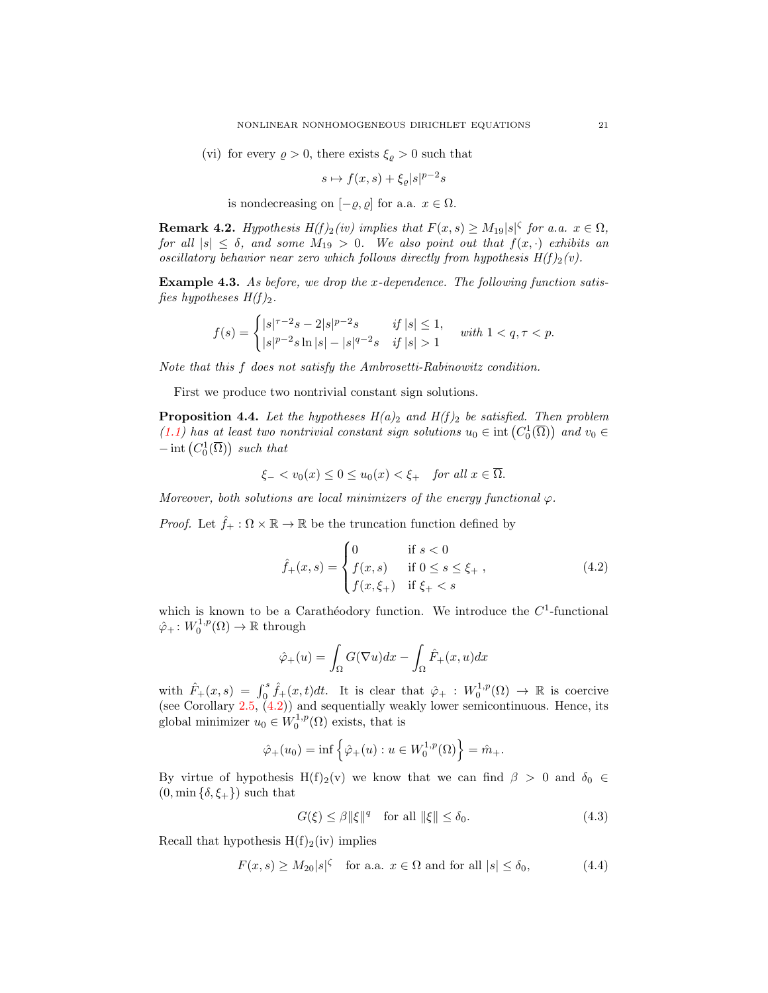(vi) for every  $\rho > 0$ , there exists  $\xi_{\rho} > 0$  such that

$$
s \mapsto f(x, s) + \xi_{\varrho} |s|^{p-2} s
$$

is nondecreasing on  $[-\varrho, \varrho]$  for a.a.  $x \in \Omega$ .

**Remark 4.2.** Hypothesis  $H(f)_2(iv)$  implies that  $F(x,s) \geq M_{19}|s|^\zeta$  for a.a.  $x \in \Omega$ , for all  $|s| \leq \delta$ , and some  $M_{19} > 0$ . We also point out that  $f(x, \cdot)$  exhibits an oscillatory behavior near zero which follows directly from hypothesis  $H(f)_2(v)$ .

Example 4.3. As before, we drop the x-dependence. The following function satisfies hypotheses  $H(f)_2$ .

$$
f(s) = \begin{cases} |s|^{\tau-2}s - 2|s|^{p-2}s & \text{if } |s| \le 1, \\ |s|^{p-2}s \ln |s| - |s|^{q-2}s & \text{if } |s| > 1 \end{cases} \text{ with } 1 < q, \tau < p.
$$

Note that this f does not satisfy the Ambrosetti-Rabinowitz condition.

First we produce two nontrivial constant sign solutions.

<span id="page-20-3"></span>**Proposition 4.4.** Let the hypotheses  $H(a)_2$  and  $H(f)_2$  be satisfied. Then problem [\(1.1\)](#page-0-0) has at least two nontrivial constant sign solutions  $u_0 \in \text{int}(C_0^1(\overline{\Omega}))$  and  $v_0 \in$  $-\operatorname{int}\left(C_0^1(\overline{\Omega})\right)$  such that

$$
\xi_- < v_0(x) \le 0 \le u_0(x) < \xi_+ \quad \text{for all } x \in \Omega.
$$

Moreover, both solutions are local minimizers of the energy functional  $\varphi$ .

*Proof.* Let  $\hat{f}_+ : \Omega \times \mathbb{R} \to \mathbb{R}$  be the truncation function defined by

<span id="page-20-0"></span>
$$
\hat{f}_{+}(x,s) = \begin{cases}\n0 & \text{if } s < 0 \\
f(x,s) & \text{if } 0 \le s \le \xi_{+} , \\
f(x,\xi_{+}) & \text{if } \xi_{+} < s\n\end{cases}
$$
\n(4.2)

which is known to be a Carathéodory function. We introduce the  $C<sup>1</sup>$ -functional  $\hat{\varphi}_+ \colon W_0^{1,p}(\Omega) \to \mathbb{R}$  through

$$
\hat{\varphi}_+(u) = \int_{\Omega} G(\nabla u) dx - \int_{\Omega} \hat{F}_+(x, u) dx
$$

with  $\hat{F}_+(x,s) = \int_0^s \hat{f}_+(x,t)dt$ . It is clear that  $\hat{\varphi}_+ : W_0^{1,p}(\Omega) \to \mathbb{R}$  is coercive (see Corollary  $2.5, (4.2)$  $2.5, (4.2)$ ) and sequentially weakly lower semicontinuous. Hence, its global minimizer  $u_0 \in W_0^{1,p}(\Omega)$  exists, that is

$$
\hat{\varphi}_+(u_0) = \inf \{ \hat{\varphi}_+(u) : u \in W_0^{1,p}(\Omega) \} = \hat{m}_+.
$$

By virtue of hypothesis H(f)<sub>2</sub>(v) we know that we can find  $\beta > 0$  and  $\delta_0 \in$  $(0, \min{\{\delta, \xi_+\}})$  such that

<span id="page-20-2"></span><span id="page-20-1"></span>
$$
G(\xi) \le \beta \|\xi\|^q \quad \text{for all } \|\xi\| \le \delta_0. \tag{4.3}
$$

Recall that hypothesis  $H(f)_2(iv)$  implies

$$
F(x,s) \ge M_{20}|s|^{\zeta} \quad \text{for a.a. } x \in \Omega \text{ and for all } |s| \le \delta_0,
$$
 (4.4)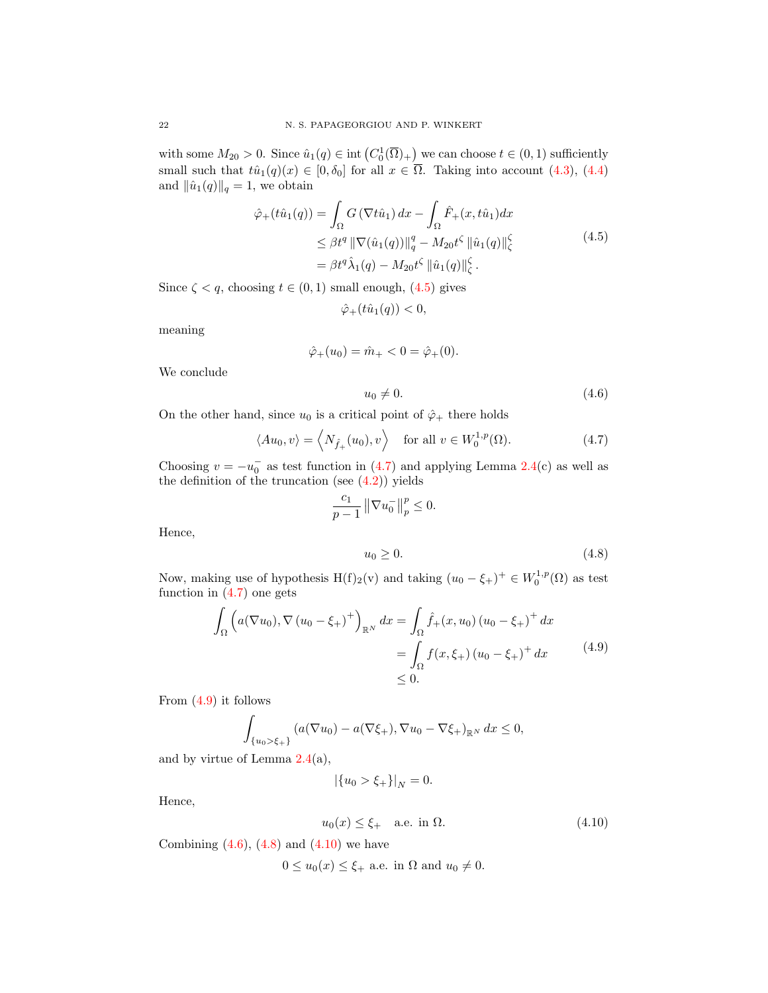with some  $M_{20} > 0$ . Since  $\hat{u}_1(q) \in \text{int}\left(C_0^1(\overline{\Omega})_+\right)$  we can choose  $t \in (0,1)$  sufficiently small such that  $t\hat{u}_1(q)(x) \in [0, \delta_0]$  for all  $x \in \overline{\Omega}$ . Taking into account [\(4.3\)](#page-20-1), [\(4.4\)](#page-20-2) and  $\|\hat{u}_1(q)\|_q = 1$ , we obtain

$$
\hat{\varphi}_{+}(t\hat{u}_{1}(q)) = \int_{\Omega} G\left(\nabla t\hat{u}_{1}\right) dx - \int_{\Omega} \hat{F}_{+}(x, t\hat{u}_{1}) dx \n\leq \beta t^{q} \|\nabla(\hat{u}_{1}(q))\|_{q}^{q} - M_{20} t^{\zeta} \|\hat{u}_{1}(q)\|_{\zeta}^{\zeta} \n= \beta t^{q} \hat{\lambda}_{1}(q) - M_{20} t^{\zeta} \|\hat{u}_{1}(q)\|_{\zeta}^{\zeta}.
$$
\n(4.5)

Since  $\zeta < q$ , choosing  $t \in (0,1)$  small enough,  $(4.5)$  gives

<span id="page-21-0"></span>
$$
\hat{\varphi}_+(t\hat{u}_1(q)) < 0,
$$

meaning

$$
\hat{\varphi}_+(u_0) = \hat{m}_+ < 0 = \hat{\varphi}_+(0).
$$

We conclude

<span id="page-21-3"></span><span id="page-21-1"></span>
$$
u_0 \neq 0. \tag{4.6}
$$

On the other hand, since  $u_0$  is a critical point of  $\hat{\varphi}_+$  there holds

$$
\langle Au_0, v \rangle = \left\langle N_{\hat{f}_+}(u_0), v \right\rangle \quad \text{for all } v \in W_0^{1,p}(\Omega). \tag{4.7}
$$

Choosing  $v = -u_0^-$  as test function in [\(4.7\)](#page-21-1) and applying Lemma [2.4\(](#page-3-0)c) as well as the definition of the truncation (see  $(4.2)$ ) yields

$$
\frac{c_1}{p-1} \left\| \nabla u_0^- \right\|_p^p \le 0.
$$

Hence,

<span id="page-21-4"></span><span id="page-21-2"></span>
$$
u_0 \ge 0. \tag{4.8}
$$

Now, making use of hypothesis  $H(f)_2(v)$  and taking  $(u_0 - \xi_+)^\perp \in W_0^{1,p}(\Omega)$  as test function in  $(4.7)$  one gets

$$
\int_{\Omega} \left( a(\nabla u_0), \nabla (u_0 - \xi_+)^\dagger \right)_{\mathbb{R}^N} dx = \int_{\Omega} \hat{f}_+(x, u_0) (u_0 - \xi_+)^\dagger dx
$$
\n
$$
= \int_{\Omega} f(x, \xi_+) (u_0 - \xi_+)^\dagger dx \tag{4.9}
$$
\n
$$
\leq 0.
$$

From  $(4.9)$  it follows

$$
\int_{\{u_0 > \xi_+\}} (a(\nabla u_0) - a(\nabla \xi_+), \nabla u_0 - \nabla \xi_+)_{\mathbb{R}^N} dx \le 0,
$$

and by virtue of Lemma  $2.4(a)$  $2.4(a)$ ,

<span id="page-21-5"></span>
$$
|\{u_0 > \xi_+\}|_N = 0.
$$

Hence,

$$
u_0(x) \le \xi_+ \quad \text{a.e. in } \Omega. \tag{4.10}
$$

Combining  $(4.6)$ ,  $(4.8)$  and  $(4.10)$  we have

 $0 \le u_0(x) \le \xi_+$  a.e. in  $\Omega$  and  $u_0 \neq 0$ .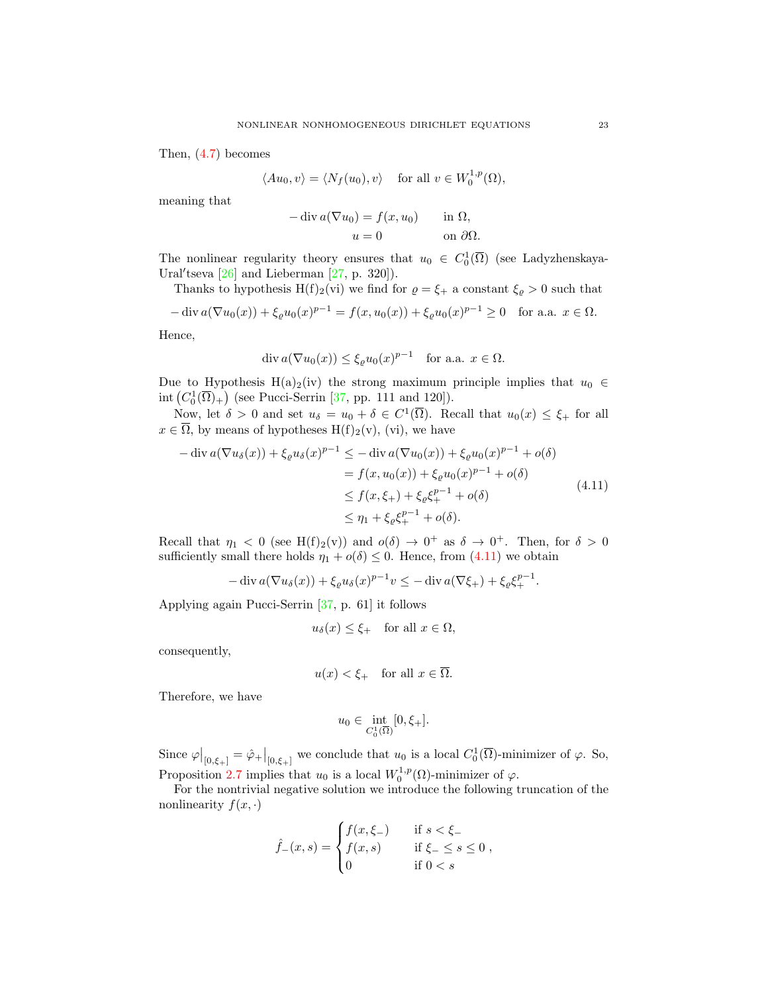Then, [\(4.7\)](#page-21-1) becomes

$$
\langle Au_0, v \rangle = \langle N_f(u_0), v \rangle
$$
 for all  $v \in W_0^{1,p}(\Omega)$ ,

meaning that

$$
-\operatorname{div} a(\nabla u_0) = f(x, u_0) \quad \text{in } \Omega,
$$
  

$$
u = 0 \quad \text{on } \partial\Omega.
$$

The nonlinear regularity theory ensures that  $u_0 \in C_0^1(\overline{\Omega})$  (see Ladyzhenskaya-Ural'tseva  $[26]$  and Lieberman  $[27, p. 320]$ .

Thanks to hypothesis H(f)<sub>2</sub>(vi) we find for  $\rho = \xi_{+}$  a constant  $\xi_{\varrho} > 0$  such that

$$
-\operatorname{div} a(\nabla u_0(x)) + \xi_\varrho u_0(x)^{p-1} = f(x, u_0(x)) + \xi_\varrho u_0(x)^{p-1} \ge 0 \quad \text{for a.a. } x \in \Omega.
$$

Hence,

$$
\operatorname{div} a(\nabla u_0(x)) \le \xi_{\varrho} u_0(x)^{p-1} \quad \text{for a.a. } x \in \Omega.
$$

Due to Hypothesis H(a)<sub>2</sub>(iv) the strong maximum principle implies that  $u_0 \in$ int  $(C_0^1(\overline{\Omega})_+)$  (see Pucci-Serrin [\[37,](#page-42-16) pp. 111 and 120]).

Now, let  $\delta > 0$  and set  $u_{\delta} = u_0 + \delta \in C^1(\overline{\Omega})$ . Recall that  $u_0(x) \leq \xi_+$  for all  $x \in \overline{\Omega}$ , by means of hypotheses  $H(f)_2(v)$ , (vi), we have

$$
-\operatorname{div} a(\nabla u_{\delta}(x)) + \xi_{\ell} u_{\delta}(x)^{p-1} \le -\operatorname{div} a(\nabla u_{0}(x)) + \xi_{\ell} u_{0}(x)^{p-1} + o(\delta)
$$
  
\n
$$
= f(x, u_{0}(x)) + \xi_{\ell} u_{0}(x)^{p-1} + o(\delta)
$$
  
\n
$$
\le f(x, \xi_{+}) + \xi_{\ell} \xi_{+}^{p-1} + o(\delta)
$$
  
\n
$$
\le \eta_{1} + \xi_{\ell} \xi_{+}^{p-1} + o(\delta).
$$
\n(4.11)

Recall that  $\eta_1 < 0$  (see H(f)<sub>2</sub>(v)) and  $o(\delta) \to 0^+$  as  $\delta \to 0^+$ . Then, for  $\delta > 0$ sufficiently small there holds  $\eta_1 + o(\delta) \leq 0$ . Hence, from [\(4.11\)](#page-22-0) we obtain

$$
-\operatorname{div} a(\nabla u_\delta(x)) + \xi_\ell u_\delta(x)^{p-1} v \le -\operatorname{div} a(\nabla \xi_+) + \xi_\ell \xi_+^{p-1}.
$$

Applying again Pucci-Serrin [\[37,](#page-42-16) p. 61] it follows

<span id="page-22-0"></span>
$$
u_{\delta}(x) \leq \xi_+
$$
 for all  $x \in \Omega$ ,

consequently,

$$
u(x) < \xi_+ \quad \text{for all } x \in \overline{\Omega}.
$$

Therefore, we have

$$
u_0 \in \inf_{C_0^1(\overline{\Omega})} [0, \xi_+].
$$

Since  $\varphi|_{[0,\xi_+]} = \hat{\varphi}_+|_{[0,\xi_+]}$  we conclude that  $u_0$  is a local  $C_0^1(\overline{\Omega})$ -minimizer of  $\varphi$ . So, Proposition [2.7](#page-4-3) implies that  $u_0$  is a local  $W_0^{1,p}(\Omega)$ -minimizer of  $\varphi$ .

For the nontrivial negative solution we introduce the following truncation of the nonlinearity  $f(x, \cdot)$ 

$$
\hat{f}_{-}(x,s) = \begin{cases} f(x,\xi_{-}) & \text{if } s < \xi_{-} \\ f(x,s) & \text{if } \xi_{-} \le s \le 0 \\ 0 & \text{if } 0 < s \end{cases}
$$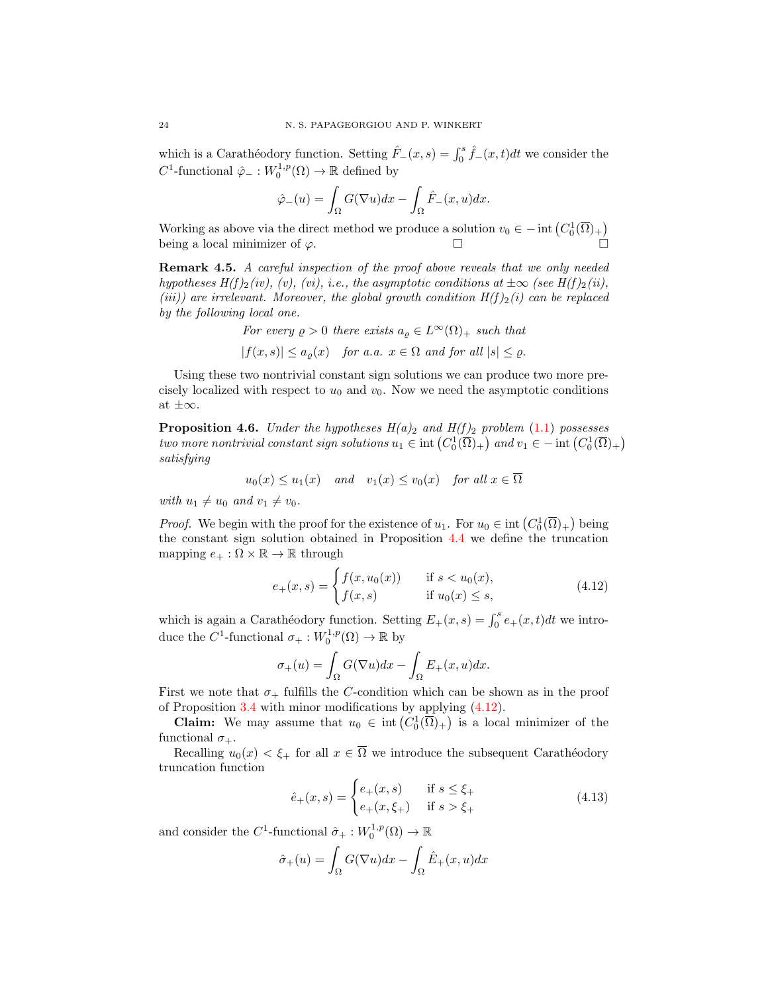which is a Carathéodory function. Setting  $\hat{F}_-(x, s) = \int_0^s \hat{f}_-(x, t)dt$  we consider the  $C^1$ -functional  $\hat{\varphi}_- : W_0^{1,p}(\Omega) \to \mathbb{R}$  defined by

$$
\hat{\varphi}_{-}(u) = \int_{\Omega} G(\nabla u) dx - \int_{\Omega} \hat{F}_{-}(x, u) dx.
$$

Working as above via the direct method we produce a solution  $v_0 \in - \text{int} (C_0^1(\overline{\Omega})_+)$ being a local minimizer of  $\varphi$ .

**Remark 4.5.** A careful inspection of the proof above reveals that we only needed hypotheses  $H(f)_2(iv)$ , (vi), i.e., the asymptotic conditions at  $\pm \infty$  (see  $H(f)_2(ii)$ , (iii)) are irrelevant. Moreover, the global growth condition  $H(f)_2(i)$  can be replaced by the following local one.

For every 
$$
\rho > 0
$$
 there exists  $a_{\rho} \in L^{\infty}(\Omega)$ <sup>+</sup> such that  
 $|f(x, s)| \le a_{\rho}(x)$  for a.a.  $x \in \Omega$  and for all  $|s| \le \rho$ .

Using these two nontrivial constant sign solutions we can produce two more precisely localized with respect to  $u_0$  and  $v_0$ . Now we need the asymptotic conditions at  $\pm\infty$ .

<span id="page-23-2"></span>**Proposition 4.6.** Under the hypotheses  $H(a)_2$  and  $H(f)_2$  problem [\(1.1\)](#page-0-0) possesses two more nontrivial constant sign solutions  $u_1 \in \text{int}\left(C_0^1(\overline{\Omega})_+\right)$  and  $v_1 \in -\text{int}\left(C_0^1(\overline{\Omega})_+\right)$ satisfying

$$
u_0(x) \le u_1(x)
$$
 and  $v_1(x) \le v_0(x)$  for all  $x \in \Omega$ 

with  $u_1 \neq u_0$  and  $v_1 \neq v_0$ .

*Proof.* We begin with the proof for the existence of  $u_1$ . For  $u_0 \in \text{int}\left(C_0^1(\overline{\Omega})_+\right)$  being the constant sign solution obtained in Proposition [4.4](#page-20-3) we define the truncation mapping  $e_+ : \Omega \times \mathbb{R} \to \mathbb{R}$  through

<span id="page-23-0"></span>
$$
e_{+}(x,s) = \begin{cases} f(x,u_{0}(x)) & \text{if } s < u_{0}(x), \\ f(x,s) & \text{if } u_{0}(x) \le s, \end{cases}
$$
(4.12)

which is again a Carathéodory function. Setting  $E_+(x, s) = \int_0^s e_+(x, t)dt$  we introduce the  $C^1$ -functional  $\sigma_+ : W_0^{1,p}(\Omega) \to \mathbb{R}$  by

$$
\sigma_+(u) = \int_{\Omega} G(\nabla u) dx - \int_{\Omega} E_+(x, u) dx.
$$

First we note that  $\sigma_+$  fulfills the C-condition which can be shown as in the proof of Proposition [3.4](#page-8-5) with minor modifications by applying [\(4.12\)](#page-23-0).

**Claim:** We may assume that  $u_0 \in \text{int}\left(C_0^1(\overline{\Omega})_+\right)$  is a local minimizer of the functional  $\sigma_{+}$ .

Recalling  $u_0(x) < \xi_+$  for all  $x \in \overline{\Omega}$  we introduce the subsequent Carathéodory truncation function

<span id="page-23-1"></span>
$$
\hat{e}_{+}(x,s) = \begin{cases} e_{+}(x,s) & \text{if } s \leq \xi_{+} \\ e_{+}(x,\xi_{+}) & \text{if } s > \xi_{+} \end{cases}
$$
(4.13)

and consider the  $C^1$ -functional  $\hat{\sigma}_+ : W_0^{1,p}(\Omega) \to \mathbb{R}$ 

$$
\hat{\sigma}_+(u) = \int_{\Omega} G(\nabla u) dx - \int_{\Omega} \hat{E}_+(x, u) dx
$$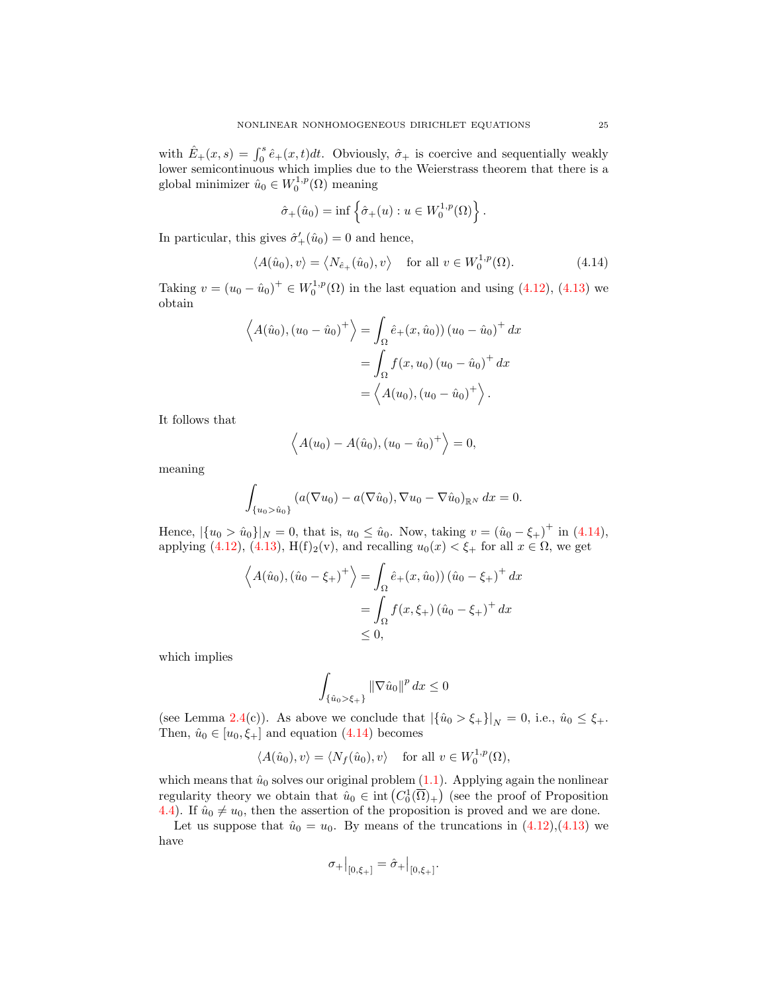with  $\hat{E}_+(x,s) = \int_0^s \hat{e}_+(x,t)dt$ . Obviously,  $\hat{\sigma}_+$  is coercive and sequentially weakly lower semicontinuous which implies due to the Weierstrass theorem that there is a global minimizer  $\hat{u}_0 \in W_0^{1,p}(\Omega)$  meaning

<span id="page-24-0"></span>
$$
\hat{\sigma}_+(\hat{u}_0)=\inf\left\{\hat{\sigma}_+(u):u\in W_0^{1,p}(\Omega)\right\}.
$$

In particular, this gives  $\hat{\sigma}'_+(\hat{u}_0) = 0$  and hence,

$$
\langle A(\hat{u}_0), v \rangle = \langle N_{\hat{e}_+}(\hat{u}_0), v \rangle \quad \text{for all } v \in W_0^{1,p}(\Omega). \tag{4.14}
$$

Taking  $v = (u_0 - \hat{u}_0)^+ \in W_0^{1,p}(\Omega)$  in the last equation and using [\(4.12\)](#page-23-0), [\(4.13\)](#page-23-1) we obtain

$$
\langle A(\hat{u}_0), (u_0 - \hat{u}_0)^+ \rangle = \int_{\Omega} \hat{e}_+(x, \hat{u}_0)) (u_0 - \hat{u}_0)^+ dx
$$
  
= 
$$
\int_{\Omega} f(x, u_0) (u_0 - \hat{u}_0)^+ dx
$$
  
= 
$$
\langle A(u_0), (u_0 - \hat{u}_0)^+ \rangle.
$$

It follows that

$$
\langle A(u_0) - A(\hat{u}_0), (u_0 - \hat{u}_0)^+ \rangle = 0,
$$

meaning

$$
\int_{\{u_0 > \hat{u}_0\}} (a(\nabla u_0) - a(\nabla \hat{u}_0), \nabla u_0 - \nabla \hat{u}_0)_{\mathbb{R}^N} dx = 0.
$$

Hence,  $|\{u_0 > \hat{u}_0\}|_N = 0$ , that is,  $u_0 \leq \hat{u}_0$ . Now, taking  $v = (\hat{u}_0 - \xi_+)^\dagger$  in [\(4.14\)](#page-24-0), applying [\(4.12\)](#page-23-0), [\(4.13\)](#page-23-1), H(f)<sub>2</sub>(v), and recalling  $u_0(x) < \xi_+$  for all  $x \in \Omega$ , we get

$$
\left\langle A(\hat{u}_0), (\hat{u}_0 - \xi_+)^\dagger \right\rangle = \int_{\Omega} \hat{e}_+(x, \hat{u}_0)) (\hat{u}_0 - \xi_+)^\dagger dx
$$
  
= 
$$
\int_{\Omega} f(x, \xi_+) (\hat{u}_0 - \xi_+)^\dagger dx
$$
  
\$\leq 0\$,

which implies

$$
\int_{\{\hat{u}_0>\xi_+\}} \|\nabla \hat{u}_0\|^p dx \le 0
$$

(see Lemma [2.4\(](#page-3-0)c)). As above we conclude that  $|\{\hat{u}_0 > \xi_+\}|_N = 0$ , i.e.,  $\hat{u}_0 \leq \xi_+$ . Then,  $\hat{u}_0 \in [u_0, \xi_+]$  and equation  $(4.14)$  becomes

$$
\langle A(\hat{u}_0), v \rangle = \langle N_f(\hat{u}_0), v \rangle \quad \text{for all } v \in W_0^{1,p}(\Omega),
$$

which means that  $\hat{u}_0$  solves our original problem [\(1.1\)](#page-0-0). Applying again the nonlinear regularity theory we obtain that  $\hat{u}_0 \in \text{int}\left(C_0^1(\overline{\Omega})_+\right)$  (see the proof of Proposition [4.4\)](#page-20-3). If  $\hat{u}_0 \neq u_0$ , then the assertion of the proposition is proved and we are done.

Let us suppose that  $\hat{u}_0 = u_0$ . By means of the truncations in  $(4.12),(4.13)$  $(4.12),(4.13)$  we have

$$
\sigma_+|_{[0,\xi_+]} = \hat{\sigma}_+|_{[0,\xi_+]}.
$$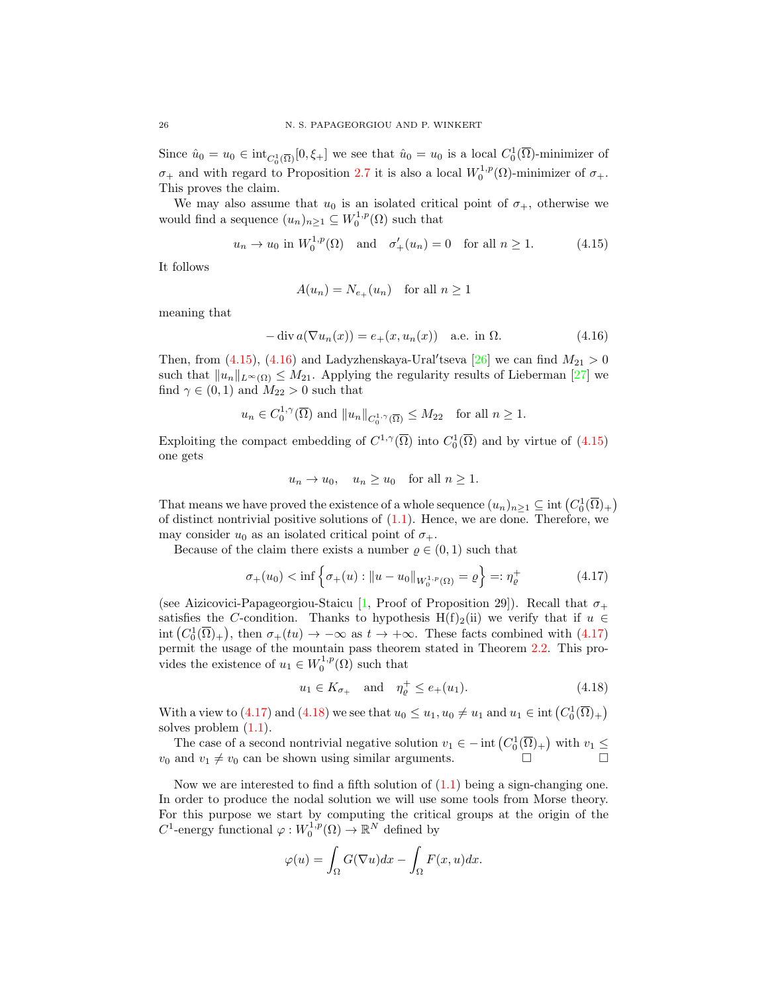Since  $\hat{u}_0 = u_0 \in \text{int}_{C_0^1(\overline{\Omega})}[0, \xi_+]$  we see that  $\hat{u}_0 = u_0$  is a local  $C_0^1(\overline{\Omega})$ -minimizer of  $\sigma_+$  and with regard to Proposition [2.7](#page-4-3) it is also a local  $W_0^{1,p}(\Omega)$ -minimizer of  $\sigma_+$ . This proves the claim.

We may also assume that  $u_0$  is an isolated critical point of  $\sigma_+$ , otherwise we would find a sequence  $(u_n)_{n\geq 1} \subseteq W_0^{1,p}(\Omega)$  such that

$$
u_n \to u_0
$$
 in  $W_0^{1,p}(\Omega)$  and  $\sigma'_+(u_n) = 0$  for all  $n \ge 1$ . (4.15)

It follows

<span id="page-25-1"></span><span id="page-25-0"></span>
$$
A(u_n) = N_{e_+}(u_n) \quad \text{for all } n \ge 1
$$

meaning that

$$
-\operatorname{div} a(\nabla u_n(x)) = e_+(x, u_n(x)) \quad \text{a.e. in } \Omega.
$$
 (4.16)

Then, from [\(4.15\)](#page-25-0), [\(4.16\)](#page-25-1) and Ladyzhenskaya-Ural'tseva [\[26\]](#page-42-14) we can find  $M_{21} > 0$ such that  $||u_n||_{L^{\infty}(\Omega)} \leq M_{21}$ . Applying the regularity results of Lieberman [\[27\]](#page-42-15) we find  $\gamma \in (0,1)$  and  $M_{22} > 0$  such that

$$
u_n \in C_0^{1,\gamma}(\overline{\Omega})
$$
 and  $||u_n||_{C_0^{1,\gamma}(\overline{\Omega})} \le M_{22}$  for all  $n \ge 1$ .

Exploiting the compact embedding of  $C^{1,\gamma}(\overline{\Omega})$  into  $C_0^1(\overline{\Omega})$  and by virtue of  $(4.15)$ one gets

<span id="page-25-2"></span>
$$
u_n \to u_0
$$
,  $u_n \ge u_0$  for all  $n \ge 1$ .

That means we have proved the existence of a whole sequence  $(u_n)_{n\geq 1} \subseteq \text{int}(C_0^1(\overline{\Omega})_+)$ of distinct nontrivial positive solutions of  $(1.1)$ . Hence, we are done. Therefore, we may consider  $u_0$  as an isolated critical point of  $\sigma_{+}$ .

Because of the claim there exists a number  $\rho \in (0,1)$  such that

$$
\sigma_+(u_0) < \inf \left\{ \sigma_+(u) : \|u - u_0\|_{W_0^{1,p}(\Omega)} = \varrho \right\} =: \eta_\varrho^+ \tag{4.17}
$$

(see Aizicovici-Papageorgiou-Staicu [\[1,](#page-41-9) Proof of Proposition 29]). Recall that  $\sigma_{+}$ satisfies the C-condition. Thanks to hypothesis H(f)<sub>2</sub>(ii) we verify that if  $u \in$  $\text{int}(C_0^1(\overline{\Omega})_+)$ , then  $\sigma_+(tu) \to -\infty$  as  $t \to +\infty$ . These facts combined with  $(4.17)$ permit the usage of the mountain pass theorem stated in Theorem [2.2.](#page-1-4) This provides the existence of  $u_1 \in W_0^{1,p}(\Omega)$  such that

<span id="page-25-3"></span>
$$
u_1 \in K_{\sigma_+}
$$
 and  $\eta_{\varrho}^+ \le e_+(u_1).$  (4.18)

With a view to [\(4.17\)](#page-25-2) and [\(4.18\)](#page-25-3) we see that  $u_0 \leq u_1, u_0 \neq u_1$  and  $u_1 \in \text{int}(C_0^1(\overline{\Omega})_+)$ solves problem [\(1.1\)](#page-0-0).

The case of a second nontrivial negative solution  $v_1 \in -\text{int}\left(C_0^1(\overline{\Omega})_+\right)$  with  $v_1 \le$  $v_0$  and  $v_1 \neq v_0$  can be shown using similar arguments.

Now we are interested to find a fifth solution of  $(1.1)$  being a sign-changing one. In order to produce the nodal solution we will use some tools from Morse theory. For this purpose we start by computing the critical groups at the origin of the  $C^1$ -energy functional  $\varphi: W_0^{1,p}(\Omega) \to \mathbb{R}^N$  defined by

$$
\varphi(u) = \int_{\Omega} G(\nabla u) dx - \int_{\Omega} F(x, u) dx.
$$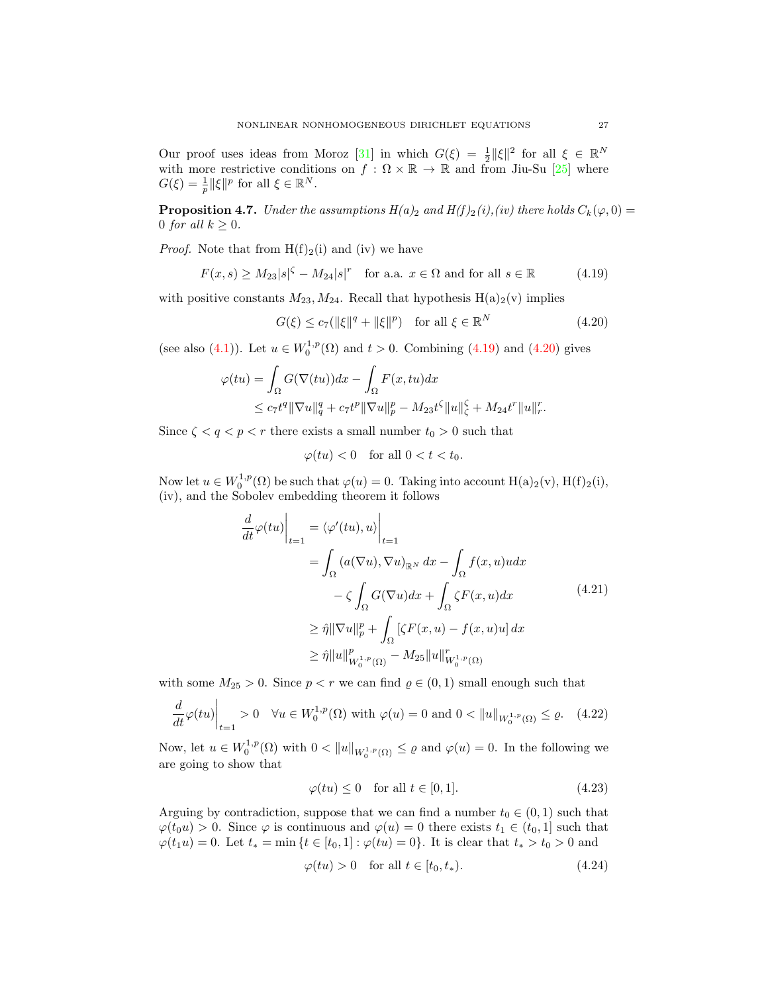Our proof uses ideas from Moroz [\[31\]](#page-42-18) in which  $G(\xi) = \frac{1}{2} ||\xi||^2$  for all  $\xi \in \mathbb{R}^N$ with more restrictive conditions on  $f : \Omega \times \mathbb{R} \to \mathbb{R}$  and from Jiu-Su [\[25\]](#page-42-19) where  $G(\xi) = \frac{1}{p} ||\xi||^p$  for all  $\xi \in \mathbb{R}^N$ .

<span id="page-26-5"></span>**Proposition 4.7.** Under the assumptions  $H(a)_2$  and  $H(f)_2(i)$ , (iv) there holds  $C_k(\varphi, 0) =$ 0 for all  $k \geq 0$ .

*Proof.* Note that from  $H(f)_2(i)$  and (iv) we have

$$
F(x,s) \ge M_{23}|s|^{\zeta} - M_{24}|s|^r \quad \text{for a.a. } x \in \Omega \text{ and for all } s \in \mathbb{R}
$$
 (4.19)

with positive constants  $M_{23}$ ,  $M_{24}$ . Recall that hypothesis  $H(a)_{2}(v)$  implies

<span id="page-26-1"></span><span id="page-26-0"></span>
$$
G(\xi) \le c_7(||\xi||^q + ||\xi||^p) \quad \text{for all } \xi \in \mathbb{R}^N \tag{4.20}
$$

(see also [\(4.1\)](#page-19-0)). Let  $u \in W_0^{1,p}(\Omega)$  and  $t > 0$ . Combining [\(4.19\)](#page-26-0) and [\(4.20\)](#page-26-1) gives

$$
\varphi(tu) = \int_{\Omega} G(\nabla(tu))dx - \int_{\Omega} F(x, tu)dx
$$
  

$$
\leq c_7 t^{q} \|\nabla u\|_{q}^{q} + c_7 t^{p} \|\nabla u\|_{p}^{p} - M_{23} t^{q} \|u\|_{q}^{q} + M_{24} t^{r} \|u\|_{r}^{r}.
$$

Since  $\zeta < q < p < r$  there exists a small number  $t_0 > 0$  such that

$$
\varphi(tu) < 0 \quad \text{for all } 0 < t < t_0.
$$

Now let  $u \in W_0^{1,p}(\Omega)$  be such that  $\varphi(u) = 0$ . Taking into account  $H(a)_2(v)$ ,  $H(f)_2(i)$ , (iv), and the Sobolev embedding theorem it follows

$$
\frac{d}{dt}\varphi(tu)\Big|_{t=1} = \langle \varphi'(tu), u \rangle \Big|_{t=1}
$$
\n
$$
= \int_{\Omega} (a(\nabla u), \nabla u)_{\mathbb{R}^N} dx - \int_{\Omega} f(x, u)u dx
$$
\n
$$
- \zeta \int_{\Omega} G(\nabla u) dx + \int_{\Omega} \zeta F(x, u) dx
$$
\n
$$
\geq \hat{\eta} \|\nabla u\|_{p}^{p} + \int_{\Omega} [\zeta F(x, u) - f(x, u)u] dx
$$
\n
$$
\geq \hat{\eta} \|u\|_{W_{0}^{1, p}(\Omega)}^{p} - M_{25} \|u\|_{W_{0}^{1, p}(\Omega)}^{r}
$$
\n(4.21)

with some  $M_{25} > 0$ . Since  $p < r$  we can find  $\varrho \in (0, 1)$  small enough such that

$$
\frac{d}{dt}\varphi(tu)\Big|_{t=1} > 0 \quad \forall u \in W_0^{1,p}(\Omega) \text{ with } \varphi(u) = 0 \text{ and } 0 < \|u\|_{W_0^{1,p}(\Omega)} \le \varrho. \tag{4.22}
$$

Now, let  $u \in W_0^{1,p}(\Omega)$  with  $0 < ||u||_{W_0^{1,p}(\Omega)} \le \varrho$  and  $\varphi(u) = 0$ . In the following we are going to show that

<span id="page-26-4"></span><span id="page-26-2"></span>
$$
\varphi(tu) \le 0 \quad \text{for all } t \in [0, 1]. \tag{4.23}
$$

Arguing by contradiction, suppose that we can find a number  $t_0 \in (0, 1)$  such that  $\varphi(t_0u) > 0$ . Since  $\varphi$  is continuous and  $\varphi(u) = 0$  there exists  $t_1 \in (t_0, 1]$  such that  $\varphi(t_1u) = 0$ . Let  $t_* = \min\{t \in [t_0,1]: \varphi(tu) = 0\}$ . It is clear that  $t_* > t_0 > 0$  and

<span id="page-26-3"></span>
$$
\varphi(tu) > 0 \quad \text{for all } t \in [t_0, t_*) \tag{4.24}
$$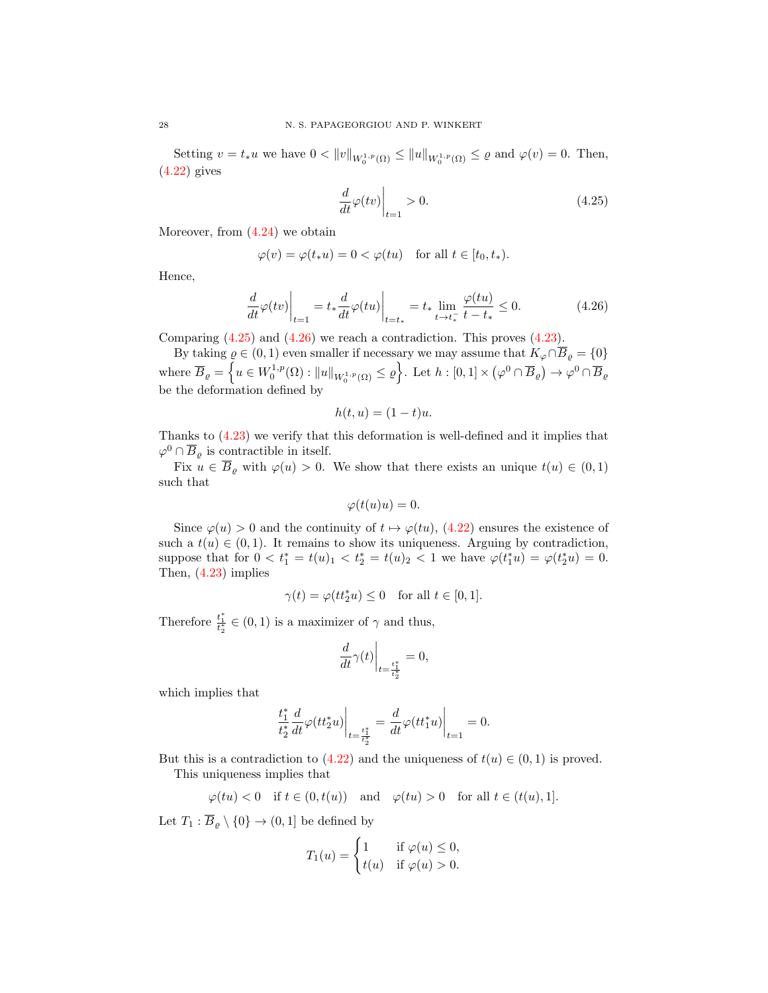Setting  $v = t_*u$  we have  $0 < ||v||_{W_0^{1,p}(\Omega)} \le ||u||_{W_0^{1,p}(\Omega)} \le \varrho$  and  $\varphi(v) = 0$ . Then, [\(4.22\)](#page-26-2) gives

<span id="page-27-1"></span><span id="page-27-0"></span>
$$
\left. \frac{d}{dt}\varphi(tv)\right|_{t=1} > 0. \tag{4.25}
$$

Moreover, from [\(4.24\)](#page-26-3) we obtain

$$
\varphi(v) = \varphi(t_*u) = 0 < \varphi(tu) \quad \text{for all } t \in [t_0, t_*).
$$

Hence,

$$
\frac{d}{dt}\varphi(tv)\Big|_{t=1} = t_*\frac{d}{dt}\varphi(tu)\Big|_{t=t_*} = t_*\lim_{t \to t_*^-}\frac{\varphi(tu)}{t-t_*} \le 0.
$$
\n(4.26)

Comparing  $(4.25)$  and  $(4.26)$  we reach a contradiction. This proves  $(4.23)$ .

By taking  $\rho \in (0, 1)$  even smaller if necessary we may assume that  $K_{\varphi} \cap \overline{B}_{\varrho} = \{0\}$ where  $\overline{B}_{\varrho} = \left\{ u \in W_0^{1,p}(\Omega) : ||u||_{W_0^{1,p}(\Omega)} \leq \varrho \right\}$ . Let  $h : [0,1] \times (\varphi^0 \cap \overline{B}_{\varrho}) \to \varphi^0 \cap \overline{B}_{\varrho}$ be the deformation defined by

$$
h(t, u) = (1 - t)u.
$$

Thanks to [\(4.23\)](#page-26-4) we verify that this deformation is well-defined and it implies that  $\varphi^0 \cap \overline{B}_{\varrho}$  is contractible in itself.

Fix  $u \in \overline{B}_{\varrho}$  with  $\varphi(u) > 0$ . We show that there exists an unique  $t(u) \in (0,1)$ such that

$$
\varphi(t(u)u) = 0.
$$

Since  $\varphi(u) > 0$  and the continuity of  $t \mapsto \varphi(tu)$ , [\(4.22\)](#page-26-2) ensures the existence of such a  $t(u) \in (0,1)$ . It remains to show its uniqueness. Arguing by contradiction, suppose that for  $0 < t_1^* = t(u)_1 < t_2^* = t(u)_2 < 1$  we have  $\varphi(t_1^*u) = \varphi(t_2^*u) = 0$ . Then, [\(4.23\)](#page-26-4) implies

$$
\gamma(t)=\varphi(tt_2^*u)\leq 0\quad\text{for all }t\in[0,1].
$$

Therefore  $\frac{t_1^*}{t_2^*} \in (0, 1)$  is a maximizer of  $\gamma$  and thus,

$$
\left. \frac{d}{dt}\gamma(t) \right|_{t=\frac{t_1^*}{t_2^*}} = 0,
$$

which implies that

$$
\left.\frac{t_1^*}{t_2^*}\frac{d}{dt}\varphi(tt_2^*u)\right|_{t=\frac{t_1^*}{t_2^*}}=\left.\frac{d}{dt}\varphi(tt_1^*u)\right|_{t=1}=0.
$$

But this is a contradiction to [\(4.22\)](#page-26-2) and the uniqueness of  $t(u) \in (0,1)$  is proved. This uniqueness implies that

$$
\varphi(tu) < 0 \quad \text{if } t \in (0, t(u)) \quad \text{and} \quad \varphi(tu) > 0 \quad \text{for all } t \in (t(u), 1].
$$

Let  $T_1 : \overline{B}_\rho \setminus \{0\} \to (0, 1]$  be defined by

$$
T_1(u) = \begin{cases} 1 & \text{if } \varphi(u) \le 0, \\ t(u) & \text{if } \varphi(u) > 0. \end{cases}
$$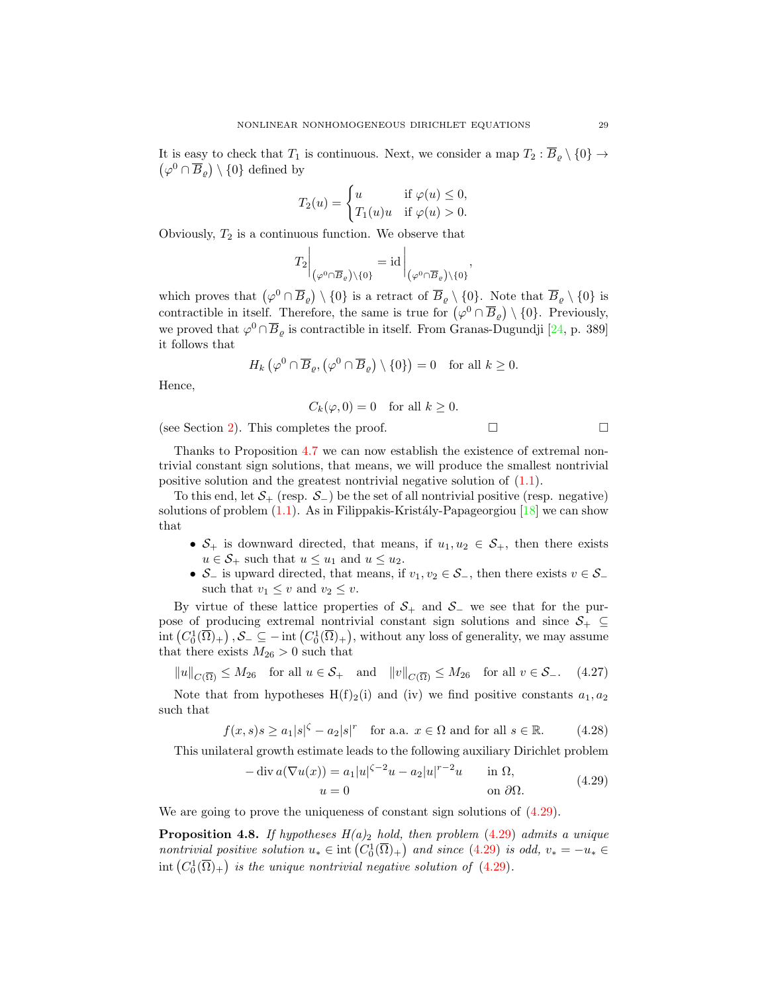$(\varphi^0 \cap \overline{B}_\varrho) \setminus \{0\}$  defined by It is easy to check that  $T_1$  is continuous. Next, we consider a map  $T_2 : \overline{B}_\rho \setminus \{0\} \to$ 

$$
T_2(u) = \begin{cases} u & \text{if } \varphi(u) \le 0, \\ T_1(u)u & \text{if } \varphi(u) > 0. \end{cases}
$$

Obviously,  $T_2$  is a continuous function. We observe that

$$
T_2\bigg|_{\left(\varphi^0\cap\overline{B}_e\right)\setminus\{0\}}=\mathrm{id}\bigg|_{\left(\varphi^0\cap\overline{B}_e\right)\setminus\{0\}},
$$

which proves that  $(\varphi^0 \cap \overline{B}_{\varrho}) \setminus \{0\}$  is a retract of  $\overline{B}_{\varrho} \setminus \{0\}$ . Note that  $\overline{B}_{\varrho} \setminus \{0\}$  is contractible in itself. Therefore, the same is true for  $(\varphi^0 \cap \overline{B}_\varrho) \setminus \{0\}$ . Previously, we proved that  $\varphi^0 \cap \overline{B}_\varrho$  is contractible in itself. From Granas-Dugundji [\[24,](#page-42-17) p. 389] it follows that

$$
H_k\left(\varphi^0\cap\overline{B}_{\varrho},\left(\varphi^0\cap\overline{B}_{\varrho}\right)\setminus\{0\}\right)=0\quad\text{for all }k\geq 0.
$$

Hence,

$$
C_k(\varphi, 0) = 0 \quad \text{for all } k \ge 0.
$$

(see Section [2\)](#page-1-5). This completes the proof.  $\Box$ 

Thanks to Proposition [4.7](#page-26-5) we can now establish the existence of extremal nontrivial constant sign solutions, that means, we will produce the smallest nontrivial positive solution and the greatest nontrivial negative solution of [\(1.1\)](#page-0-0).

To this end, let  $S_+$  (resp.  $S_-$ ) be the set of all nontrivial positive (resp. negative) solutions of problem  $(1.1)$ . As in Filippakis-Kristály-Papageorgiou  $[18]$  we can show that

- $S_+$  is downward directed, that means, if  $u_1, u_2 \in S_+$ , then there exists  $u \in \mathcal{S}_+$  such that  $u \leq u_1$  and  $u \leq u_2$ .
- $\mathcal{S}_-$  is upward directed, that means, if  $v_1, v_2 \in \mathcal{S}_-$ , then there exists  $v \in \mathcal{S}_$ such that  $v_1 \leq v$  and  $v_2 \leq v$ .

By virtue of these lattice properties of  $S_+$  and  $S_-$  we see that for the purpose of producing extremal nontrivial constant sign solutions and since  $S_+ \subseteq$  $\text{int}\left(C_0^1(\overline{\Omega})_+\right),\mathcal{S}_-\subseteq -\text{int}\left(C_0^1(\overline{\Omega})_+\right)$ , without any loss of generality, we may assume that there exists  $M_{26} > 0$  such that

 $||u||_{C(\overline{\Omega})} \leq M_{26}$  for all  $u \in \mathcal{S}_+$  and  $||v||_{C(\overline{\Omega})} \leq M_{26}$  for all  $v \in \mathcal{S}_-$ . (4.27)

Note that from hypotheses  $H(f)_2(i)$  and (iv) we find positive constants  $a_1, a_2$ such that

$$
f(x,s)s \ge a_1|s|^{\zeta} - a_2|s|^r \quad \text{for a.a. } x \in \Omega \text{ and for all } s \in \mathbb{R}.\tag{4.28}
$$

This unilateral growth estimate leads to the following auxiliary Dirichlet problem

<span id="page-28-0"></span>
$$
-\operatorname{div} a(\nabla u(x)) = a_1 |u|^{z-2}u - a_2 |u|^{r-2}u \qquad \text{in } \Omega,
$$
  
\n
$$
u = 0 \qquad \text{on } \partial\Omega.
$$
 (4.29)

We are going to prove the uniqueness of constant sign solutions of  $(4.29)$ .

<span id="page-28-1"></span>**Proposition 4.8.** If hypotheses  $H(a)_2$  hold, then problem [\(4.29\)](#page-28-0) admits a unique nontrivial positive solution  $u_* \in \text{int}\left(C_0^1(\overline{\Omega})_+\right)$  and since  $(4.29)$  is odd,  $v_* = -u_* \in$  $\text{int}\left(C_0^1(\overline{\Omega})_+\right)$  is the unique nontrivial negative solution of  $(4.29)$ .

<span id="page-28-3"></span><span id="page-28-2"></span>
$$
\Box
$$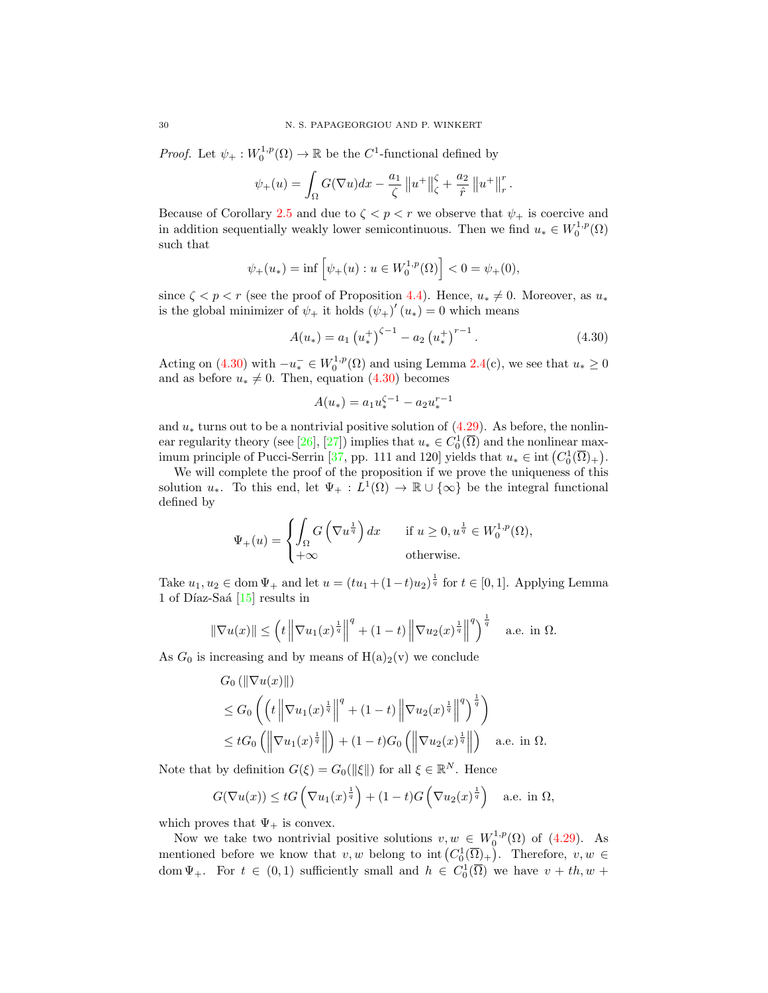*Proof.* Let  $\psi_+ : W_0^{1,p}(\Omega) \to \mathbb{R}$  be the  $C^1$ -functional defined by

$$
\psi_{+}(u) = \int_{\Omega} G(\nabla u) dx - \frac{a_1}{\zeta} ||u^{+}||_{\zeta}^{\zeta} + \frac{a_2}{\hat{r}} ||u^{+}||_{r}^{r}.
$$

Because of Corollary [2.5](#page-3-3) and due to  $\zeta < p < r$  we observe that  $\psi_+$  is coercive and in addition sequentially weakly lower semicontinuous. Then we find  $u_* \in W_0^{1,p}(\Omega)$ such that

$$
\psi_{+}(u_{*}) = \inf \left[ \psi_{+}(u) : u \in W_{0}^{1,p}(\Omega) \right] < 0 = \psi_{+}(0),
$$

since  $\zeta < p < r$  (see the proof of Proposition [4.4\)](#page-20-3). Hence,  $u_* \neq 0$ . Moreover, as  $u_*$ is the global minimizer of  $\psi_+$  it holds  $(\psi_+)'(u_*)=0$  which means

$$
A(u_*) = a_1 \left(u_*^+\right)^{\zeta - 1} - a_2 \left(u_*^+\right)^{r-1}.
$$
\n(4.30)

Acting on [\(4.30\)](#page-29-0) with  $-u_*^- \in W_0^{1,p}(\Omega)$  and using Lemma [2.4\(](#page-3-0)c), we see that  $u_* \ge 0$ and as before  $u_* \neq 0$ . Then, equation [\(4.30\)](#page-29-0) becomes

<span id="page-29-0"></span>
$$
A(u_*) = a_1 u_*^{\zeta - 1} - a_2 u_*^{r - 1}
$$

and  $u_*$  turns out to be a nontrivial positive solution of  $(4.29)$ . As before, the nonlin-ear regularity theory (see [\[26\]](#page-42-14), [\[27\]](#page-42-15)) implies that  $u_* \in C_0^1(\overline{\Omega})$  and the nonlinear max-imum principle of Pucci-Serrin [\[37,](#page-42-16) pp. 111 and 120] yields that  $u_* \in \text{int}(C_0^1(\overline{\Omega})_+)$ .

We will complete the proof of the proposition if we prove the uniqueness of this solution  $u_*$ . To this end, let  $\Psi_+ : L^1(\Omega) \to \mathbb{R} \cup {\infty}$  be the integral functional defined by

$$
\Psi_{+}(u) = \begin{cases} \int_{\Omega} G\left(\nabla u^{\frac{1}{q}}\right) dx & \text{if } u \ge 0, u^{\frac{1}{q}} \in W_0^{1,p}(\Omega), \\ +\infty & \text{otherwise.} \end{cases}
$$

Take  $u_1, u_2 \in \text{dom }\Psi_+$  and let  $u = (tu_1 + (1-t)u_2)^{\frac{1}{q}}$  for  $t \in [0,1]$ . Applying Lemma  $1$  of Díaz-Saá  $[15]$  results in

$$
\|\nabla u(x)\| \le \left(t\left\|\nabla u_1(x)^{\frac{1}{q}}\right\|^q + (1-t)\left\|\nabla u_2(x)^{\frac{1}{q}}\right\|^q\right)^{\frac{1}{q}} \quad \text{a.e. in } \Omega.
$$

As  $G_0$  is increasing and by means of  $H(a)_2(v)$  we conclude

$$
G_0(||\nabla u(x)||)
$$
  
\n
$$
\leq G_0 \left( \left( t \left\| \nabla u_1(x)^{\frac{1}{q}} \right\|^q + (1-t) \left\| \nabla u_2(x)^{\frac{1}{q}} \right\|^q \right)^{\frac{1}{q}} \right)
$$
  
\n
$$
\leq tG_0 \left( \left\| \nabla u_1(x)^{\frac{1}{q}} \right\| \right) + (1-t)G_0 \left( \left\| \nabla u_2(x)^{\frac{1}{q}} \right\| \right)
$$
 a.e. in  $\Omega$ .

Note that by definition  $G(\xi) = G_0(\|\xi\|)$  for all  $\xi \in \mathbb{R}^N$ . Hence

$$
G(\nabla u(x)) \leq tG\left(\nabla u_1(x)^{\frac{1}{q}}\right) + (1-t)G\left(\nabla u_2(x)^{\frac{1}{q}}\right) \quad \text{a.e. in } \Omega,
$$

which proves that  $\Psi_+$  is convex.

Now we take two nontrivial positive solutions  $v, w \in W_0^{1,p}(\Omega)$  of [\(4.29\)](#page-28-0). As mentioned before we know that  $v, w$  belong to int  $(C_0^1(\overline{\Omega})_+)$ . Therefore,  $v, w \in$ dom  $\Psi_+$ . For  $t \in (0,1)$  sufficiently small and  $h \in C_0^1(\overline{\Omega})$  we have  $v + th, w +$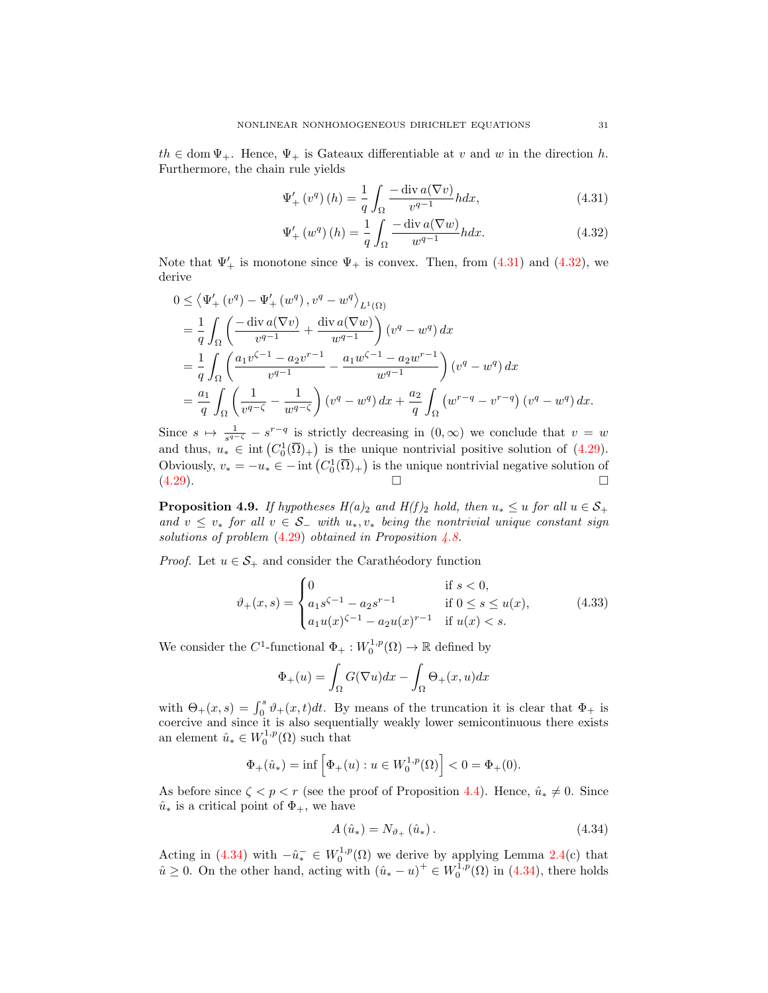$th \in \text{dom }\Psi_+$ . Hence,  $\Psi_+$  is Gateaux differentiable at v and w in the direction h. Furthermore, the chain rule yields

$$
\Psi'_{+}\left(v^{q}\right)(h) = \frac{1}{q} \int_{\Omega} \frac{-\operatorname{div} a(\nabla v)}{v^{q-1}} h dx, \tag{4.31}
$$

<span id="page-30-1"></span><span id="page-30-0"></span>
$$
\Psi'_{+}\left(w^{q}\right)(h) = \frac{1}{q} \int_{\Omega} \frac{-\operatorname{div} a(\nabla w)}{w^{q-1}} h dx. \tag{4.32}
$$

Note that  $\Psi'_{+}$  is monotone since  $\Psi_{+}$  is convex. Then, from [\(4.31\)](#page-30-0) and [\(4.32\)](#page-30-1), we derive

$$
0 \leq \langle \Psi'_{+} (v^{q}) - \Psi'_{+} (w^{q}), v^{q} - w^{q} \rangle_{L^{1}(\Omega)}
$$
  
\n
$$
= \frac{1}{q} \int_{\Omega} \left( \frac{-\operatorname{div} a(\nabla v)}{v^{q-1}} + \frac{\operatorname{div} a(\nabla w)}{w^{q-1}} \right) (v^{q} - w^{q}) dx
$$
  
\n
$$
= \frac{1}{q} \int_{\Omega} \left( \frac{a_{1}v^{\zeta-1} - a_{2}v^{r-1}}{v^{q-1}} - \frac{a_{1}w^{\zeta-1} - a_{2}w^{r-1}}{w^{q-1}} \right) (v^{q} - w^{q}) dx
$$
  
\n
$$
= \frac{a_{1}}{q} \int_{\Omega} \left( \frac{1}{v^{q-\zeta}} - \frac{1}{w^{q-\zeta}} \right) (v^{q} - w^{q}) dx + \frac{a_{2}}{q} \int_{\Omega} (w^{r-q} - v^{r-q}) (v^{q} - w^{q}) dx.
$$

Since  $s \mapsto \frac{1}{s^{q-\zeta}} - s^{r-q}$  is strictly decreasing in  $(0, \infty)$  we conclude that  $v = w$ and thus,  $u_* \in \text{int}(C_0^1(\overline{\Omega})_+)$  is the unique nontrivial positive solution of [\(4.29\)](#page-28-0). Obviously,  $v_* = -u_* \in -\text{int}\left(C_0^1(\overline{\Omega})_+\right)$  is the unique nontrivial negative solution of  $(4.29)$ .

<span id="page-30-4"></span>**Proposition 4.9.** If hypotheses  $H(a)_2$  and  $H(f)_2$  hold, then  $u_* \le u$  for all  $u \in S_+$ and  $v \leq v_*$  for all  $v \in S_+$  with  $u_*, v_*$  being the nontrivial unique constant sign solutions of problem  $(4.29)$  obtained in Proposition [4.8.](#page-28-1)

*Proof.* Let  $u \in \mathcal{S}_+$  and consider the Carathéodory function

$$
\vartheta_{+}(x,s) = \begin{cases} 0 & \text{if } s < 0, \\ a_1 s^{\zeta - 1} - a_2 s^{r - 1} & \text{if } 0 \le s \le u(x), \\ a_1 u(x)^{\zeta - 1} - a_2 u(x)^{r - 1} & \text{if } u(x) < s. \end{cases}
$$
(4.33)

We consider the  $C^1$ -functional  $\Phi_+ : W_0^{1,p}(\Omega) \to \mathbb{R}$  defined by

<span id="page-30-3"></span>
$$
\Phi_{+}(u) = \int_{\Omega} G(\nabla u) dx - \int_{\Omega} \Theta_{+}(x, u) dx
$$

with  $\Theta_+(x,s) = \int_0^s \vartheta_+(x,t)dt$ . By means of the truncation it is clear that  $\Phi_+$  is coercive and since it is also sequentially weakly lower semicontinuous there exists an element  $\hat{u}_* \in W_0^{1,p}(\Omega)$  such that

$$
\Phi_+(\hat{u}_*) = \inf \left[ \Phi_+(u) : u \in W_0^{1,p}(\Omega) \right] < 0 = \Phi_+(0).
$$

As before since  $\zeta < p < r$  (see the proof of Proposition [4.4\)](#page-20-3). Hence,  $\hat{u}_* \neq 0$ . Since  $\hat{u}_*$  is a critical point of  $\Phi_+$ , we have

<span id="page-30-2"></span>
$$
A(\hat{u}_*) = N_{\vartheta_+}(\hat{u}_*). \tag{4.34}
$$

Acting in [\(4.34\)](#page-30-2) with  $-\hat{u}_{*}^{-} \in W_0^{1,p}(\Omega)$  we derive by applying Lemma [2.4\(](#page-3-0)c) that  $\hat{u} \geq 0$ . On the other hand, acting with  $(\hat{u}_* - u)^+ \in W_0^{1,p}(\Omega)$  in [\(4.34\)](#page-30-2), there holds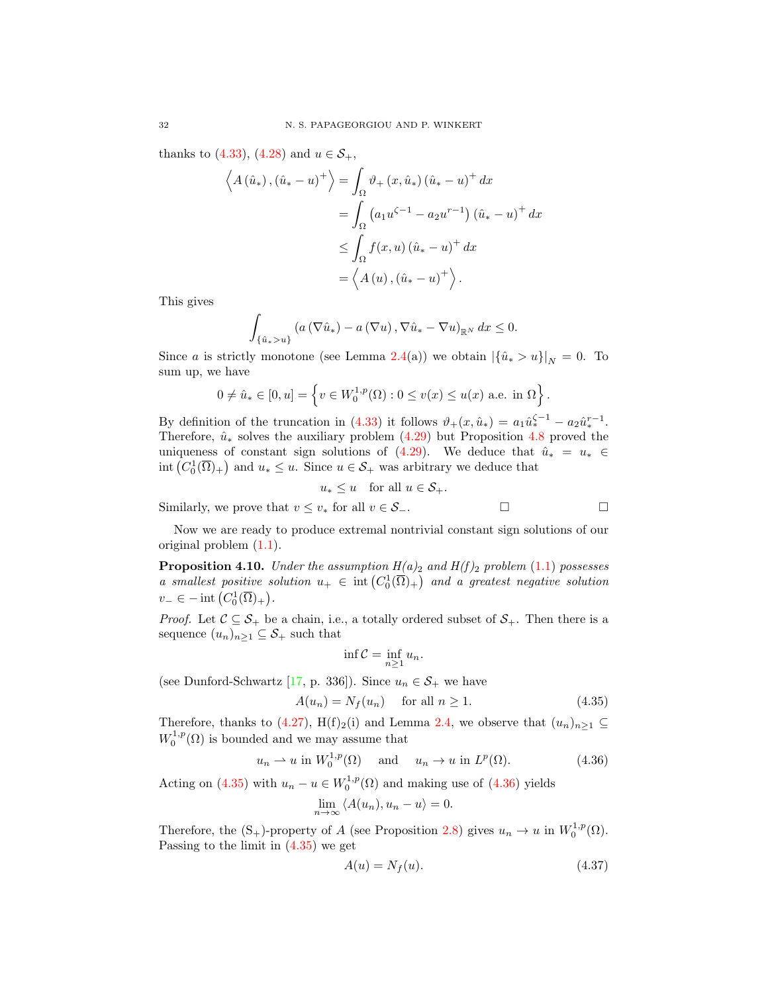thanks to [\(4.33\)](#page-30-3), [\(4.28\)](#page-28-2) and  $u \in S_+$ ,

$$
\left\langle A\left(\hat{u}_{*}\right),\left(\hat{u}_{*}-u\right)^{+}\right\rangle = \int_{\Omega}\vartheta_{+}\left(x,\hat{u}_{*}\right)\left(\hat{u}_{*}-u\right)^{+}dx
$$

$$
=\int_{\Omega}\left(a_{1}u^{\zeta-1}-a_{2}u^{r-1}\right)\left(\hat{u}_{*}-u\right)^{+}dx
$$

$$
\leq \int_{\Omega}f(x,u)\left(\hat{u}_{*}-u\right)^{+}dx
$$

$$
=\left\langle A\left(u\right),\left(\hat{u}_{*}-u\right)^{+}\right\rangle.
$$

This gives

$$
\int_{\{\hat{u}_* > u\}} \left( a\left(\nabla \hat{u}_*\right) - a\left(\nabla u\right), \nabla \hat{u}_* - \nabla u\right)_{\mathbb{R}^N} dx \leq 0.
$$

Since a is strictly monotone (see Lemma [2.4\(](#page-3-0)a)) we obtain  $|\{\hat{u}_* > u\}|_N = 0$ . To sum up, we have

$$
0 \neq \hat{u}_* \in [0, u] = \left\{ v \in W_0^{1, p}(\Omega) : 0 \le v(x) \le u(x) \text{ a.e. in } \Omega \right\}.
$$

By definition of the truncation in [\(4.33\)](#page-30-3) it follows  $\vartheta_+(x,\hat{u}_*) = a_1 \hat{u}_*^{\zeta-1} - a_2 \hat{u}_*^{r-1}$ . Therefore,  $\hat{u}_*$  solves the auxiliary problem [\(4.29\)](#page-28-0) but Proposition [4.8](#page-28-1) proved the uniqueness of constant sign solutions of [\(4.29\)](#page-28-0). We deduce that  $\hat{u}_* = u_* \in$  $\text{int}\left(C_0^1(\overline{\Omega})_+\right)$  and  $u_* \leq u$ . Since  $u \in \mathcal{S}_+$  was arbitrary we deduce that

$$
u_* \le u \quad \text{for all } u \in \mathcal{S}_+.
$$

Similarly, we prove that 
$$
v \leq v_*
$$
 for all  $v \in S_-$ .

Now we are ready to produce extremal nontrivial constant sign solutions of our original problem [\(1.1\)](#page-0-0).

<span id="page-31-3"></span>**Proposition 4.10.** Under the assumption  $H(a)_2$  and  $H(f)_2$  problem [\(1.1\)](#page-0-0) possesses a smallest positive solution  $u_+ \in \text{int}(C_0^1(\overline{\Omega})_+)$  and a greatest negative solution  $v_-\in$  - int  $(C_0^1(\overline{\Omega})_+).$ 

*Proof.* Let  $C \subseteq S_+$  be a chain, i.e., a totally ordered subset of  $S_+$ . Then there is a sequence  $(u_n)_{n\geq 1} \subseteq S_+$  such that

<span id="page-31-1"></span><span id="page-31-0"></span>
$$
\inf \mathcal{C} = \inf_{n \ge 1} u_n.
$$

(see Dunford-Schwartz [\[17,](#page-41-16) p. 336]). Since  $u_n \in \mathcal{S}_+$  we have

$$
A(u_n) = N_f(u_n) \quad \text{for all } n \ge 1.
$$
\n
$$
(4.35)
$$

Therefore, thanks to [\(4.27\)](#page-28-3), H(f)<sub>2</sub>(i) and Lemma [2.4,](#page-3-0) we observe that  $(u_n)_{n\geq 1} \subseteq$  $W_0^{1,p}(\Omega)$  is bounded and we may assume that

$$
u_n \rightharpoonup u \text{ in } W_0^{1,p}(\Omega) \quad \text{ and } \quad u_n \to u \text{ in } L^p(\Omega). \tag{4.36}
$$

Acting on [\(4.35\)](#page-31-0) with  $u_n - u \in W_0^{1,p}(\Omega)$  and making use of [\(4.36\)](#page-31-1) yields

$$
\lim_{n \to \infty} \langle A(u_n), u_n - u \rangle = 0.
$$

Therefore, the  $(S_+)$ -property of A (see Proposition [2.8\)](#page-4-2) gives  $u_n \to u$  in  $W_0^{1,p}(\Omega)$ . Passing to the limit in [\(4.35\)](#page-31-0) we get

<span id="page-31-2"></span>
$$
A(u) = N_f(u). \tag{4.37}
$$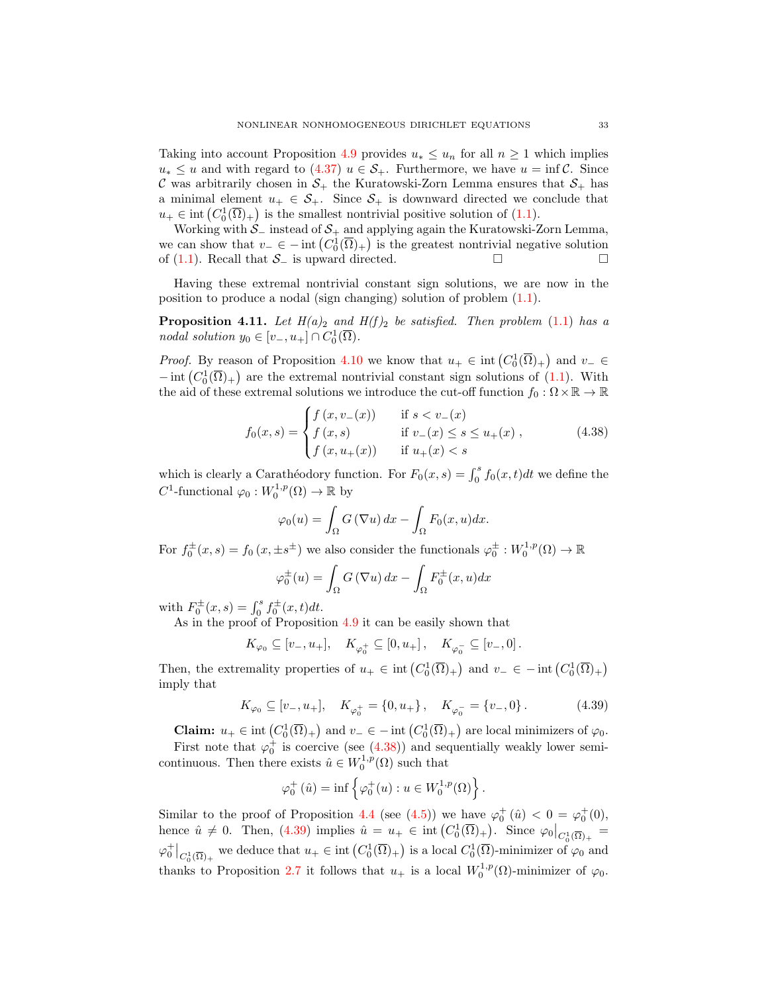Taking into account Proposition [4.9](#page-30-4) provides  $u_* \leq u_n$  for all  $n \geq 1$  which implies  $u_* \leq u$  and with regard to [\(4.37\)](#page-31-2)  $u \in S_+$ . Furthermore, we have  $u = \inf \mathcal{C}$ . Since C was arbitrarily chosen in  $S_+$  the Kuratowski-Zorn Lemma ensures that  $S_+$  has a minimal element  $u_+ \in \mathcal{S}_+$ . Since  $\mathcal{S}_+$  is downward directed we conclude that  $u_+ \in \text{int}\left(C_0^1(\overline{\Omega})_+\right)$  is the smallest nontrivial positive solution of  $(1.1)$ .

Working with  $\mathcal{S}_-$  instead of  $\mathcal{S}_+$  and applying again the Kuratowski-Zorn Lemma, we can show that  $v_-\in$  - int  $(C_0^1(\overline{\Omega})_+)$  is the greatest nontrivial negative solution of [\(1.1\)](#page-0-0). Recall that  $\mathcal{S}_-$  is upward directed.  $□$ 

Having these extremal nontrivial constant sign solutions, we are now in the position to produce a nodal (sign changing) solution of problem [\(1.1\)](#page-0-0).

<span id="page-32-2"></span>**Proposition 4.11.** Let  $H(a)_2$  and  $H(f)_2$  be satisfied. Then problem [\(1.1\)](#page-0-0) has a nodal solution  $y_0 \in [v_-, u_+] \cap C_0^1(\overline{\Omega})$ .

*Proof.* By reason of Proposition [4.10](#page-31-3) we know that  $u_+ \in \text{int}(C_0^1(\overline{\Omega})_+)$  and  $v_- \in$  $-\operatorname{int}(C_0^1(\overline{\Omega})_+)$  are the extremal nontrivial constant sign solutions of  $(1.1)$ . With the aid of these extremal solutions we introduce the cut-off function  $f_0 : \Omega \times \mathbb{R} \to \mathbb{R}$ 

$$
f_0(x,s) = \begin{cases} f(x,v_-(x)) & \text{if } s < v_-(x) \\ f(x,s) & \text{if } v_-(x) \le s \le u_+(x) \\ f(x,u_+(x)) & \text{if } u_+(x) < s \end{cases}
$$
(4.38)

which is clearly a Carathéodory function. For  $F_0(x, s) = \int_0^s f_0(x, t)dt$  we define the  $C^1$ -functional  $\varphi_0: W_0^{1,p}(\Omega) \to \mathbb{R}$  by

<span id="page-32-0"></span>
$$
\varphi_0(u) = \int_{\Omega} G(\nabla u) dx - \int_{\Omega} F_0(x, u) dx.
$$

For  $f_0^{\pm}(x,s) = f_0(x,\pm s^{\pm})$  we also consider the functionals  $\varphi_0^{\pm}: W_0^{1,p}(\Omega) \to \mathbb{R}$ 

$$
\varphi_0^{\pm}(u) = \int_{\Omega} G(\nabla u) dx - \int_{\Omega} F_0^{\pm}(x, u) dx
$$

with  $F_0^{\pm}(x, s) = \int_0^s f_0^{\pm}(x, t) dt$ .

As in the proof of Proposition [4.9](#page-30-4) it can be easily shown that

 $K_{\varphi_0} \subseteq [v_-, u_+], \quad K_{\varphi_0^+} \subseteq [0, u_+] \,, \quad K_{\varphi_0^-} \subseteq [v_-, 0] \,.$ 

Then, the extremality properties of  $u_+ \in \text{int}\left(C_0^1(\overline{\Omega})_+\right)$  and  $v_- \in -\text{int}\left(C_0^1(\overline{\Omega})_+\right)$ imply that

$$
K_{\varphi_0} \subseteq [v_-, u_+], \quad K_{\varphi_0^+} = \{0, u_+\}, \quad K_{\varphi_0^-} = \{v_-, 0\}.
$$
 (4.39)

**Claim:**  $u_+ \in \text{int}\left(C_0^1(\overline{\Omega})_+\right)$  and  $v_-\in \text{--}$  int  $\left(C_0^1(\overline{\Omega})_+\right)$  are local minimizers of  $\varphi_0$ .

First note that  $\varphi_0^+$  is coercive (see [\(4.38\)](#page-32-0)) and sequentially weakly lower semicontinuous. Then there exists  $\hat{u} \in W_0^{1,p}(\Omega)$  such that

<span id="page-32-1"></span>
$$
\varphi_0^+(\hat{u}) = \inf \left\{ \varphi_0^+(u) : u \in W_0^{1,p}(\Omega) \right\}.
$$

Similar to the proof of Proposition [4.4](#page-20-3) (see [\(4.5\)](#page-21-0)) we have  $\varphi_0^+(u) < 0 = \varphi_0^+(0)$ , hence  $\hat{u} \neq 0$ . Then, [\(4.39\)](#page-32-1) implies  $\hat{u} = u_+ \in \text{int}\left(C_0^1(\overline{\Omega})_+\right)$ . Since  $\varphi_0|_{C_0^1(\overline{\Omega})_+} =$  $\varphi_0^+|_{C_0^1(\overline{\Omega})_+}$  we deduce that  $u_+ \in \text{int}\left(C_0^1(\overline{\Omega})_+\right)$  is a local  $C_0^1(\overline{\Omega})$ -minimizer of  $\varphi_0$  and thanks to Proposition [2.7](#page-4-3) it follows that  $u_+$  is a local  $W_0^{1,p}(\Omega)$ -minimizer of  $\varphi_0$ .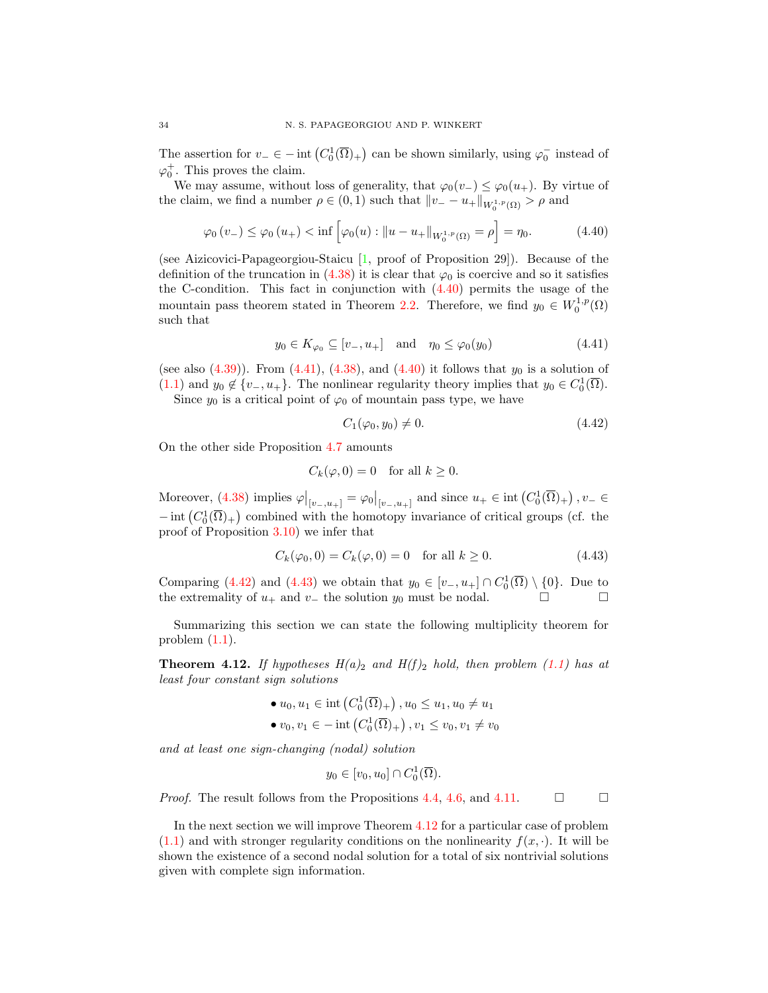The assertion for  $v_-\in$  - int  $(C_0^1(\overline{\Omega})_+)$  can be shown similarly, using  $\varphi_0^-$  instead of  $\varphi_0^+$ . This proves the claim.

We may assume, without loss of generality, that  $\varphi_0(v_-) \leq \varphi_0(u_+)$ . By virtue of the claim, we find a number  $\rho \in (0, 1)$  such that  $||v_ - - u_+||_{W_0^{1, p}(\Omega)} > \rho$  and

$$
\varphi_0(v_-) \le \varphi_0(u_+) < \inf \left[ \varphi_0(u) : \|u - u_+\|_{W_0^{1,p}(\Omega)} = \rho \right] = \eta_0. \tag{4.40}
$$

(see Aizicovici-Papageorgiou-Staicu [\[1,](#page-41-9) proof of Proposition 29]). Because of the definition of the truncation in  $(4.38)$  it is clear that  $\varphi_0$  is coercive and so it satisfies the C-condition. This fact in conjunction with [\(4.40\)](#page-33-0) permits the usage of the mountain pass theorem stated in Theorem [2.2.](#page-1-4) Therefore, we find  $y_0 \in W_0^{1,p}(\Omega)$ such that

$$
y_0 \in K_{\varphi_0} \subseteq [v_-, u_+] \quad \text{and} \quad \eta_0 \le \varphi_0(y_0) \tag{4.41}
$$

(see also  $(4.39)$ ). From  $(4.41)$ ,  $(4.38)$ , and  $(4.40)$  it follows that  $y_0$  is a solution of [\(1.1\)](#page-0-0) and  $y_0 \notin \{v_-, u_+\}$ . The nonlinear regularity theory implies that  $y_0 \in C_0^1(\overline{\Omega})$ .

Since  $y_0$  is a critical point of  $\varphi_0$  of mountain pass type, we have

<span id="page-33-3"></span><span id="page-33-2"></span><span id="page-33-1"></span><span id="page-33-0"></span>
$$
C_1(\varphi_0, y_0) \neq 0. \tag{4.42}
$$

On the other side Proposition [4.7](#page-26-5) amounts

$$
C_k(\varphi, 0) = 0 \quad \text{for all } k \ge 0.
$$

Moreover, [\(4.38\)](#page-32-0) implies  $\varphi|_{[v_-,u_+]} = \varphi_0|_{[v_-,u_+]}$  and since  $u_+ \in \text{int}(C_0^1(\overline{\Omega})_+)$ ,  $v_- \in$  $-\operatorname{int}(C_0^1(\overline{\Omega})_+)$  combined with the homotopy invariance of critical groups (cf. the proof of Proposition [3.10\)](#page-17-4) we infer that

$$
C_k(\varphi_0, 0) = C_k(\varphi, 0) = 0 \text{ for all } k \ge 0.
$$
 (4.43)

Comparing [\(4.42\)](#page-33-2) and [\(4.43\)](#page-33-3) we obtain that  $y_0 \in [v_-, u_+] \cap C_0^1(\overline{\Omega}) \setminus \{0\}$ . Due to the extremality of  $u_+$  and  $v_-$  the solution  $y_0$  must be nodal.  $\Box$ 

Summarizing this section we can state the following multiplicity theorem for problem  $(1.1)$ .

<span id="page-33-4"></span>**Theorem 4.12.** If hypotheses  $H(a)_2$  and  $H(f)_2$  hold, then problem [\(1.1\)](#page-0-0) has at least four constant sign solutions

\n- $$
\bullet u_0, u_1 \in \text{int}\left(C_0^1(\overline{\Omega})_+\right), u_0 \leq u_1, u_0 \neq u_1
$$
\n- $\bullet v_0, v_1 \in -\text{int}\left(C_0^1(\overline{\Omega})_+\right), v_1 \leq v_0, v_1 \neq v_0$
\n

and at least one sign-changing (nodal) solution

$$
y_0 \in [v_0, u_0] \cap C_0^1(\overline{\Omega}).
$$

*Proof.* The result follows from the Propositions [4.4,](#page-20-3) [4.6,](#page-23-2) and [4.11.](#page-32-2)  $\Box$ 

In the next section we will improve Theorem [4.12](#page-33-4) for a particular case of problem  $(1.1)$  and with stronger regularity conditions on the nonlinearity  $f(x, \cdot)$ . It will be shown the existence of a second nodal solution for a total of six nontrivial solutions given with complete sign information.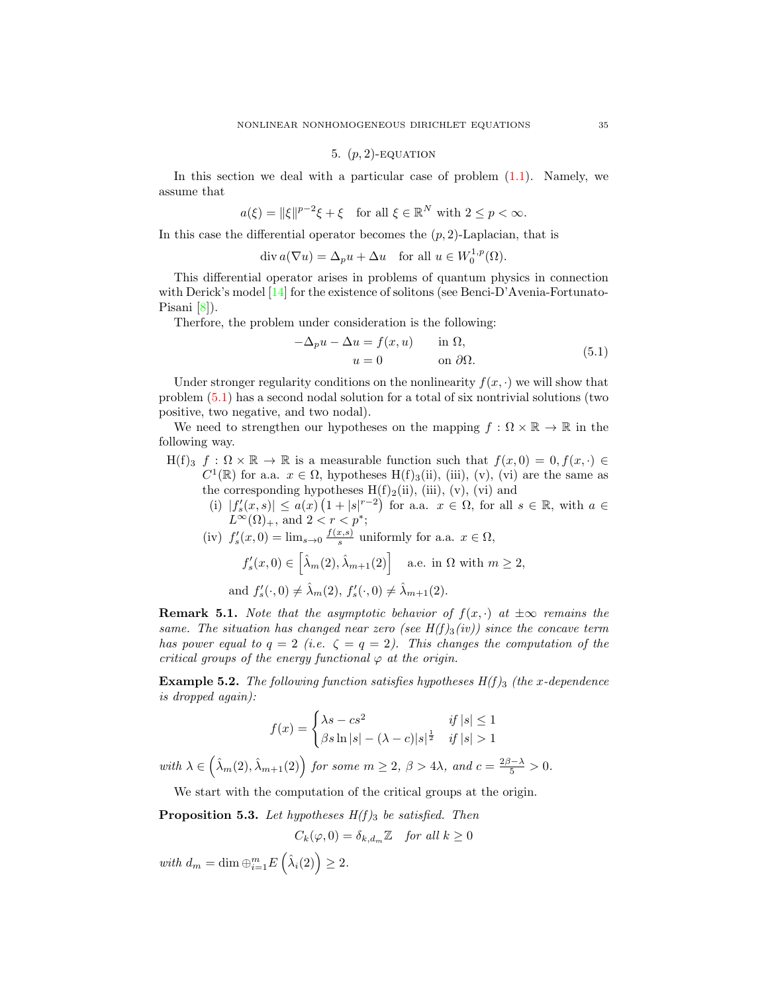## 5.  $(p, 2)$ -EQUATION

In this section we deal with a particular case of problem [\(1.1\)](#page-0-0). Namely, we assume that

$$
a(\xi) = \|\xi\|^{p-2}\xi + \xi \quad \text{for all } \xi \in \mathbb{R}^N \text{ with } 2 \le p < \infty.
$$

In this case the differential operator becomes the  $(p, 2)$ -Laplacian, that is

 $\operatorname{div} a(\nabla u) = \Delta_p u + \Delta u \quad \text{for all } u \in W_0^{1,p}(\Omega).$ 

This differential operator arises in problems of quantum physics in connection with Derick's model [\[14\]](#page-41-17) for the existence of solitons (see Benci-D'Avenia-Fortunato-Pisani [\[8\]](#page-41-3)).

Therfore, the problem under consideration is the following:

<span id="page-34-0"></span>
$$
-\Delta_p u - \Delta u = f(x, u) \quad \text{in } \Omega,
$$
  

$$
u = 0 \quad \text{on } \partial\Omega.
$$
 (5.1)

Under stronger regularity conditions on the nonlinearity  $f(x, \cdot)$  we will show that problem [\(5.1\)](#page-34-0) has a second nodal solution for a total of six nontrivial solutions (two positive, two negative, and two nodal).

We need to strengthen our hypotheses on the mapping  $f : \Omega \times \mathbb{R} \to \mathbb{R}$  in the following way.

- $H(f)_3$   $f : \Omega \times \mathbb{R} \to \mathbb{R}$  is a measurable function such that  $f(x, 0) = 0, f(x, \cdot) \in$  $C^1(\mathbb{R})$  for a.a.  $x \in \Omega$ , hypotheses H(f)<sub>3</sub>(ii), (iii), (v), (vi) are the same as the corresponding hypotheses  $H(f)_2(ii)$ , (iii), (v), (vi) and
	- (i)  $|f'_s(x,s)| \leq a(x) \left(1+|s|^{r-2}\right)$  for a.a.  $x \in \Omega$ , for all  $s \in \mathbb{R}$ , with  $a \in$  $L^{\infty}(\Omega)_{+}$ , and  $2 < r < p^*$ ;

(iv) 
$$
f'_s(x, 0) = \lim_{s \to 0} \frac{f(x, s)}{s}
$$
 uniformly for a.a.  $x \in \Omega$ ,  
 $f'_s(x, 0) \in \left[\hat{\lambda}_m(2), \hat{\lambda}_{m+1}(2)\right]$  a.e. in  $\Omega$  with  $m \ge 2$ ,

and  $f'_s(\cdot, 0) \neq \hat{\lambda}_m(2), f'_s(\cdot, 0) \neq \hat{\lambda}_{m+1}(2)$ .

**Remark 5.1.** Note that the asymptotic behavior of  $f(x, \cdot)$  at  $\pm \infty$  remains the same. The situation has changed near zero (see  $H(f)_3(iv)$ ) since the concave term has power equal to  $q = 2$  (i.e.  $\zeta = q = 2$ ). This changes the computation of the critical groups of the energy functional  $\varphi$  at the origin.

**Example 5.2.** The following function satisfies hypotheses  $H(f)_3$  (the x-dependence is dropped again):

$$
f(x) = \begin{cases} \lambda s - cs^2 & \text{if } |s| \le 1\\ \beta s \ln |s| - (\lambda - c)|s|^{\frac{1}{2}} & \text{if } |s| > 1 \end{cases}
$$

with  $\lambda \in \left(\hat{\lambda}_m(2), \hat{\lambda}_{m+1}(2)\right)$  for some  $m \geq 2$ ,  $\beta > 4\lambda$ , and  $c = \frac{2\beta - \lambda}{5} > 0$ .

We start with the computation of the critical groups at the origin.

<span id="page-34-1"></span>**Proposition 5.3.** Let hypotheses  $H(f)_3$  be satisfied. Then

$$
C_k(\varphi, 0) = \delta_{k, d_m} \mathbb{Z} \quad \text{for all } k \ge 0
$$

with  $d_m = \dim \bigoplus_{i=1}^m E\left(\hat{\lambda}_i(2)\right) \geq 2.$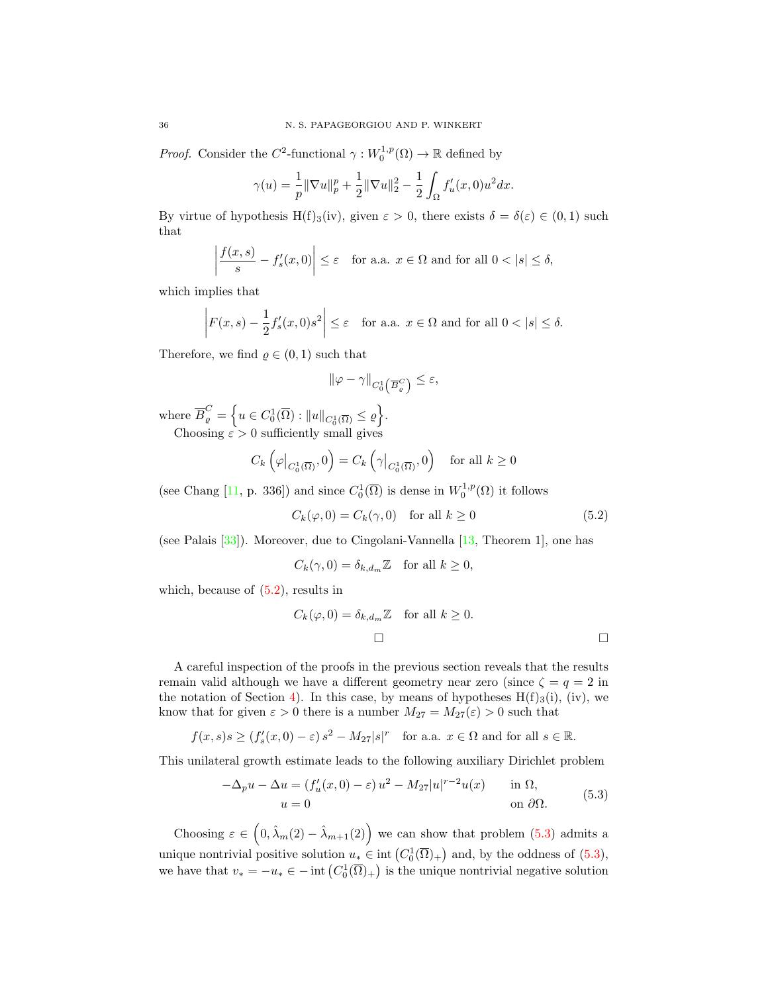*Proof.* Consider the  $C^2$ -functional  $\gamma : W_0^{1,p}(\Omega) \to \mathbb{R}$  defined by

$$
\gamma(u) = \frac{1}{p} \|\nabla u\|_p^p + \frac{1}{2} \|\nabla u\|_2^2 - \frac{1}{2} \int_{\Omega} f'_u(x,0) u^2 dx.
$$

By virtue of hypothesis H(f)<sub>3</sub>(iv), given  $\varepsilon > 0$ , there exists  $\delta = \delta(\varepsilon) \in (0,1)$  such that

$$
\left| \frac{f(x,s)}{s} - f'_s(x,0) \right| \le \varepsilon \quad \text{for a.a. } x \in \Omega \text{ and for all } 0 < |s| \le \delta,
$$

which implies that

$$
\left| F(x,s) - \frac{1}{2} f_s'(x,0)s^2 \right| \le \varepsilon \quad \text{for a.a. } x \in \Omega \text{ and for all } 0 < |s| \le \delta.
$$

Therefore, we find  $\rho \in (0,1)$  such that

<span id="page-35-0"></span>
$$
\|\varphi-\gamma\|_{C_0^1\left(\overline{B}_\varrho^C\right)}\leq\varepsilon,
$$

where  $\overline{B}_{\varrho}^C = \left\{ u \in C_0^1(\overline{\Omega}) : ||u||_{C_0^1(\overline{\Omega})} \leq \varrho \right\}$ . Choosing  $\varepsilon > 0$  sufficiently small gives

$$
C_k\left(\varphi\big|_{C_0^1(\overline{\Omega})},0\right) = C_k\left(\gamma\big|_{C_0^1(\overline{\Omega})},0\right) \text{ for all } k \ge 0
$$

(see Chang [\[11,](#page-41-8) p. 336]) and since  $C_0^1(\overline{\Omega})$  is dense in  $W_0^{1,p}(\Omega)$  it follows

$$
C_k(\varphi, 0) = C_k(\gamma, 0) \quad \text{for all } k \ge 0 \tag{5.2}
$$

(see Palais [\[33\]](#page-42-20)). Moreover, due to Cingolani-Vannella [\[13,](#page-41-18) Theorem 1], one has

$$
C_k(\gamma, 0) = \delta_{k, d_m} \mathbb{Z} \quad \text{for all } k \ge 0,
$$

which, because of  $(5.2)$ , results in

$$
C_k(\varphi, 0) = \delta_{k, d_m} \mathbb{Z} \quad \text{for all } k \ge 0.
$$

A careful inspection of the proofs in the previous section reveals that the results remain valid although we have a different geometry near zero (since  $\zeta = q = 2$  in the notation of Section [4\)](#page-19-1). In this case, by means of hypotheses  $H(f)_3(i)$ , (iv), we know that for given  $\varepsilon > 0$  there is a number  $M_{27} = M_{27}(\varepsilon) > 0$  such that

$$
f(x, s)s \ge (f'_s(x, 0) - \varepsilon) s^2 - M_{27}|s|^r
$$
 for a.a.  $x \in \Omega$  and for all  $s \in \mathbb{R}$ .

This unilateral growth estimate leads to the following auxiliary Dirichlet problem

<span id="page-35-1"></span>
$$
-\Delta_p u - \Delta u = (f'_u(x,0) - \varepsilon) u^2 - M_{27} |u|^{r-2} u(x) \quad \text{in } \Omega,
$$
  
 
$$
u = 0 \quad \text{on } \partial\Omega.
$$
 (5.3)

Choosing  $\varepsilon \in (0, \hat{\lambda}_m(2) - \hat{\lambda}_{m+1}(2))$  we can show that problem [\(5.3\)](#page-35-1) admits a unique nontrivial positive solution  $u_* \in \text{int}(C_0^1(\overline{\Omega})_+)$  and, by the oddness of  $(5.3)$ , we have that  $v_* = -u_* \in -\text{int}\left(C_0^1(\overline{\Omega})_+\right)$  is the unique nontrivial negative solution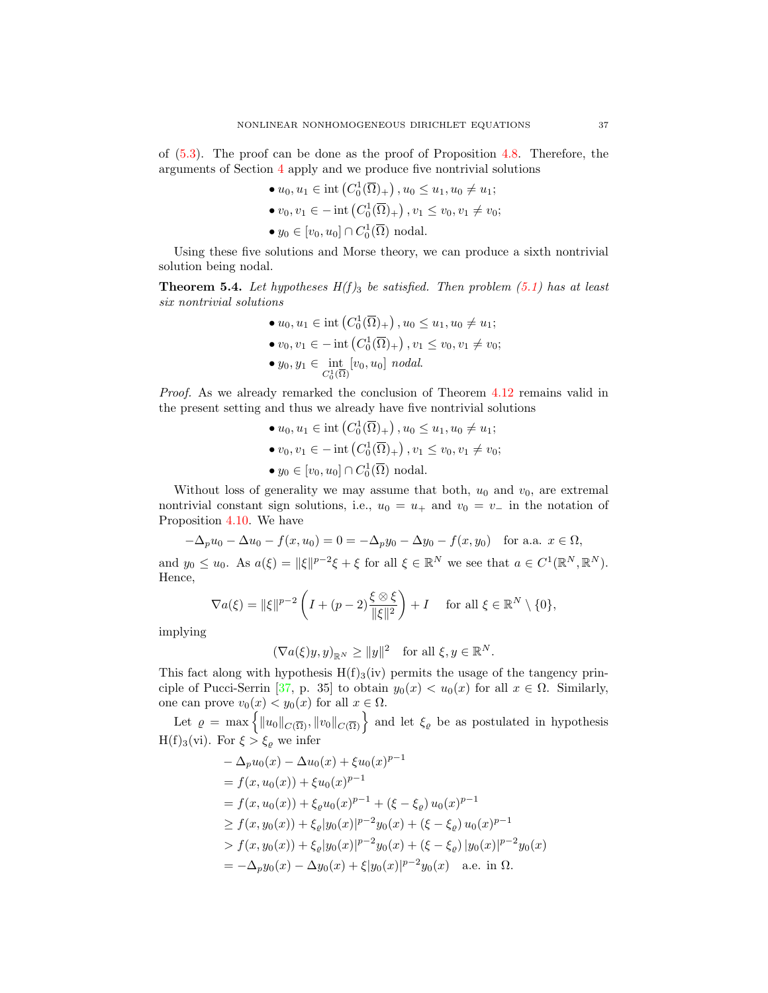of [\(5.3\)](#page-35-1). The proof can be done as the proof of Proposition [4.8.](#page-28-1) Therefore, the arguments of Section [4](#page-19-1) apply and we produce five nontrivial solutions

- $u_0, u_1 \in \text{int}\left(C_0^1(\overline{\Omega})_+\right), u_0 \leq u_1, u_0 \neq u_1;$ •  $v_0, v_1 \in -\text{int}\left(C_0^1(\overline{\Omega})_+\right), v_1 \le v_0, v_1 \ne v_0;$
- $y_0 \in [v_0, u_0] \cap C_0^1(\overline{\Omega})$  nodal.

Using these five solutions and Morse theory, we can produce a sixth nontrivial solution being nodal.

**Theorem 5.4.** Let hypotheses  $H(f)_3$  be satisfied. Then problem [\(5.1\)](#page-34-0) has at least six nontrivial solutions

> •  $u_0, u_1 \in \text{int}\left(C_0^1(\overline{\Omega})_+\right), u_0 \leq u_1, u_0 \neq u_1;$ •  $v_0, v_1 \in -\text{int}\left(C_0^1(\overline{\Omega})_+\right), v_1 \le v_0, v_1 \ne v_0;$ •  $y_0, y_1 \in \text{int}_{C_0^1(\overline{\Omega})} [v_0, u_0]$  nodal.

Proof. As we already remarked the conclusion of Theorem  $4.12$  remains valid in the present setting and thus we already have five nontrivial solutions

> •  $u_0, u_1 \in \text{int}\left(C_0^1(\overline{\Omega})_+\right), u_0 \leq u_1, u_0 \neq u_1;$ •  $v_0, v_1 \in -\text{int}\left(C_0^1(\overline{\Omega})_+\right), v_1 \le v_0, v_1 \ne v_0;$ •  $y_0 \in [v_0, u_0] \cap C_0^1(\overline{\Omega})$  nodal.

Without loss of generality we may assume that both,  $u_0$  and  $v_0$ , are extremal nontrivial constant sign solutions, i.e.,  $u_0 = u_+$  and  $v_0 = v_-$  in the notation of Proposition [4.10.](#page-31-3) We have

$$
-\Delta_p u_0 - \Delta u_0 - f(x, u_0) = 0 = -\Delta_p y_0 - \Delta y_0 - f(x, y_0) \text{ for a.a. } x \in \Omega,
$$

and  $y_0 \le u_0$ . As  $a(\xi) = ||\xi||^{p-2}\xi + \xi$  for all  $\xi \in \mathbb{R}^N$  we see that  $a \in C^1(\mathbb{R}^N, \mathbb{R}^N)$ . Hence,

$$
\nabla a(\xi) = ||\xi||^{p-2} \left( I + (p-2) \frac{\xi \otimes \xi}{||\xi||^2} \right) + I \quad \text{ for all } \xi \in \mathbb{R}^N \setminus \{0\},
$$

implying

$$
(\nabla a(\xi)y, y)_{\mathbb{R}^N} \ge ||y||^2 \quad \text{for all } \xi, y \in \mathbb{R}^N.
$$

This fact along with hypothesis  $H(f)_{3}(iv)$  permits the usage of the tangency prin-ciple of Pucci-Serrin [\[37,](#page-42-16) p. 35] to obtain  $y_0(x) < u_0(x)$  for all  $x \in \Omega$ . Similarly, one can prove  $v_0(x) < y_0(x)$  for all  $x \in \Omega$ .

Let  $\varrho = \max \{ ||u_0||_{C(\overline{\Omega})}, ||v_0||_{C(\overline{\Omega})} \}$  and let  $\xi_{\varrho}$  be as postulated in hypothesis H(f)<sub>3</sub>(vi). For  $\xi > \xi_{\varrho}$  we infer

$$
\begin{aligned}\n&-\Delta_p u_0(x) - \Delta u_0(x) + \xi u_0(x)^{p-1} \\
&= f(x, u_0(x)) + \xi u_0(x)^{p-1} \\
&= f(x, u_0(x)) + \xi_\varrho u_0(x)^{p-1} + (\xi - \xi_\varrho) u_0(x)^{p-1} \\
&\ge f(x, y_0(x)) + \xi_\varrho |y_0(x)|^{p-2} y_0(x) + (\xi - \xi_\varrho) u_0(x)^{p-1} \\
&> f(x, y_0(x)) + \xi_\varrho |y_0(x)|^{p-2} y_0(x) + (\xi - \xi_\varrho) |y_0(x)|^{p-2} y_0(x) \\
&= -\Delta_p y_0(x) - \Delta y_0(x) + \xi |y_0(x)|^{p-2} y_0(x) \quad \text{a.e. in } \Omega.\n\end{aligned}
$$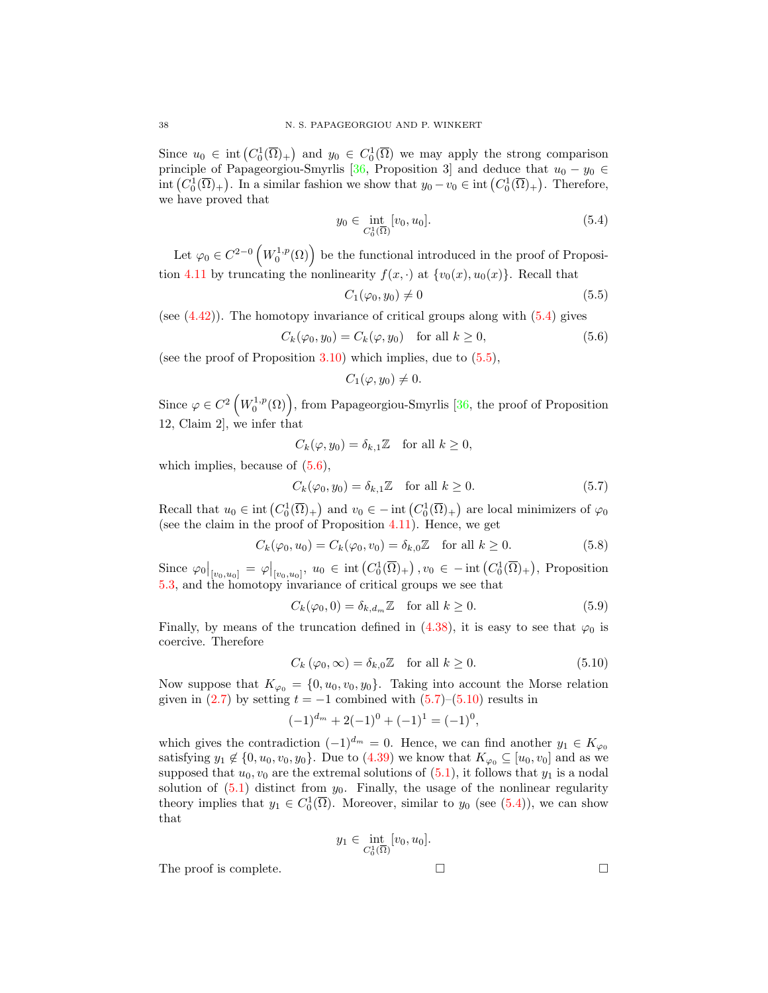Since  $u_0 \in \text{int}(C_0^1(\overline{\Omega})_+)$  and  $y_0 \in C_0^1(\overline{\Omega})$  we may apply the strong comparison principle of Papageorgiou-Smyrlis [\[36,](#page-42-21) Proposition 3] and deduce that  $u_0 - y_0 \in$ int  $(C_0^1(\overline{\Omega})_+)$ . In a similar fashion we show that  $y_0 - v_0 \in \text{int}(C_0^1(\overline{\Omega})_+)$ . Therefore, we have proved that

<span id="page-37-0"></span>
$$
y_0 \in \text{int}_{C_0^1(\overline{\Omega})} [v_0, u_0]. \tag{5.4}
$$

Let  $\varphi_0 \in C^{2-0} \left( W_0^{1,p}(\Omega) \right)$  be the functional introduced in the proof of Proposi-tion [4.11](#page-32-2) by truncating the nonlinearity  $f(x, \cdot)$  at  $\{v_0(x), u_0(x)\}\)$ . Recall that

<span id="page-37-1"></span>
$$
C_1(\varphi_0, y_0) \neq 0 \tag{5.5}
$$

(see  $(4.42)$ ). The homotopy invariance of critical groups along with  $(5.4)$  gives

$$
C_k(\varphi_0, y_0) = C_k(\varphi, y_0) \quad \text{for all } k \ge 0,
$$
\n
$$
(5.6)
$$

(see the proof of Proposition  $3.10$ ) which implies, due to  $(5.5)$ ,

<span id="page-37-3"></span><span id="page-37-2"></span>
$$
C_1(\varphi, y_0) \neq 0.
$$

Since  $\varphi \in C^2\left(W_0^{1,p}(\Omega)\right)$ , from Papageorgiou-Smyrlis [\[36,](#page-42-21) the proof of Proposition 12, Claim 2], we infer that

$$
C_k(\varphi, y_0) = \delta_{k,1} \mathbb{Z} \quad \text{for all } k \ge 0,
$$

which implies, because of  $(5.6)$ ,

$$
C_k(\varphi_0, y_0) = \delta_{k,1} \mathbb{Z} \quad \text{for all } k \ge 0.
$$
 (5.7)

Recall that  $u_0 \in \text{int}\left(C_0^1(\overline{\Omega})_+\right)$  and  $v_0 \in - \text{int}\left(C_0^1(\overline{\Omega})_+\right)$  are local minimizers of  $\varphi_0$ (see the claim in the proof of Proposition [4.11\)](#page-32-2). Hence, we get

$$
C_k(\varphi_0, u_0) = C_k(\varphi_0, v_0) = \delta_{k,0} \mathbb{Z} \quad \text{for all } k \ge 0.
$$
 (5.8)

Since  $\varphi_0|_{[v_0,u_0]} = \varphi|_{[v_0,u_0]}, u_0 \in \text{int}\left(C_0^1(\overline{\Omega})_+\right), v_0 \in -\text{int}\left(C_0^1(\overline{\Omega})_+\right)$ , Proposition [5.3,](#page-34-1) and the homotopy invariance of critical groups we see that

$$
C_k(\varphi_0, 0) = \delta_{k, d_m} \mathbb{Z} \quad \text{for all } k \ge 0.
$$
 (5.9)

Finally, by means of the truncation defined in [\(4.38\)](#page-32-0), it is easy to see that  $\varphi_0$  is coercive. Therefore

$$
C_k(\varphi_0, \infty) = \delta_{k,0}\mathbb{Z} \quad \text{for all } k \ge 0.
$$
 (5.10)

Now suppose that  $K_{\varphi_0} = \{0, u_0, v_0, y_0\}$ . Taking into account the Morse relation given in  $(2.7)$  by setting  $t = -1$  combined with  $(5.7)$ – $(5.10)$  results in

$$
(-1)^{d_m} + 2(-1)^0 + (-1)^1 = (-1)^0,
$$

which gives the contradiction  $(-1)^{d_m} = 0$ . Hence, we can find another  $y_1 \in K_{\varphi_0}$ satisfying  $y_1 \notin \{0, u_0, v_0, y_0\}$ . Due to  $(4.39)$  we know that  $K_{\varphi_0} \subseteq [u_0, v_0]$  and as we supposed that  $u_0, v_0$  are the extremal solutions of  $(5.1)$ , it follows that  $y_1$  is a nodal solution of  $(5.1)$  distinct from  $y_0$ . Finally, the usage of the nonlinear regularity theory implies that  $y_1 \in C_0^1(\overline{\Omega})$ . Moreover, similar to  $y_0$  (see [\(5.4\)](#page-37-0)), we can show that

$$
y_1 \in \text{int}_{C_0^1(\overline{\Omega})} [v_0, u_0].
$$

The proof is complete.  $\Box$ 

$$
\mathbb{Z}^2
$$

<span id="page-37-4"></span>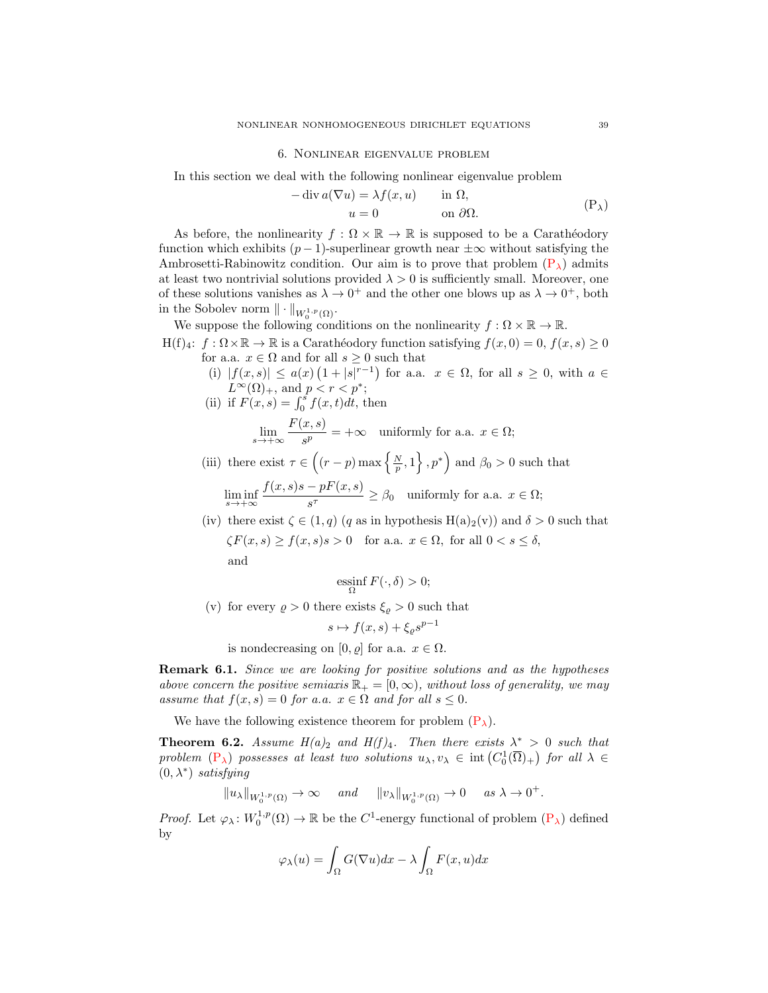#### 6. Nonlinear eigenvalue problem

In this section we deal with the following nonlinear eigenvalue problem

<span id="page-38-1"></span><span id="page-38-0"></span>
$$
- \operatorname{div} a(\nabla u) = \lambda f(x, u) \quad \text{in } \Omega,
$$
  

$$
u = 0 \quad \text{on } \partial \Omega.
$$
 (P<sub>\lambda</sub>)

As before, the nonlinearity  $f : \Omega \times \mathbb{R} \to \mathbb{R}$  is supposed to be a Carathéodory function which exhibits  $(p-1)$ -superlinear growth near  $\pm \infty$  without satisfying the Ambrosetti-Rabinowitz condition. Our aim is to prove that problem  $(P_{\lambda})$  admits at least two nontrivial solutions provided  $\lambda > 0$  is sufficiently small. Moreover, one of these solutions vanishes as  $\lambda \to 0^+$  and the other one blows up as  $\lambda \to 0^+$ , both in the Sobolev norm  $\|\cdot\|_{W_0^{1,p}(\Omega)}$ .

We suppose the following conditions on the nonlinearity  $f : \Omega \times \mathbb{R} \to \mathbb{R}$ .

H(f)<sub>4</sub>: 
$$
f : \Omega \times \mathbb{R} \to \mathbb{R}
$$
 is a Carathéodory function satisfying  $f(x, 0) = 0$ ,  $f(x, s) \ge 0$  for a.a.  $x \in \Omega$  and for all  $s \ge 0$  such that

- (i)  $|f(x,s)| \leq a(x) (1+|s|^{r-1})$  for a.a.  $x \in \Omega$ , for all  $s \geq 0$ , with  $a \in$  $L^{\infty}(\Omega)_{+}$ , and  $p < r < p^*$ ;
- (ii) if  $F(x, s) = \int_0^s f(x, t) dt$ , then

$$
\lim_{s \to +\infty} \frac{F(x, s)}{s^p} = +\infty \quad \text{uniformly for a.a. } x \in \Omega;
$$

(iii) there exist  $\tau \in \left( (r-p) \max \left\{ \frac{N}{p}, 1 \right\}, p^* \right)$  and  $\beta_0 > 0$  such that

$$
\liminf_{s \to +\infty} \frac{f(x,s)s - pF(x,s)}{s^{\tau}} \ge \beta_0 \quad \text{uniformly for a.a. } x \in \Omega;
$$

(iv) there exist  $\zeta \in (1, q)$  (q as in hypothesis H(a)<sub>2</sub>(v)) and  $\delta > 0$  such that  $\zeta F(x, s) \ge f(x, s) s > 0$  for a.a.  $x \in \Omega$ , for all  $0 < s \le \delta$ , and

$$
\operatorname*{ess\!inf}_{\Omega} F(\cdot,\delta) > 0;
$$

(v) for every  $\rho > 0$  there exists  $\xi_{\varrho} > 0$  such that

$$
s \mapsto f(x, s) + \xi_{\varrho} s^{p-1}
$$

is nondecreasing on [0,  $\varrho$ ] for a.a.  $x \in \Omega$ .

Remark 6.1. Since we are looking for positive solutions and as the hypotheses above concern the positive semiaxis  $\mathbb{R}_+ = [0, \infty)$ , without loss of generality, we may assume that  $f(x, s) = 0$  for a.a.  $x \in \Omega$  and for all  $s \leq 0$ .

We have the following existence theorem for problem  $(P_\lambda)$ .

**Theorem 6.2.** Assume  $H(a)_2$  and  $H(f)_4$ . Then there exists  $\lambda^* > 0$  such that problem  $(P_{\lambda})$  $(P_{\lambda})$  possesses at least two solutions  $u_{\lambda}, v_{\lambda} \in \text{int}(C_0^1(\overline{\Omega})_+)$  for all  $\lambda \in$  $(0, \lambda^*)$  satisfying

$$
||u_\lambda||_{W_0^{1,p}(\Omega)} \to \infty \quad \text{and} \quad ||v_\lambda||_{W_0^{1,p}(\Omega)} \to 0 \quad \text{as } \lambda \to 0^+.
$$

*Proof.* Let  $\varphi_\lambda: W_0^{1,p}(\Omega) \to \mathbb{R}$  be the C<sup>1</sup>-energy functional of problem  $(P_\lambda)$  defined by

$$
\varphi_{\lambda}(u) = \int_{\Omega} G(\nabla u) dx - \lambda \int_{\Omega} F(x, u) dx
$$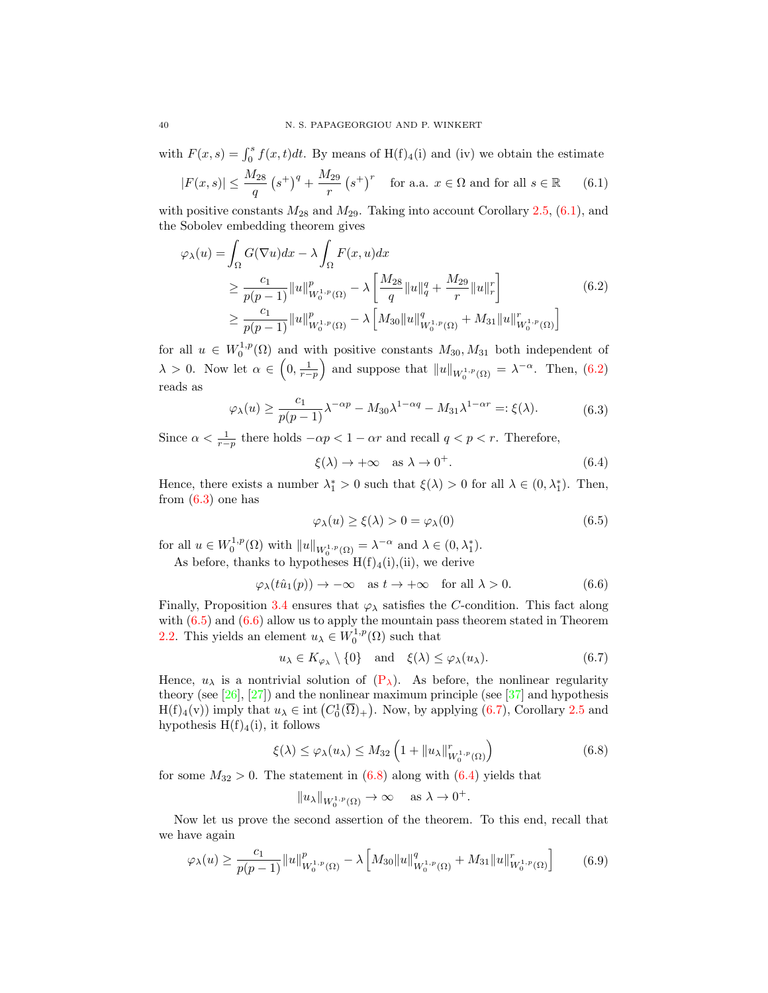with  $F(x, s) = \int_0^s f(x, t)dt$ . By means of  $H(f)_4(i)$  and (iv) we obtain the estimate

$$
|F(x,s)| \le \frac{M_{28}}{q} \left(s^+\right)^q + \frac{M_{29}}{r} \left(s^+\right)^r \quad \text{for a.a. } x \in \Omega \text{ and for all } s \in \mathbb{R} \tag{6.1}
$$

with positive constants  $M_{28}$  and  $M_{29}$ . Taking into account Corollary [2.5,](#page-3-3) [\(6.1\)](#page-38-1), and the Sobolev embedding theorem gives

$$
\varphi_{\lambda}(u) = \int_{\Omega} G(\nabla u) dx - \lambda \int_{\Omega} F(x, u) dx
$$
  
\n
$$
\geq \frac{c_1}{p(p-1)} \|u\|_{W_0^{1, p}(\Omega)}^p - \lambda \left[ \frac{M_{28}}{q} \|u\|_q^q + \frac{M_{29}}{r} \|u\|_r^r \right]
$$
  
\n
$$
\geq \frac{c_1}{p(p-1)} \|u\|_{W_0^{1, p}(\Omega)}^p - \lambda \left[ M_{30} \|u\|_{W_0^{1, p}(\Omega)}^q + M_{31} \|u\|_{W_0^{1, p}(\Omega)}^r \right]
$$
\n(6.2)

for all  $u \in W_0^{1,p}(\Omega)$  and with positive constants  $M_{30}, M_{31}$  both independent of  $\lambda > 0$ . Now let  $\alpha \in \left(0, \frac{1}{r-p}\right)$  and suppose that  $||u||_{W_0^{1,p}(\Omega)} = \lambda^{-\alpha}$ . Then,  $(6.2)$ reads as

$$
\varphi_{\lambda}(u) \ge \frac{c_1}{p(p-1)} \lambda^{-\alpha p} - M_{30} \lambda^{1-\alpha q} - M_{31} \lambda^{1-\alpha r} =: \xi(\lambda). \tag{6.3}
$$

Since  $\alpha < \frac{1}{r-p}$  there holds  $-\alpha p < 1 - \alpha r$  and recall  $q < p < r$ . Therefore,

<span id="page-39-6"></span><span id="page-39-1"></span><span id="page-39-0"></span>
$$
\xi(\lambda) \to +\infty \quad \text{as } \lambda \to 0^+.
$$
 (6.4)

Hence, there exists a number  $\lambda_1^* > 0$  such that  $\xi(\lambda) > 0$  for all  $\lambda \in (0, \lambda_1^*)$ . Then, from  $(6.3)$  one has

<span id="page-39-4"></span><span id="page-39-3"></span><span id="page-39-2"></span>
$$
\varphi_{\lambda}(u) \ge \xi(\lambda) > 0 = \varphi_{\lambda}(0) \tag{6.5}
$$

for all  $u \in W_0^{1,p}(\Omega)$  with  $||u||_{W_0^{1,p}(\Omega)} = \lambda^{-\alpha}$  and  $\lambda \in (0, \lambda_1^*)$ .

As before, thanks to hypotheses  $H(f)_4(i)$ , (ii), we derive

$$
\varphi_{\lambda}(t\hat{u}_1(p)) \to -\infty \quad \text{as } t \to +\infty \quad \text{for all } \lambda > 0. \tag{6.6}
$$

Finally, Proposition [3.4](#page-8-5) ensures that  $\varphi_{\lambda}$  satisfies the C-condition. This fact along with  $(6.5)$  and  $(6.6)$  allow us to apply the mountain pass theorem stated in Theorem [2.2.](#page-1-4) This yields an element  $u_{\lambda} \in W_0^{1,p}(\Omega)$  such that

$$
u_{\lambda} \in K_{\varphi_{\lambda}} \setminus \{0\} \quad \text{and} \quad \xi(\lambda) \le \varphi_{\lambda}(u_{\lambda}). \tag{6.7}
$$

Hence,  $u_{\lambda}$  is a nontrivial solution of  $(P_{\lambda})$ . As before, the nonlinear regularity theory (see  $[26]$ ,  $[27]$ ) and the nonlinear maximum principle (see  $[37]$  and hypothesis  $H(f)_4(v)$  imply that  $u_\lambda \in \text{int}(C_0^1(\overline{\Omega})_+)$ . Now, by applying [\(6.7\)](#page-39-4), Corollary [2.5](#page-3-3) and hypothesis  $H(f)_4(i)$ , it follows

$$
\xi(\lambda) \le \varphi_{\lambda}(u_{\lambda}) \le M_{32} \left( 1 + \|u_{\lambda}\|_{W_0^{1,p}(\Omega)}^r \right) \tag{6.8}
$$

for some  $M_{32} > 0$ . The statement in  $(6.8)$  along with  $(6.4)$  yields that

<span id="page-39-7"></span><span id="page-39-5"></span>
$$
||u_\lambda||_{W_0^{1,p}(\Omega)} \to \infty \quad \text{ as } \lambda \to 0^+.
$$

Now let us prove the second assertion of the theorem. To this end, recall that we have again

$$
\varphi_{\lambda}(u) \ge \frac{c_1}{p(p-1)} \|u\|_{W_0^{1,p}(\Omega)}^p - \lambda \left[ M_{30} \|u\|_{W_0^{1,p}(\Omega)}^q + M_{31} \|u\|_{W_0^{1,p}(\Omega)}^r \right] \tag{6.9}
$$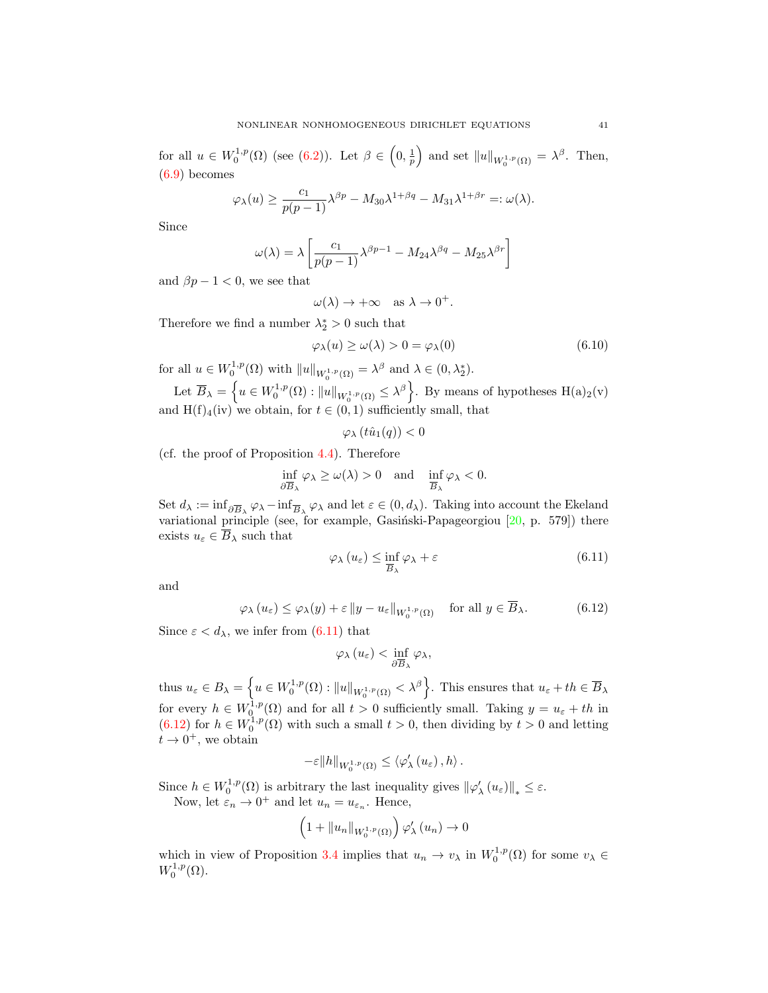for all  $u \in W_0^{1,p}(\Omega)$  (see [\(6.2\)](#page-39-0)). Let  $\beta \in \left(0, \frac{1}{p}\right)$  and set  $||u||_{W_0^{1,p}(\Omega)} = \lambda^{\beta}$ . Then, [\(6.9\)](#page-39-7) becomes

$$
\varphi_{\lambda}(u) \ge \frac{c_1}{p(p-1)} \lambda^{\beta p} - M_{30} \lambda^{1+\beta q} - M_{31} \lambda^{1+\beta r} =: \omega(\lambda).
$$

Since

$$
\omega(\lambda) = \lambda \left[ \frac{c_1}{p(p-1)} \lambda^{\beta p-1} - M_{24} \lambda^{\beta q} - M_{25} \lambda^{\beta r} \right]
$$

and  $\beta p - 1 < 0$ , we see that

$$
\omega(\lambda) \to +\infty \quad \text{as } \lambda \to 0^+.
$$

Therefore we find a number  $\lambda_2^* > 0$  such that

$$
\varphi_{\lambda}(u) \ge \omega(\lambda) > 0 = \varphi_{\lambda}(0) \tag{6.10}
$$

for all  $u \in W_0^{1,p}(\Omega)$  with  $||u||_{W_0^{1,p}(\Omega)} = \lambda^{\beta}$  and  $\lambda \in (0, \lambda_2^*)$ .

Let  $\overline{B}_\lambda = \left\{ u \in W_0^{1,p}(\Omega) : ||u||_{W_0^{1,p}(\Omega)} \leq \lambda^\beta \right\}$ . By means of hypotheses  $H(a)_2(v)$ and  $H(f)_4(iv)$  we obtain, for  $t \in (0,1)$  sufficiently small, that

$$
\varphi_{\lambda}(t\hat{u}_1(q)) < 0
$$

(cf. the proof of Proposition [4.4\)](#page-20-3). Therefore

$$
\inf_{\partial \overline{B}_{\lambda}} \varphi_{\lambda} \ge \omega(\lambda) > 0 \quad \text{and} \quad \inf_{\overline{B}_{\lambda}} \varphi_{\lambda} < 0.
$$

Set  $d_\lambda := \inf_{\partial \overline{B}_\lambda} \varphi_\lambda - \inf_{\overline{B}_\lambda} \varphi_\lambda$  and let  $\varepsilon \in (0, d_\lambda)$ . Taking into account the Ekeland variational principle (see, for example, Gasiński-Papageorgiou  $[20, p. 579]$ ) there exists  $u_{\varepsilon} \in \overline{B}_{\lambda}$  such that

<span id="page-40-0"></span>
$$
\varphi_{\lambda}\left(u_{\varepsilon}\right) \leq \inf_{\overline{B}_{\lambda}} \varphi_{\lambda} + \varepsilon \tag{6.11}
$$

and

$$
\varphi_{\lambda}(u_{\varepsilon}) \leq \varphi_{\lambda}(y) + \varepsilon \|y - u_{\varepsilon}\|_{W_0^{1,p}(\Omega)} \quad \text{for all } y \in \overline{B}_{\lambda}.
$$
 (6.12)

Since  $\varepsilon < d_{\lambda}$ , we infer from  $(6.11)$  that

<span id="page-40-1"></span> $\varphi_{\lambda}(u_{\varepsilon}) < \inf_{\partial \overline{B}_{\lambda}} \varphi_{\lambda},$ 

thus  $u_{\varepsilon} \in B_{\lambda} = \left\{ u \in W_0^{1,p}(\Omega) : ||u||_{W_0^{1,p}(\Omega)} < \lambda^{\beta} \right\}$ . This ensures that  $u_{\varepsilon} + th \in \overline{B}_{\lambda}$ for every  $h \in W_0^{1,p}(\Omega)$  and for all  $t > 0$  sufficiently small. Taking  $y = u_{\varepsilon} + th$  in [\(6.12\)](#page-40-1) for  $h \in W_0^{1,p}(\Omega)$  with such a small  $t > 0$ , then dividing by  $t > 0$  and letting  $t \to 0^+,$  we obtain

$$
-\varepsilon\|h\|_{W_{0}^{1,p}(\Omega)}\leq \left\langle \varphi_{\lambda}^{\prime}\left(u_{\varepsilon}\right),h\right\rangle .
$$

Since  $h \in W_0^{1,p}(\Omega)$  is arbitrary the last inequality gives  $\|\varphi_\lambda'(u_\varepsilon)\|_* \leq \varepsilon$ . Now, let  $\varepsilon_n \to 0^+$  and let  $u_n = u_{\varepsilon_n}$ . Hence,

$$
\left(1+\|u_n\|_{W_0^{1,p}(\Omega)}\right)\varphi_\lambda'(u_n)\to 0
$$

which in view of Proposition [3.4](#page-8-5) implies that  $u_n \to v_\lambda$  in  $W_0^{1,p}(\Omega)$  for some  $v_\lambda \in$  $W_0^{1,p}(\Omega)$ .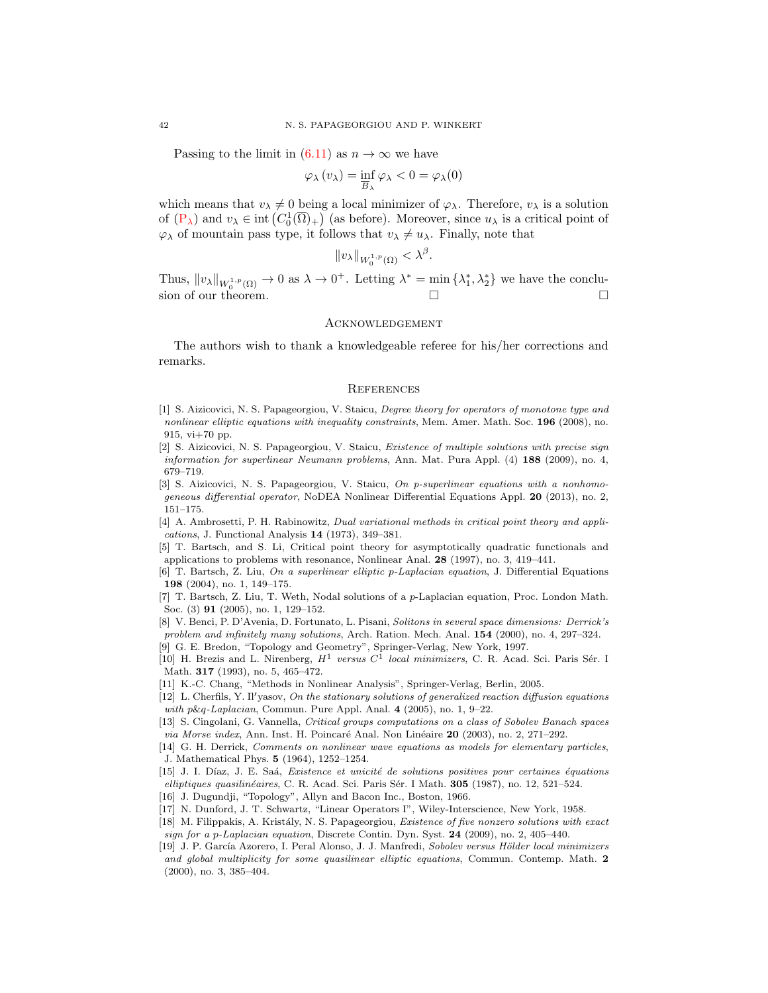Passing to the limit in  $(6.11)$  as  $n \to \infty$  we have

$$
\varphi_{\lambda}(v_{\lambda}) = \inf_{\overline{B}_{\lambda}} \varphi_{\lambda} < 0 = \varphi_{\lambda}(0)
$$

which means that  $v_{\lambda} \neq 0$  being a local minimizer of  $\varphi_{\lambda}$ . Therefore,  $v_{\lambda}$  is a solution of  $(P_\lambda)$  and  $v_\lambda \in \text{int}(C_0^1(\overline{\Omega})_+)$  (as before). Moreover, since  $u_\lambda$  is a critical point of  $\varphi_{\lambda}$  of mountain pass type, it follows that  $v_{\lambda} \neq u_{\lambda}$ . Finally, note that

$$
||v_\lambda||_{W_0^{1,p}(\Omega)} < \lambda^\beta
$$

.

Thus,  $||v_\lambda||_{W_0^{1,p}(\Omega)} \to 0$  as  $\lambda \to 0^+$ . Letting  $\lambda^* = \min \{\lambda_1^*, \lambda_2^*\}$  we have the conclusion of our theorem.

### **ACKNOWLEDGEMENT**

The authors wish to thank a knowledgeable referee for his/her corrections and remarks.

#### **REFERENCES**

- <span id="page-41-9"></span>[1] S. Aizicovici, N. S. Papageorgiou, V. Staicu, Degree theory for operators of monotone type and nonlinear elliptic equations with inequality constraints, Mem. Amer. Math. Soc. 196 (2008), no. 915, vi+70 pp.
- <span id="page-41-12"></span>[2] S. Aizicovici, N. S. Papageorgiou, V. Staicu, Existence of multiple solutions with precise sign information for superlinear Neumann problems, Ann. Mat. Pura Appl. (4) 188 (2009), no. 4, 679–719.
- <span id="page-41-13"></span>[3] S. Aizicovici, N. S. Papageorgiou, V. Staicu, On p-superlinear equations with a nonhomogeneous differential operator, NoDEA Nonlinear Differential Equations Appl. 20 (2013), no. 2, 151–175.
- <span id="page-41-2"></span>[4] A. Ambrosetti, P. H. Rabinowitz, Dual variational methods in critical point theory and applications, J. Functional Analysis 14 (1973), 349–381.
- <span id="page-41-7"></span>[5] T. Bartsch, and S. Li, Critical point theory for asymptotically quadratic functionals and applications to problems with resonance, Nonlinear Anal. 28 (1997), no. 3, 419–441.
- <span id="page-41-0"></span>[6] T. Bartsch, Z. Liu, On a superlinear elliptic p-Laplacian equation, J. Differential Equations 198 (2004), no. 1, 149–175.
- <span id="page-41-1"></span>[7] T. Bartsch, Z. Liu, T. Weth, Nodal solutions of a p-Laplacian equation, Proc. London Math. Soc. (3) 91 (2005), no. 1, 129–152.
- <span id="page-41-3"></span>[8] V. Benci, P. D'Avenia, D. Fortunato, L. Pisani, Solitons in several space dimensions: Derrick's problem and infinitely many solutions, Arch. Ration. Mech. Anal. **154** (2000), no. 4, 297-324.
- <span id="page-41-11"></span>[9] G. E. Bredon, "Topology and Geometry", Springer-Verlag, New York, 1997.
- <span id="page-41-5"></span>[10] H. Brezis and L. Nirenberg,  $H^1$  versus  $C^1$  local minimizers, C. R. Acad. Sci. Paris Sér. I Math. 317 (1993), no. 5, 465–472.
- <span id="page-41-8"></span>[11] K.-C. Chang, "Methods in Nonlinear Analysis", Springer-Verlag, Berlin, 2005.
- <span id="page-41-4"></span> $[12]$  L. Cherfils, Y. Il'yasov, On the stationary solutions of generalized reaction diffusion equations with p&q-Laplacian, Commun. Pure Appl. Anal. 4 (2005), no. 1, 9–22.
- <span id="page-41-18"></span>[13] S. Cingolani, G. Vannella, Critical groups computations on a class of Sobolev Banach spaces via Morse index, Ann. Inst. H. Poincaré Anal. Non Linéaire 20 (2003), no. 2, 271–292.
- <span id="page-41-17"></span>[14] G. H. Derrick, Comments on nonlinear wave equations as models for elementary particles, J. Mathematical Phys. 5 (1964), 1252–1254.
- <span id="page-41-15"></span>[15] J. I. Díaz, J. E. Saá, Existence et unicité de solutions positives pour certaines équations elliptiques quasilinéaires, C. R. Acad. Sci. Paris Sér. I Math. 305 (1987), no. 12, 521–524.
- <span id="page-41-10"></span>[16] J. Dugundji, "Topology", Allyn and Bacon Inc., Boston, 1966.
- <span id="page-41-16"></span>[17] N. Dunford, J. T. Schwartz, "Linear Operators I", Wiley-Interscience, New York, 1958.
- <span id="page-41-14"></span>[18] M. Filippakis, A. Kristály, N. S. Papageorgiou, Existence of five nonzero solutions with exact sign for a p-Laplacian equation, Discrete Contin. Dyn. Syst. 24 (2009), no. 2, 405–440.
- <span id="page-41-6"></span>[19] J. P. García Azorero, I. Peral Alonso, J. J. Manfredi, Sobolev versus Hölder local minimizers and global multiplicity for some quasilinear elliptic equations, Commun. Contemp. Math. 2 (2000), no. 3, 385–404.